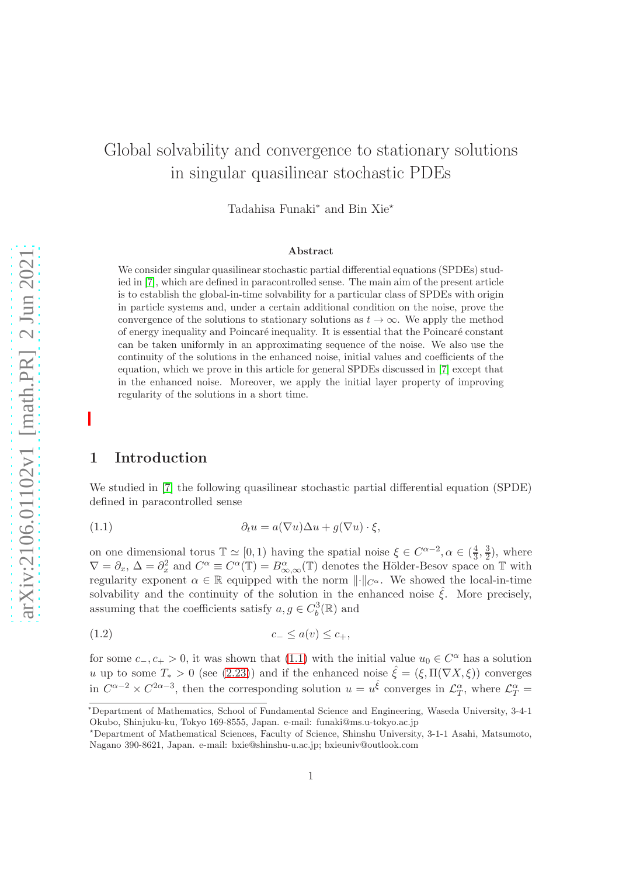# Global solvability and convergence to stationary solutions in singular quasilinear stochastic PDEs

Tadahisa Funaki<sup>\*</sup> and Bin Xie<sup>★</sup>

#### Abstract

We consider singular quasilinear stochastic partial differential equations (SPDEs) studied in [\[7\]](#page-32-0), which are defined in paracontrolled sense. The main aim of the present article is to establish the global-in-time solvability for a particular class of SPDEs with origin in particle systems and, under a certain additional condition on the noise, prove the convergence of the solutions to stationary solutions as  $t \to \infty$ . We apply the method of energy inequality and Poincaré inequality. It is essential that the Poincaré constant can be taken uniformly in an approximating sequence of the noise. We also use the continuity of the solutions in the enhanced noise, initial values and coefficients of the equation, which we prove in this article for general SPDEs discussed in [\[7\]](#page-32-0) except that in the enhanced noise. Moreover, we apply the initial layer property of improving regularity of the solutions in a short time.

# 1 Introduction

We studied in [\[7\]](#page-32-0) the following quasilinear stochastic partial differential equation (SPDE) defined in paracontrolled sense

<span id="page-0-0"></span>(1.1) 
$$
\partial_t u = a(\nabla u)\Delta u + g(\nabla u) \cdot \xi,
$$

on one dimensional torus  $\mathbb{T} \simeq [0, 1)$  having the spatial noise  $\xi \in C^{\alpha-2}, \alpha \in (\frac{4}{3})$  $\frac{4}{3}, \frac{3}{2}$  $(\frac{3}{2})$ , where  $\nabla = \partial_x, \Delta = \partial_x^2$  and  $C^{\alpha} \equiv C^{\alpha}(\mathbb{T}) = B^{\alpha}_{\infty,\infty}(\mathbb{T})$  denotes the Hölder-Besov space on  $\mathbb{T}$  with regularity exponent  $\alpha \in \mathbb{R}$  equipped with the norm  $\lVert \cdot \rVert_{C^{\alpha}}$ . We showed the local-in-time solvability and the continuity of the solution in the enhanced noise  $\hat{\xi}$ . More precisely, assuming that the coefficients satisfy  $a, g \in C_b^3(\mathbb{R})$  and

<span id="page-0-1"></span>
$$
(1.2) \t\t c_{-} \le a(v) \le c_{+},
$$

for some  $c_-, c_+ > 0$ , it was shown that [\(1.1\)](#page-0-0) with the initial value  $u_0 \in C^{\alpha}$  has a solution u up to some  $T_* > 0$  (see [\(2.23\)](#page-13-0)) and if the enhanced noise  $\hat{\xi} = (\xi, \Pi(\nabla X, \xi))$  converges in  $C^{\alpha-2} \times C^{2\alpha-3}$ , then the corresponding solution  $u = u^{\hat{\xi}}$  converges in  $\mathcal{L}_T^{\alpha}$ , where  $\mathcal{L}_T^{\alpha}$ 

<sup>∗</sup>Department of Mathematics, School of Fundamental Science and Engineering, Waseda University, 3-4-1 Okubo, Shinjuku-ku, Tokyo 169-8555, Japan. e-mail: funaki@ms.u-tokyo.ac.jp

<sup>⋆</sup>Department of Mathematical Sciences, Faculty of Science, Shinshu University, 3-1-1 Asahi, Matsumoto, Nagano 390-8621, Japan. e-mail: bxie@shinshu-u.ac.jp; bxieuniv@outlook.com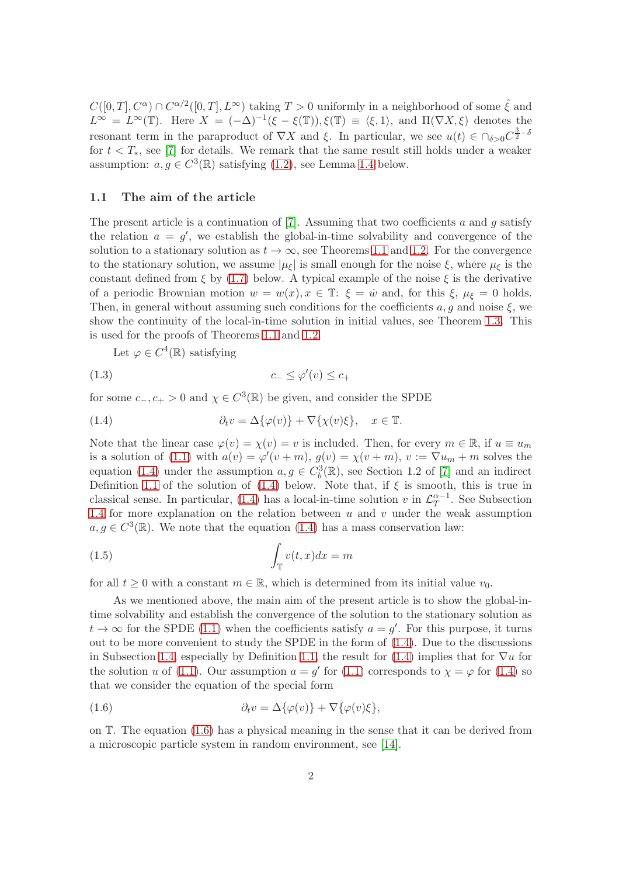$C([0,T], C^{\alpha}) \cap C^{\alpha/2}([0,T], L^{\infty})$  taking  $T > 0$  uniformly in a neighborhood of some  $\hat{\xi}$  and  $L^{\infty} = L^{\infty}(\mathbb{T})$ . Here  $X = (-\Delta)^{-1}(\xi - \xi(\mathbb{T}))$ ,  $\xi(\mathbb{T}) \equiv \langle \xi, 1 \rangle$ , and  $\Pi(\nabla X, \xi)$  denotes the resonant term in the paraproduct of  $\nabla X$  and  $\xi$ . In particular, we see  $u(t) \in \bigcap_{\delta > 0} C^{\frac{3}{2}-\delta}$ for  $t < T_*$ , see [\[7\]](#page-32-0) for details. We remark that the same result still holds under a weaker assumption:  $a, g \in C^3(\mathbb{R})$  satisfying [\(1.2\)](#page-0-1), see Lemma [1.4](#page-5-0) below.

#### 1.1 The aim of the article

The present article is a continuation of [\[7\]](#page-32-0). Assuming that two coefficients a and q satisfy the relation  $a = g'$ , we establish the global-in-time solvability and convergence of the solution to a stationary solution as  $t \to \infty$ , see Theorems [1.1](#page-3-0) and [1.2.](#page-3-1) For the convergence to the stationary solution, we assume  $|\mu_{\xi}|$  is small enough for the noise  $\xi$ , where  $\mu_{\xi}$  is the constant defined from  $\xi$  by [\(1.7\)](#page-2-0) below. A typical example of the noise  $\xi$  is the derivative of a periodic Brownian motion  $w = w(x), x \in \mathbb{T}$ :  $\xi = \dot{w}$  and, for this  $\xi, \mu_{\xi} = 0$  holds. Then, in general without assuming such conditions for the coefficients  $a, g$  and noise  $\xi$ , we show the continuity of the local-in-time solution in initial values, see Theorem [1.3.](#page-4-0) This is used for the proofs of Theorems [1.1](#page-3-0) and [1.2.](#page-3-1)

<span id="page-1-0"></span>Let  $\varphi \in C^4(\mathbb{R})$  satisfying

<span id="page-1-3"></span>
$$
(1.3) \t\t c_{-} \le \varphi'(v) \le c_{+}
$$

for some  $c_-, c_+ > 0$  and  $\chi \in C^3(\mathbb{R})$  be given, and consider the SPDE

(1.4) 
$$
\partial_t v = \Delta \{\varphi(v)\} + \nabla \{\chi(v)\xi\}, \quad x \in \mathbb{T}.
$$

Note that the linear case  $\varphi(v) = \chi(v) = v$  is included. Then, for every  $m \in \mathbb{R}$ , if  $u \equiv u_m$ is a solution of [\(1.1\)](#page-0-0) with  $a(v) = \varphi'(v+m)$ ,  $g(v) = \chi(v+m)$ ,  $v := \nabla u_m + m$  solves the equation [\(1.4\)](#page-1-0) under the assumption  $a, g \in C_b^3(\mathbb{R})$ , see Section 1.2 of [\[7\]](#page-32-0) and an indirect Definition [1.1](#page-5-1) of the solution of  $(1.4)$  below. Note that, if  $\xi$  is smooth, this is true in classical sense. In particular, [\(1.4\)](#page-1-0) has a local-in-time solution v in  $\mathcal{L}_T^{\alpha-1}$  $T^{a-1}$ . See Subsection [1.4](#page-5-2) for more explanation on the relation between  $u$  and  $v$  under the weak assumption  $a, g \in C^3(\mathbb{R})$ . We note that the equation [\(1.4\)](#page-1-0) has a mass conservation law:

<span id="page-1-2"></span>(1.5) 
$$
\int_{\mathbb{T}} v(t,x)dx = m
$$

for all  $t \geq 0$  with a constant  $m \in \mathbb{R}$ , which is determined from its initial value  $v_0$ .

As we mentioned above, the main aim of the present article is to show the global-intime solvability and establish the convergence of the solution to the stationary solution as  $t \to \infty$  for the SPDE [\(1.1\)](#page-0-0) when the coefficients satisfy  $a = g'$ . For this purpose, it turns out to be more convenient to study the SPDE in the form of [\(1.4\)](#page-1-0). Due to the discussions in Subsection [1.4,](#page-5-2) especially by Definition [1.1,](#page-5-1) the result for [\(1.4\)](#page-1-0) implies that for  $\nabla u$  for the solution u of [\(1.1\)](#page-0-0). Our assumption  $a = g'$  for (1.1) corresponds to  $\chi = \varphi$  for [\(1.4\)](#page-1-0) so that we consider the equation of the special form

<span id="page-1-1"></span>(1.6) 
$$
\partial_t v = \Delta \{\varphi(v)\} + \nabla \{\varphi(v)\xi\},
$$

on T. The equation [\(1.6\)](#page-1-1) has a physical meaning in the sense that it can be derived from a microscopic particle system in random environment, see [\[14\]](#page-33-0).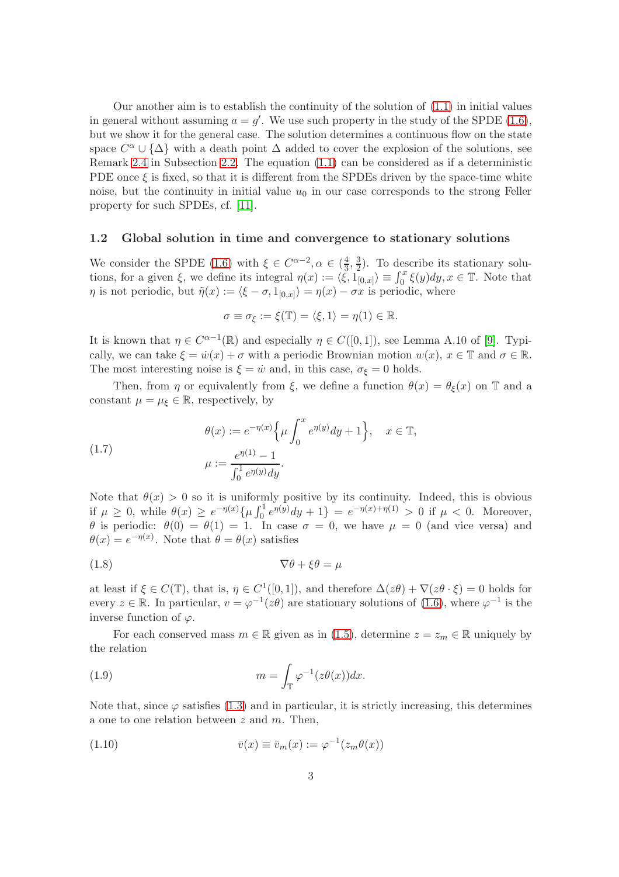Our another aim is to establish the continuity of the solution of  $(1.1)$  in initial values in general without assuming  $a = g'$ . We use such property in the study of the SPDE [\(1.6\)](#page-1-1), but we show it for the general case. The solution determines a continuous flow on the state space  $C^{\alpha} \cup {\{\Delta\}}$  with a death point  $\Delta$  added to cover the explosion of the solutions, see Remark [2.4](#page-13-1) in Subsection [2.2.](#page-12-0) The equation [\(1.1\)](#page-0-0) can be considered as if a deterministic PDE once  $\xi$  is fixed, so that it is different from the SPDEs driven by the space-time white noise, but the continuity in initial value  $u_0$  in our case corresponds to the strong Feller property for such SPDEs, cf. [\[11\]](#page-32-1).

#### 1.2 Global solution in time and convergence to stationary solutions

We consider the SPDE [\(1.6\)](#page-1-1) with  $\xi \in C^{\alpha-2}, \alpha \in (\frac{4}{3})$  $\frac{4}{3}, \frac{3}{2}$  $\frac{3}{2}$ ). To describe its stationary solutions, for a given  $\xi$ , we define its integral  $\eta(x) := \langle \xi, 1_{[0,x]} \rangle \equiv \int_0^x \xi(y) dy, x \in \mathbb{T}$ . Note that  $\eta$  is not periodic, but  $\tilde{\eta}(x) := \langle \xi - \sigma, 1_{[0,x]} \rangle = \eta(x) - \sigma x$  is periodic, where

$$
\sigma \equiv \sigma_{\xi} := \xi(\mathbb{T}) = \langle \xi, 1 \rangle = \eta(1) \in \mathbb{R}.
$$

It is known that  $\eta \in C^{\alpha-1}(\mathbb{R})$  and especially  $\eta \in C([0,1])$ , see Lemma A.10 of [\[9\]](#page-32-2). Typically, we can take  $\xi = \dot{w}(x) + \sigma$  with a periodic Brownian motion  $w(x)$ ,  $x \in \mathbb{T}$  and  $\sigma \in \mathbb{R}$ . The most interesting noise is  $\xi = \dot{w}$  and, in this case,  $\sigma_{\xi} = 0$  holds.

Then, from  $\eta$  or equivalently from  $\xi$ , we define a function  $\theta(x) = \theta_{\xi}(x)$  on T and a constant  $\mu = \mu_{\xi} \in \mathbb{R}$ , respectively, by

<span id="page-2-0"></span>(1.7) 
$$
\theta(x) := e^{-\eta(x)} \Big\{ \mu \int_0^x e^{\eta(y)} dy + 1 \Big\}, \quad x \in \mathbb{T},
$$

$$
\mu := \frac{e^{\eta(1)} - 1}{\int_0^1 e^{\eta(y)} dy}.
$$

Note that  $\theta(x) > 0$  so it is uniformly positive by its continuity. Indeed, this is obvious if  $\mu \geq 0$ , while  $\theta(x) \geq e^{-\eta(x)} \{ \mu \int_0^1 e^{\eta(y)} dy + 1 \} = e^{-\eta(x) + \eta(1)} > 0$  if  $\mu < 0$ . Moreover, θ is periodic:  $θ(0) = θ(1) = 1$ . In case  $σ = 0$ , we have  $μ = 0$  (and vice versa) and  $\theta(x) = e^{-\eta(x)}$ . Note that  $\theta = \theta(x)$  satisfies

<span id="page-2-2"></span>
$$
\nabla \theta + \xi \theta = \mu
$$

at least if  $\xi \in C(\mathbb{T})$ , that is,  $\eta \in C^1([0,1])$ , and therefore  $\Delta(z\theta) + \nabla(z\theta \cdot \xi) = 0$  holds for every  $z \in \mathbb{R}$ . In particular,  $v = \varphi^{-1}(z\theta)$  are stationary solutions of [\(1.6\)](#page-1-1), where  $\varphi^{-1}$  is the inverse function of  $\varphi$ .

For each conserved mass  $m \in \mathbb{R}$  given as in [\(1.5\)](#page-1-2), determine  $z = z_m \in \mathbb{R}$  uniquely by the relation

<span id="page-2-1"></span>(1.9) 
$$
m = \int_{\mathbb{T}} \varphi^{-1}(z\theta(x))dx.
$$

Note that, since  $\varphi$  satisfies [\(1.3\)](#page-1-3) and in particular, it is strictly increasing, this determines a one to one relation between  $z$  and  $m$ . Then,

<span id="page-2-3"></span>(1.10) 
$$
\overline{v}(x) \equiv \overline{v}_m(x) := \varphi^{-1}(z_m \theta(x))
$$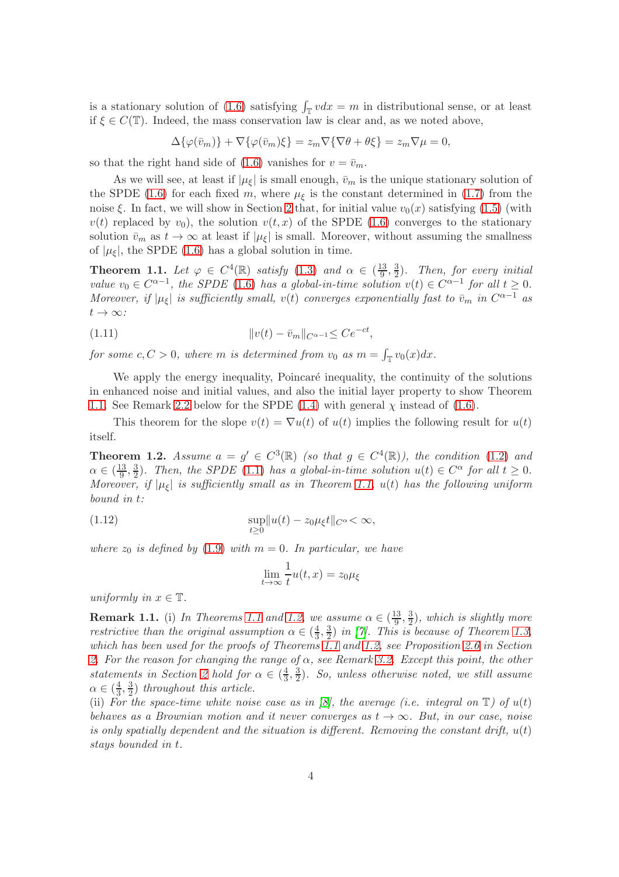is a stationary solution of [\(1.6\)](#page-1-1) satisfying  $\int_{\mathbb{T}} v dx = m$  in distributional sense, or at least if  $\xi \in C(\mathbb{T})$ . Indeed, the mass conservation law is clear and, as we noted above,

$$
\Delta\{\varphi(\bar{v}_m)\} + \nabla\{\varphi(\bar{v}_m)\xi\} = z_m \nabla\{\nabla\theta + \theta\xi\} = z_m \nabla\mu = 0,
$$

so that the right hand side of [\(1.6\)](#page-1-1) vanishes for  $v = \bar{v}_m$ .

As we will see, at least if  $|\mu_{\xi}|$  is small enough,  $\bar{v}_m$  is the unique stationary solution of the SPDE [\(1.6\)](#page-1-1) for each fixed m, where  $\mu_{\xi}$  is the constant determined in [\(1.7\)](#page-2-0) from the noise  $\xi$ . In fact, we will show in Section [2](#page-6-0) that, for initial value  $v_0(x)$  satisfying [\(1.5\)](#page-1-2) (with  $v(t)$  replaced by  $v_0$ , the solution  $v(t, x)$  of the SPDE [\(1.6\)](#page-1-1) converges to the stationary solution  $\bar{v}_m$  as  $t \to \infty$  at least if  $|\mu_{\xi}|$  is small. Moreover, without assuming the smallness of  $|\mu_{\xi}|$ , the SPDE [\(1.6\)](#page-1-1) has a global solution in time.

<span id="page-3-0"></span>**Theorem 1.1.** Let  $\varphi \in C^4(\mathbb{R})$  satisfy [\(1.3\)](#page-1-3) and  $\alpha \in (\frac{13}{9})$  $\frac{13}{9}, \frac{3}{2}$  $\frac{3}{2}$ ). Then, for every initial value  $v_0 \in C^{\alpha-1}$ , the SPDE [\(1.6\)](#page-1-1) has a global-in-time solution  $v(t) \in C^{\alpha-1}$  for all  $t \geq 0$ . Moreover, if  $|\mu_{\xi}|$  is sufficiently small,  $v(t)$  converges exponentially fast to  $\bar{v}_m$  in  $C^{\alpha-1}$  as  $t\to\infty$ :

<span id="page-3-2"></span>(1.11) 
$$
||v(t) - \bar{v}_m||_{C^{\alpha - 1}} \leq Ce^{-ct},
$$

for some  $c, C > 0$ , where m is determined from  $v_0$  as  $m = \int_{\mathbb{T}} v_0(x) dx$ .

We apply the energy inequality, Poincaré inequality, the continuity of the solutions in enhanced noise and initial values, and also the initial layer property to show Theorem [1.1.](#page-3-0) See Remark [2.2](#page-11-0) below for the SPDE [\(1.4\)](#page-1-0) with general  $\chi$  instead of [\(1.6\)](#page-1-1).

This theorem for the slope  $v(t) = \nabla u(t)$  of  $u(t)$  implies the following result for  $u(t)$ itself.

<span id="page-3-1"></span>**Theorem 1.2.** Assume  $a = g' \in C^3(\mathbb{R})$  (so that  $g \in C^4(\mathbb{R})$ ), the condition [\(1.2\)](#page-0-1) and  $\alpha \in (\frac{13}{9})$  $\frac{13}{9}, \frac{3}{2}$  $\frac{3}{2}$ ). Then, the SPDE [\(1.1\)](#page-0-0) has a global-in-time solution  $u(t) \in C^{\alpha}$  for all  $t \geq 0$ . Moreover, if  $|\mu_{\xi}|$  is sufficiently small as in Theorem [1.1,](#page-3-0)  $u(t)$  has the following uniform bound in t:

(1.12) 
$$
\sup_{t\geq 0} \|u(t)-z_0\mu_{\xi}t\|_{C^{\alpha}} < \infty,
$$

where  $z_0$  is defined by [\(1.9\)](#page-2-1) with  $m = 0$ . In particular, we have

<span id="page-3-3"></span>
$$
\lim_{t \to \infty} \frac{1}{t} u(t, x) = z_0 \mu_{\xi}
$$

uniformly in  $x \in \mathbb{T}$ .

**Remark [1.1](#page-3-0).** (i) In Theorems 1.1 and [1.2,](#page-3-1) we assume  $\alpha \in (\frac{13}{9})$  $\frac{13}{9}, \frac{3}{2}$  $(\frac{3}{2})$ , which is slightly more restrictive than the original assumption  $\alpha \in (\frac{4}{3})$  $\frac{4}{3}, \frac{3}{2}$  $\frac{3}{2}$ ) in [\[7\]](#page-32-0). This is because of Theorem [1.3,](#page-4-0) which has been used for the proofs of Theorems [1.1](#page-3-0) and [1.2,](#page-3-1) see Proposition [2.6](#page-13-2) in Section [2.](#page-6-0) For the reason for changing the range of  $\alpha$ , see Remark [3.2.](#page-23-0) Except this point, the other statements in Section [2](#page-6-0) hold for  $\alpha \in (\frac{4}{3})$  $\frac{4}{3}, \frac{3}{2}$  $\frac{3}{2}$ ). So, unless otherwise noted, we still assume  $\alpha \in (\frac{4}{3})$  $\frac{4}{3}, \frac{3}{2}$  $\frac{3}{2}$ ) throughout this article.

(ii) For the space-time white noise case as in  $\mathcal{B}$ , the average (i.e. integral on  $\mathbb{T}$ ) of  $u(t)$ behaves as a Brownian motion and it never converges as  $t \to \infty$ . But, in our case, noise is only spatially dependent and the situation is different. Removing the constant drift,  $u(t)$ stays bounded in t.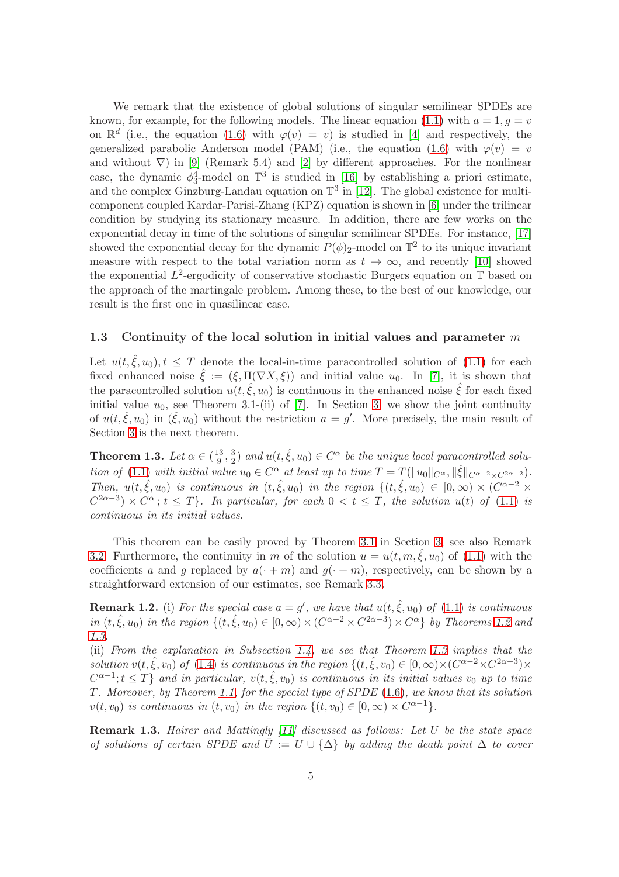We remark that the existence of global solutions of singular semilinear SPDEs are known, for example, for the following models. The linear equation [\(1.1\)](#page-0-0) with  $a = 1, q = v$ on  $\mathbb{R}^d$  (i.e., the equation [\(1.6\)](#page-1-1) with  $\varphi(v) = v$ ) is studied in [\[4\]](#page-32-4) and respectively, the generalized parabolic Anderson model (PAM) (i.e., the equation [\(1.6\)](#page-1-1) with  $\varphi(v) = v$ and without  $\nabla$ ) in [\[9\]](#page-32-2) (Remark 5.4) and [\[2\]](#page-32-5) by different approaches. For the nonlinear case, the dynamic  $\phi_3^4$ -model on  $\mathbb{T}^3$  is studied in [\[16\]](#page-33-1) by establishing a priori estimate, and the complex Ginzburg-Landau equation on  $\mathbb{T}^3$  in [\[12\]](#page-32-6). The global existence for multicomponent coupled Kardar-Parisi-Zhang (KPZ) equation is shown in [\[6\]](#page-32-7) under the trilinear condition by studying its stationary measure. In addition, there are few works on the exponential decay in time of the solutions of singular semilinear SPDEs. For instance, [\[17\]](#page-33-2) showed the exponential decay for the dynamic  $P(\phi)_2$ -model on  $\mathbb{T}^2$  to its unique invariant measure with respect to the total variation norm as  $t \to \infty$ , and recently [\[10\]](#page-32-8) showed the exponential  $L^2$ -ergodicity of conservative stochastic Burgers equation on  $\mathbb T$  based on the approach of the martingale problem. Among these, to the best of our knowledge, our result is the first one in quasilinear case.

### 1.3 Continuity of the local solution in initial values and parameter  $m$

Let  $u(t, \hat{\xi}, u_0), t \leq T$  denote the local-in-time paracontrolled solution of [\(1.1\)](#page-0-0) for each fixed enhanced noise  $\hat{\xi} := (\xi, \Pi(\nabla X, \xi))$  and initial value  $u_0$ . In [\[7\]](#page-32-0), it is shown that the paracontrolled solution  $u(t, \hat{\xi}, u_0)$  is continuous in the enhanced noise  $\hat{\xi}$  for each fixed initial value  $u_0$ , see Theorem 3.1-(ii) of [\[7\]](#page-32-0). In Section [3,](#page-22-0) we show the joint continuity of  $u(t, \hat{\xi}, u_0)$  in  $(\hat{\xi}, u_0)$  without the restriction  $a = g'$ . More precisely, the main result of Section [3](#page-22-0) is the next theorem.

<span id="page-4-0"></span>**Theorem 1.3.** Let  $\alpha \in (\frac{13}{9})$  $\frac{13}{9}, \frac{3}{2}$  $\frac{3}{2}$ ) and  $u(t, \hat{\xi}, u_0) \in C^{\alpha}$  be the unique local paracontrolled solu-tion of [\(1.1\)](#page-0-0) with initial value  $u_0 \in C^{\alpha}$  at least up to time  $T = T(||u_0||_{C^{\alpha}}, ||\hat{\xi}||_{C^{\alpha-2} \times C^{2\alpha-2}})$ . Then,  $u(t, \hat{\xi}, u_0)$  is continuous in  $(t, \hat{\xi}, u_0)$  in the region  $\{(t, \hat{\xi}, u_0) \in [0, \infty) \times (C^{\alpha-2} \times$  $C^{2\alpha-3}$  ×  $C^{\alpha}$ ;  $t \leq T$ . In particular, for each  $0 < t \leq T$ , the solution  $u(t)$  of [\(1.1\)](#page-0-0) is continuous in its initial values.

This theorem can be easily proved by Theorem [3.1](#page-23-1) in Section [3,](#page-22-0) see also Remark [3.2.](#page-23-0) Furthermore, the continuity in m of the solution  $u = u(t, m, \xi, u_0)$  of [\(1.1\)](#page-0-0) with the coefficients a and g replaced by  $a(\cdot + m)$  and  $q(\cdot + m)$ , respectively, can be shown by a straightforward extension of our estimates, see Remark [3.3.](#page-31-0)

<span id="page-4-1"></span>**Remark 1.2.** (i) For the special case  $a = g'$ , we have that  $u(t, \hat{\xi}, u_0)$  of [\(1.1\)](#page-0-0) is continuous in  $(t, \hat{\xi}, u_0)$  in the region  $\{(t, \hat{\xi}, u_0) \in [0, \infty) \times (C^{\alpha-2} \times C^{2\alpha-3}) \times C^{\alpha}\}\$  by Theorems [1.2](#page-3-1) and [1.3.](#page-4-0)

(ii) From the explanation in Subsection [1.4,](#page-5-2) we see that Theorem [1.3](#page-4-0) implies that the solution  $v(t, \hat{\xi}, v_0)$  of [\(1.4\)](#page-1-0) is continuous in the region  $\{(t, \hat{\xi}, v_0) \in [0, \infty) \times (C^{\alpha - 2} \times C^{2\alpha - 3}) \times$  $C^{\alpha-1}$ ;  $t \leq T$ } and in particular,  $v(t, \hat{\xi}, v_0)$  is continuous in its initial values  $v_0$  up to time T. Moreover, by Theorem [1.1,](#page-3-0) for the special type of SPDE [\(1.6\)](#page-1-1), we know that its solution  $v(t, v_0)$  is continuous in  $(t, v_0)$  in the region  $\{(t, v_0) \in [0, \infty) \times C^{\alpha - 1}\}.$ 

Remark 1.3. Hairer and Mattingly [\[11\]](#page-32-1) discussed as follows: Let U be the state space of solutions of certain SPDE and  $\overline{U} := U \cup {\Delta}$  by adding the death point  $\Delta$  to cover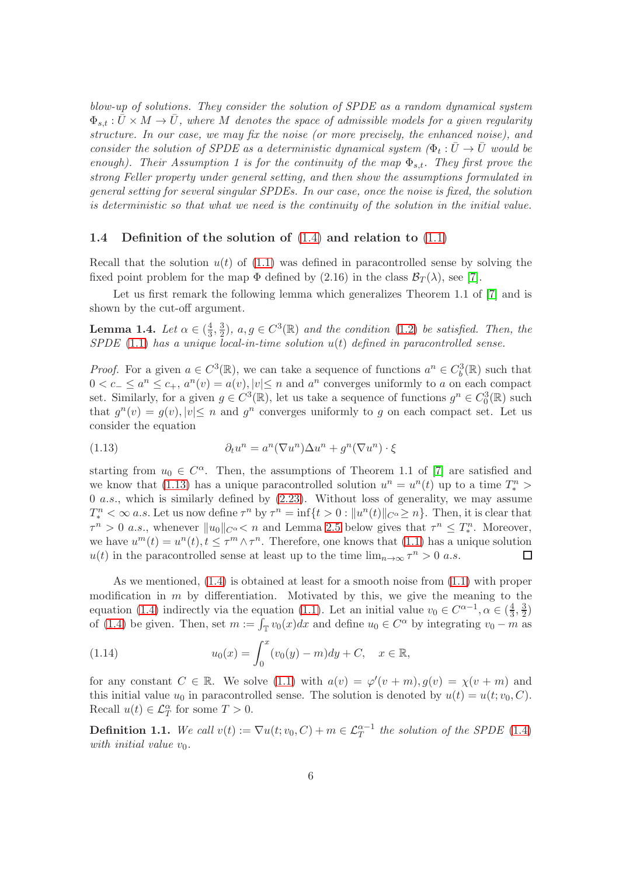blow-up of solutions. They consider the solution of SPDE as a random dynamical system  $\Phi_{s,t} : \bar{U} \times M \to \bar{U}$ , where M denotes the space of admissible models for a given regularity structure. In our case, we may fix the noise (or more precisely, the enhanced noise), and consider the solution of SPDE as a deterministic dynamical system  $(\Phi_t : \bar{U} \to \bar{U} \text{ would be})$ enough). Their Assumption 1 is for the continuity of the map  $\Phi_{s,t}$ . They first prove the strong Feller property under general setting, and then show the assumptions formulated in general setting for several singular SPDEs. In our case, once the noise is fixed, the solution is deterministic so that what we need is the continuity of the solution in the initial value.

### <span id="page-5-2"></span>1.4 Definition of the solution of [\(1.4\)](#page-1-0) and relation to [\(1.1\)](#page-0-0)

Recall that the solution  $u(t)$  of [\(1.1\)](#page-0-0) was defined in paracontrolled sense by solving the fixed point problem for the map  $\Phi$  defined by (2.16) in the class  $\mathcal{B}_T(\lambda)$ , see [\[7\]](#page-32-0).

Let us first remark the following lemma which generalizes Theorem 1.1 of [\[7\]](#page-32-0) and is shown by the cut-off argument.

<span id="page-5-0"></span>Lemma 1.4. Let  $\alpha \in (\frac{4}{3})$  $\frac{4}{3}, \frac{3}{2}$  $\frac{3}{2}$ ,  $a, g \in C^3(\mathbb{R})$  and the condition [\(1.2\)](#page-0-1) be satisfied. Then, the  $S PDE$  [\(1.1\)](#page-0-0) has a unique local-in-time solution  $u(t)$  defined in paracontrolled sense.

*Proof.* For a given  $a \in C^3(\mathbb{R})$ , we can take a sequence of functions  $a^n \in C_b^3(\mathbb{R})$  such that  $0 < c_-\leq a^n \leq c_+, a^n(v) = a(v), |v| \leq n$  and  $a^n$  converges uniformly to a on each compact set. Similarly, for a given  $g \in C^3(\mathbb{R})$ , let us take a sequence of functions  $g^n \in C_0^3(\mathbb{R})$  such that  $g^{n}(v) = g(v), |v| \leq n$  and  $g^{n}$  converges uniformly to g on each compact set. Let us consider the equation

<span id="page-5-3"></span>(1.13) 
$$
\partial_t u^n = a^n (\nabla u^n) \Delta u^n + g^n (\nabla u^n) \cdot \xi
$$

starting from  $u_0 \in C^{\alpha}$ . Then, the assumptions of Theorem 1.1 of [\[7\]](#page-32-0) are satisfied and we know that [\(1.13\)](#page-5-3) has a unique paracontrolled solution  $u^n = u^n(t)$  up to a time  $T_*^n$ 0 a.s., which is similarly defined by  $(2.23)$ . Without loss of generality, we may assume  $T_*^n < \infty$  a.s. Let us now define  $\tau^n$  by  $\tau^n = \inf\{t > 0 : ||u^n(t)||_{C^\alpha} \geq n\}$ . Then, it is clear that  $\tau^n > 0$  a.s., whenever  $||u_0||_{C^{\alpha}} < n$  and Lemma [2.5](#page-13-3) below gives that  $\tau^n \leq T_*^n$ . Moreover, we have  $u^m(t) = u^n(t)$ ,  $t \leq \tau^m \wedge \tau^n$ . Therefore, one knows that [\(1.1\)](#page-0-0) has a unique solution  $u(t)$  in the paracontrolled sense at least up to the time  $\lim_{n\to\infty} \tau^n > 0$  a.s.  $\Box$ 

As we mentioned, [\(1.4\)](#page-1-0) is obtained at least for a smooth noise from [\(1.1\)](#page-0-0) with proper modification in  $m$  by differentiation. Motivated by this, we give the meaning to the equation [\(1.4\)](#page-1-0) indirectly via the equation [\(1.1\)](#page-0-0). Let an initial value  $v_0 \in C^{\alpha-1}, \alpha \in (\frac{4}{3})$  $\frac{4}{3}, \frac{3}{2}$  $\frac{3}{2}$ of [\(1.4\)](#page-1-0) be given. Then, set  $m := \overline{\int_{\mathbb{T}} v_0(x) dx}$  and define  $u_0 \in C^{\alpha}$  by integrating  $v_0 - m$  as

<span id="page-5-4"></span>(1.14) 
$$
u_0(x) = \int_0^x (v_0(y) - m) dy + C, \quad x \in \mathbb{R},
$$

for any constant  $C \in \mathbb{R}$ . We solve [\(1.1\)](#page-0-0) with  $a(v) = \varphi'(v+m)$ ,  $g(v) = \chi(v+m)$  and this initial value  $u_0$  in paracontrolled sense. The solution is denoted by  $u(t) = u(t; v_0, C)$ . Recall  $u(t) \in \mathcal{L}_T^{\alpha}$  for some  $T > 0$ .

<span id="page-5-1"></span>**Definition 1.1.** We call  $v(t) := \nabla u(t; v_0, C) + m \in \mathcal{L}_T^{\alpha-1}$  the solution of the SPDE [\(1.4\)](#page-1-0) with initial value  $v_0$ .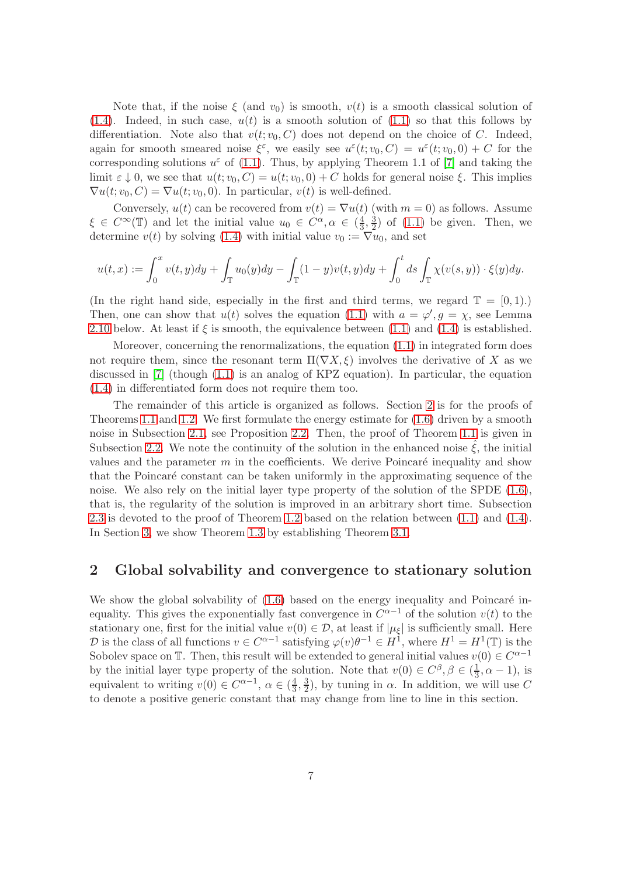Note that, if the noise  $\xi$  (and  $v_0$ ) is smooth,  $v(t)$  is a smooth classical solution of  $(1.4)$ . Indeed, in such case,  $u(t)$  is a smooth solution of  $(1.1)$  so that this follows by differentiation. Note also that  $v(t; v_0, C)$  does not depend on the choice of C. Indeed, again for smooth smeared noise  $\xi^{\varepsilon}$ , we easily see  $u^{\varepsilon}(t; v_0, C) = u^{\varepsilon}(t; v_0, 0) + C$  for the corresponding solutions  $u^{\varepsilon}$  of [\(1.1\)](#page-0-0). Thus, by applying Theorem 1.1 of [\[7\]](#page-32-0) and taking the limit  $\varepsilon \downarrow 0$ , we see that  $u(t; v_0, C) = u(t; v_0, 0) + C$  holds for general noise  $\xi$ . This implies  $\nabla u(t; v_0, C) = \nabla u(t; v_0, 0)$ . In particular,  $v(t)$  is well-defined.

Conversely,  $u(t)$  can be recovered from  $v(t) = \nabla u(t)$  (with  $m = 0$ ) as follows. Assume  $\xi \in C^{\infty}(\mathbb{T})$  and let the initial value  $u_0 \in C^{\alpha}, \alpha \in (\frac{4}{3})$  $\frac{4}{3}, \frac{3}{2}$  $\frac{3}{2}$ ) of  $(1.1)$  be given. Then, we determine  $v(t)$  by solving [\(1.4\)](#page-1-0) with initial value  $v_0 := \nabla u_0$ , and set

$$
u(t,x) := \int_0^x v(t,y) dy + \int_{\mathbb{T}} u_0(y) dy - \int_{\mathbb{T}} (1-y)v(t,y) dy + \int_0^t ds \int_{\mathbb{T}} \chi(v(s,y)) \cdot \xi(y) dy.
$$

(In the right hand side, especially in the first and third terms, we regard  $\mathbb{T} = [0, 1)$ .) Then, one can show that  $u(t)$  solves the equation [\(1.1\)](#page-0-0) with  $a = \varphi'$ ,  $g = \chi$ , see Lemma [2.10](#page-18-0) below. At least if  $\xi$  is smooth, the equivalence between [\(1.1\)](#page-0-0) and [\(1.4\)](#page-1-0) is established.

Moreover, concerning the renormalizations, the equation [\(1.1\)](#page-0-0) in integrated form does not require them, since the resonant term  $\Pi(\nabla X, \xi)$  involves the derivative of X as we discussed in [\[7\]](#page-32-0) (though [\(1.1\)](#page-0-0) is an analog of KPZ equation). In particular, the equation [\(1.4\)](#page-1-0) in differentiated form does not require them too.

The remainder of this article is organized as follows. Section [2](#page-6-0) is for the proofs of Theorems [1.1](#page-3-0) and [1.2.](#page-3-1) We first formulate the energy estimate for [\(1.6\)](#page-1-1) driven by a smooth noise in Subsection [2.1,](#page-7-0) see Proposition [2.2.](#page-9-0) Then, the proof of Theorem [1.1](#page-3-0) is given in Subsection [2.2.](#page-12-0) We note the continuity of the solution in the enhanced noise  $\xi$ , the initial values and the parameter  $m$  in the coefficients. We derive Poincaré inequality and show that the Poincaré constant can be taken uniformly in the approximating sequence of the noise. We also rely on the initial layer type property of the solution of the SPDE  $(1.6)$ , that is, the regularity of the solution is improved in an arbitrary short time. Subsection [2.3](#page-18-1) is devoted to the proof of Theorem [1.2](#page-3-1) based on the relation between [\(1.1\)](#page-0-0) and [\(1.4\)](#page-1-0). In Section [3,](#page-22-0) we show Theorem [1.3](#page-4-0) by establishing Theorem [3.1.](#page-23-1)

# <span id="page-6-0"></span>2 Global solvability and convergence to stationary solution

We show the global solvability of  $(1.6)$  based on the energy inequality and Poincaré inequality. This gives the exponentially fast convergence in  $C^{\alpha-1}$  of the solution  $v(t)$  to the stationary one, first for the initial value  $v(0) \in \mathcal{D}$ , at least if  $|\mu_{\xi}|$  is sufficiently small. Here D is the class of all functions  $v \in C^{\alpha-1}$  satisfying  $\varphi(v)\theta^{-1} \in H^1$ , where  $H^1 = H^1(\mathbb{T})$  is the Sobolev space on  $\mathbb{T}$ . Then, this result will be extended to general initial values  $v(0) \in C^{\alpha-1}$ by the initial layer type property of the solution. Note that  $v(0) \in C^{\beta}, \beta \in (\frac{1}{3})$  $\frac{1}{3}$ ,  $\alpha$  – 1), is equivalent to writing  $v(0) \in C^{\alpha-1}$ ,  $\alpha \in (\frac{4}{3})$  $\frac{4}{3}, \frac{3}{2}$  $\frac{3}{2}$ , by tuning in  $\alpha$ . In addition, we will use C to denote a positive generic constant that may change from line to line in this section.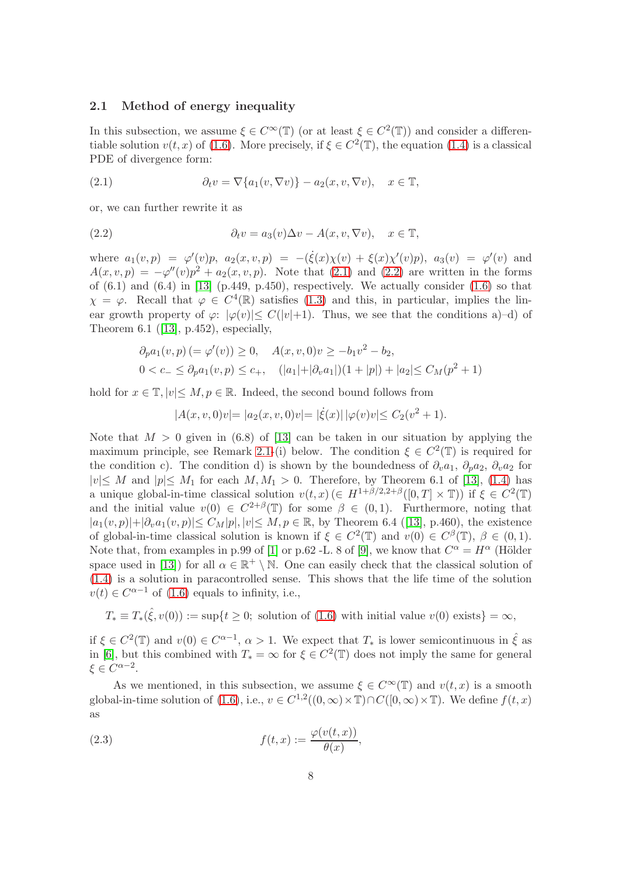#### <span id="page-7-0"></span>2.1 Method of energy inequality

In this subsection, we assume  $\xi \in C^{\infty}(\mathbb{T})$  (or at least  $\xi \in C^{2}(\mathbb{T})$ ) and consider a differentiable solution  $v(t, x)$  of [\(1.6\)](#page-1-1). More precisely, if  $\xi \in C^2(\mathbb{T})$ , the equation [\(1.4\)](#page-1-0) is a classical PDE of divergence form:

<span id="page-7-1"></span>(2.1) 
$$
\partial_t v = \nabla \{a_1(v, \nabla v)\} - a_2(x, v, \nabla v), \quad x \in \mathbb{T},
$$

or, we can further rewrite it as

<span id="page-7-2"></span>(2.2) 
$$
\partial_t v = a_3(v)\Delta v - A(x, v, \nabla v), \quad x \in \mathbb{T},
$$

where  $a_1(v, p) = \varphi'(v)p$ ,  $a_2(x, v, p) = -(\dot{\xi}(x)\chi(v) + \xi(x)\chi'(v)p)$ ,  $a_3(v) = \varphi'(v)$  and  $A(x, v, p) = -\varphi''(v)p^2 + a_2(x, v, p)$ . Note that [\(2.1\)](#page-7-1) and [\(2.2\)](#page-7-2) are written in the forms of  $(6.1)$  and  $(6.4)$  in [\[13\]](#page-32-9) (p.449, p.450), respectively. We actually consider  $(1.6)$  so that  $\chi = \varphi$ . Recall that  $\varphi \in C^4(\mathbb{R})$  satisfies [\(1.3\)](#page-1-3) and this, in particular, implies the linear growth property of  $\varphi: |\varphi(v)| \leq C(|v|+1)$ . Thus, we see that the conditions a -d) of Theorem6.1 ([\[13\]](#page-32-9),  $p.452$ ), especially,

$$
\partial_p a_1(v, p) (= \varphi'(v)) \ge 0, \quad A(x, v, 0)v \ge -b_1v^2 - b_2,
$$
  
 
$$
0 < c_- \le \partial_p a_1(v, p) \le c_+, \quad (|a_1| + |\partial_v a_1|)(1 + |p|) + |a_2| \le C_M(p^2 + 1)
$$

hold for  $x \in \mathbb{T}$ ,  $|v| \leq M$ ,  $p \in \mathbb{R}$ . Indeed, the second bound follows from

$$
|A(x,v,0)v| = |a_2(x,v,0)v| = |\dot{\xi}(x)| |\varphi(v)v| \le C_2(v^2+1).
$$

Note that  $M > 0$  given in (6.8) of [\[13\]](#page-32-9) can be taken in our situation by applying the maximum principle, see Remark [2.1-](#page-11-1)(i) below. The condition  $\xi \in C^2(\mathbb{T})$  is required for the condition c). The condition d) is shown by the boundedness of  $\partial_{v}a_{1}, \partial_{p}a_{2}, \partial_{v}a_{2}$  for  $|v| \leq M$  and  $|p| \leq M_1$  for each  $M, M_1 > 0$ . Therefore, by Theorem 6.1 of [\[13\]](#page-32-9), [\(1.4\)](#page-1-0) has a unique global-in-time classical solution  $v(t,x)$  ( $\in H^{1+\beta/2,2+\beta}([0,T] \times \mathbb{T})$ ) if  $\xi \in C^2(\mathbb{T})$ and the initial value  $v(0) \in C^{2+\beta}(\mathbb{T})$  for some  $\beta \in (0,1)$ . Furthermore, noting that  $|a_1(v, p)| + |\partial_v a_1(v, p)| \le C_M |p|, |v| \le M, p \in \mathbb{R}$  $|a_1(v, p)| + |\partial_v a_1(v, p)| \le C_M |p|, |v| \le M, p \in \mathbb{R}$  $|a_1(v, p)| + |\partial_v a_1(v, p)| \le C_M |p|, |v| \le M, p \in \mathbb{R}$ , by Theorem 6.4 ([\[13\]](#page-32-9), p.460), the existence of global-in-time classical solution is known if  $\xi \in C^2(\mathbb{T})$  and  $v(0) \in C^{\beta}(\mathbb{T})$ ,  $\beta \in (0,1)$ . Note that, from examples in p.99 of [\[1\]](#page-32-10) or p.62 -L. 8 of [\[9\]](#page-32-2), we know that  $C^{\alpha} = H^{\alpha}$  (Hölder space used in [\[13\]](#page-32-9)) for all  $\alpha \in \mathbb{R}^+ \setminus \mathbb{N}$ . One can easily check that the classical solution of [\(1.4\)](#page-1-0) is a solution in paracontrolled sense. This shows that the life time of the solution  $v(t) \in C^{\alpha-1}$  of [\(1.6\)](#page-1-1) equals to infinity, i.e.,

$$
T_* \equiv T_*(\hat{\xi}, v(0)) := \sup\{t \ge 0; \text{ solution of (1.6) with initial value } v(0) \text{ exists}\} = \infty,
$$

if  $\xi \in C^2(\mathbb{T})$  and  $v(0) \in C^{\alpha-1}$ ,  $\alpha > 1$ . We expect that  $T_*$  is lower semicontinuous in  $\hat{\xi}$  as in [\[6\]](#page-32-7), but this combined with  $T_* = \infty$  for  $\xi \in C^2(\mathbb{T})$  does not imply the same for general  $\xi \in C^{\alpha-2}.$ 

As we mentioned, in this subsection, we assume  $\xi \in C^{\infty}(\mathbb{T})$  and  $v(t, x)$  is a smooth global-in-time solution of  $(1.6)$ , i.e.,  $v \in C^{1,2}((0,\infty) \times \mathbb{T}) \cap C([0,\infty) \times \mathbb{T})$ . We define  $f(t,x)$ as

<span id="page-7-3"></span>(2.3) 
$$
f(t,x) := \frac{\varphi(v(t,x))}{\theta(x)},
$$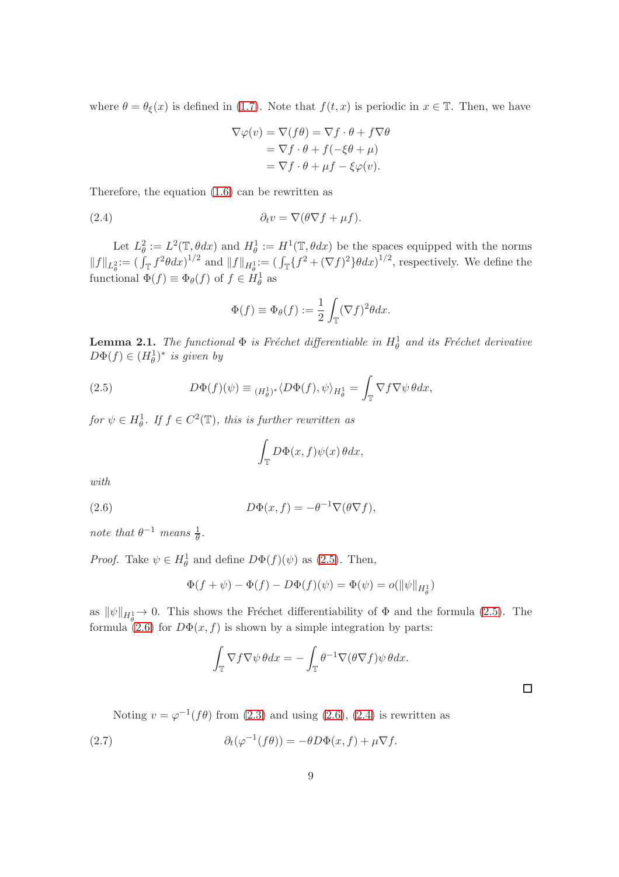where  $\theta = \theta_{\xi}(x)$  is defined in [\(1.7\)](#page-2-0). Note that  $f(t, x)$  is periodic in  $x \in \mathbb{T}$ . Then, we have

<span id="page-8-2"></span>
$$
\nabla \varphi(v) = \nabla (f\theta) = \nabla f \cdot \theta + f \nabla \theta
$$

$$
= \nabla f \cdot \theta + f(-\xi \theta + \mu)
$$

$$
= \nabla f \cdot \theta + \mu f - \xi \varphi(v).
$$

Therefore, the equation [\(1.6\)](#page-1-1) can be rewritten as

(2.4) 
$$
\partial_t v = \nabla (\theta \nabla f + \mu f).
$$

Let  $L^2_{\theta} := L^2(\mathbb{T}, \theta dx)$  and  $H^1_{\theta} := H^1(\mathbb{T}, \theta dx)$  be the spaces equipped with the norms  $||f||_{L^2_{\theta}} := (\int_{\mathbb{T}} f^2 \theta dx)^{1/2}$  and  $||f||_{H^1_{\theta}} := (\int_{\mathbb{T}} \{f^2 + (\nabla f)^2\} \theta dx)^{1/2}$ , respectively. We define the functional  $\Phi(f) \equiv \Phi_{\theta}(f)$  of  $f \in H^1_{\theta}$  as

$$
\Phi(f) \equiv \Phi_{\theta}(f) := \frac{1}{2} \int_{\mathbb{T}} (\nabla f)^2 \theta dx.
$$

**Lemma 2.1.** The functional  $\Phi$  is Fréchet differentiable in  $H^1_\theta$  and its Fréchet derivative  $D\Phi(f) \in (H_{\theta}^1)^*$  is given by

(2.5) 
$$
D\Phi(f)(\psi) \equiv \frac{H^1_{\theta}}{H^1_{\theta}} \langle D\Phi(f), \psi \rangle_{H^1_{\theta}} = \int_{\mathbb{T}} \nabla f \nabla \psi \, \theta dx,
$$

for  $\psi \in H^1_{\theta}$ . If  $f \in C^2(\mathbb{T})$ , this is further rewritten as

<span id="page-8-1"></span><span id="page-8-0"></span>
$$
\int_{\mathbb{T}} D\Phi(x,f)\psi(x)\,\theta dx,
$$

with

(2.6) 
$$
D\Phi(x,f) = -\theta^{-1}\nabla(\theta\nabla f),
$$

note that  $\theta^{-1}$  means  $\frac{1}{\theta}$ .

*Proof.* Take  $\psi \in H^1_\theta$  and define  $D\Phi(f)(\psi)$  as [\(2.5\)](#page-8-0). Then,

$$
\Phi(f + \psi) - \Phi(f) - D\Phi(f)(\psi) = \Phi(\psi) = o(||\psi||_{H^1_{\theta}})
$$

as  $\|\psi\|_{H^1_{\theta}} \to 0$ . This shows the Fréchet differentiability of  $\Phi$  and the formula [\(2.5\)](#page-8-0). The formula [\(2.6\)](#page-8-1) for  $D\Phi(x, f)$  is shown by a simple integration by parts:

<span id="page-8-3"></span>
$$
\int_{\mathbb{T}} \nabla f \nabla \psi \, \theta dx = -\int_{\mathbb{T}} \theta^{-1} \nabla (\theta \nabla f) \psi \, \theta dx.
$$

 $\Box$ 

Noting  $v = \varphi^{-1}(f\theta)$  from [\(2.3\)](#page-7-3) and using [\(2.6\)](#page-8-1), [\(2.4\)](#page-8-2) is rewritten as

(2.7) 
$$
\partial_t(\varphi^{-1}(f\theta)) = -\theta D\Phi(x,f) + \mu \nabla f.
$$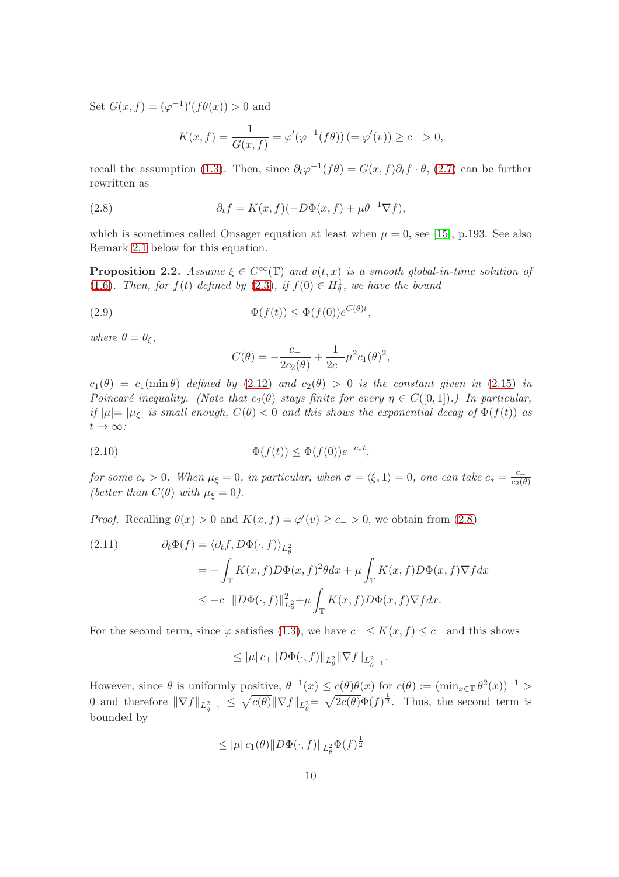Set  $G(x, f) = (\varphi^{-1})'(f\theta(x)) > 0$  and

<span id="page-9-1"></span>
$$
K(x, f) = \frac{1}{G(x, f)} = \varphi'(\varphi^{-1}(f\theta)) = \varphi'(v) \ge c_- > 0,
$$

recall the assumption [\(1.3\)](#page-1-3). Then, since  $\partial_t \varphi^{-1}(f\theta) = G(x, f)\partial_t f \cdot \theta$ , [\(2.7\)](#page-8-3) can be further rewritten as

(2.8) 
$$
\partial_t f = K(x, f)(-D\Phi(x, f) + \mu \theta^{-1} \nabla f),
$$

which is sometimes called Onsager equation at least when  $\mu = 0$ , see [\[15\]](#page-33-3), p.193. See also Remark [2.1](#page-11-1) below for this equation.

<span id="page-9-0"></span>**Proposition 2.2.** Assume  $\xi \in C^{\infty}(\mathbb{T})$  and  $v(t, x)$  is a smooth global-in-time solution of [\(1.6\)](#page-1-1). Then, for  $f(t)$  defined by [\(2.3\)](#page-7-3), if  $f(0) \in H^1_\theta$ , we have the bound

(2.9) 
$$
\Phi(f(t)) \leq \Phi(f(0))e^{C(\theta)t},
$$

where  $\theta = \theta_{\xi}$ ,

<span id="page-9-3"></span><span id="page-9-2"></span>
$$
C(\theta) = -\frac{c_-}{2c_2(\theta)} + \frac{1}{2c_-}\mu^2 c_1(\theta)^2,
$$

 $c_1(\theta) = c_1(\min \theta)$  defined by [\(2.12\)](#page-10-0) and  $c_2(\theta) > 0$  is the constant given in [\(2.15\)](#page-10-1) in Poincaré inequality. (Note that  $c_2(\theta)$  stays finite for every  $\eta \in C([0,1])$ .) In particular, if  $|\mu|=|\mu_{\xi}|$  is small enough,  $C(\theta) < 0$  and this shows the exponential decay of  $\Phi(f(t))$  as  $t\to\infty$ :

$$
(2.10) \t\t \Phi(f(t)) \le \Phi(f(0))e^{-c_*t},
$$

for some  $c_* > 0$ . When  $\mu_{\xi} = 0$ , in particular, when  $\sigma = \langle \xi, 1 \rangle = 0$ , one can take  $c_* = \frac{c_-}{c_2(\xi)}$  $c_2(\theta)$ (better than  $C(\theta)$  with  $\mu_{\xi} = 0$ ).

*Proof.* Recalling  $\theta(x) > 0$  and  $K(x, f) = \varphi'(v) \ge c_- > 0$ , we obtain from [\(2.8\)](#page-9-1)

<span id="page-9-4"></span>(2.11) 
$$
\partial_t \Phi(f) = \langle \partial_t f, D\Phi(\cdot, f) \rangle_{L^2_{\theta}} \n= - \int_{\mathbb{T}} K(x, f) D\Phi(x, f)^2 \theta dx + \mu \int_{\mathbb{T}} K(x, f) D\Phi(x, f) \nabla f dx \n\le -c_- \| D\Phi(\cdot, f) \|_{L^2_{\theta}}^2 + \mu \int_{\mathbb{T}} K(x, f) D\Phi(x, f) \nabla f dx.
$$

For the second term, since  $\varphi$  satisfies [\(1.3\)](#page-1-3), we have  $c_-\leq K(x, f) \leq c_+$  and this shows

$$
\leq |\mu| \, c_+ \| D\Phi(\cdot, f) \|_{L^2_\theta} \| \nabla f \|_{L^2_{\theta^{-1}}}.
$$

However, since  $\theta$  is uniformly positive,  $\theta^{-1}(x) \leq c(\theta)\theta(x)$  for  $c(\theta) := (\min_{x \in \mathbb{T}} \theta^2(x))^{-1} >$ 0 and therefore  $\|\nabla f\|_{L^2_{\theta^{-1}}} \leq \sqrt{c(\theta)} \|\nabla f\|_{L^2_{\theta}} = \sqrt{2c(\theta)} \Phi(f)^{\frac{1}{2}}$ . Thus, the second term is bounded by

$$
\leq |\mu| c_1(\theta) \| D\Phi(\cdot, f) \|_{L^2_{\theta}} \Phi(f)^{\frac{1}{2}}
$$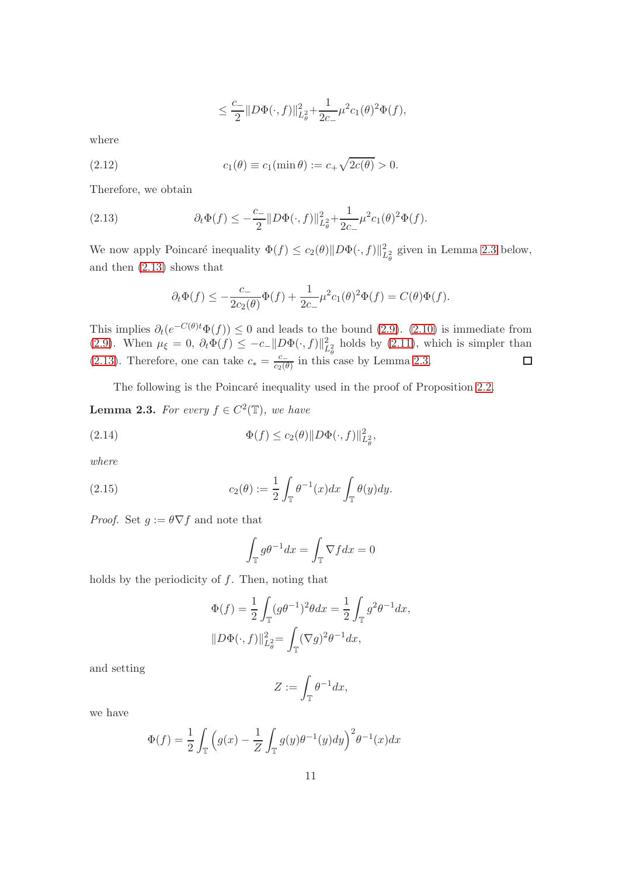$$
\leq \frac{c_-}{2} \| D\Phi(\cdot, f) \|_{L^2_{\theta}}^2 + \frac{1}{2c_-} \mu^2 c_1(\theta)^2 \Phi(f),
$$

where

<span id="page-10-0"></span>(2.12) 
$$
c_1(\theta) \equiv c_1(\min \theta) := c_+ \sqrt{2c(\theta)} > 0.
$$

Therefore, we obtain

<span id="page-10-3"></span>(2.13) 
$$
\partial_t \Phi(f) \leq -\frac{c_-}{2} \| D \Phi(\cdot, f) \|_{L^2_{\theta}}^2 + \frac{1}{2c_-} \mu^2 c_1(\theta)^2 \Phi(f).
$$

We now apply Poincaré inequality  $\Phi(f) \le c_2(\theta) \|D\Phi(\cdot, f)\|_{L^2_{\theta}}^2$  given in Lemma [2.3](#page-10-2) below, and then [\(2.13\)](#page-10-3) shows that

$$
\partial_t \Phi(f) \le -\frac{c_-}{2c_2(\theta)} \Phi(f) + \frac{1}{2c_-} \mu^2 c_1(\theta)^2 \Phi(f) = C(\theta) \Phi(f).
$$

This implies  $\partial_t(e^{-C(\theta)t}\Phi(f)) \leq 0$  and leads to the bound [\(2.9\)](#page-9-2). [\(2.10\)](#page-9-3) is immediate from [\(2.9\)](#page-9-2). When  $\mu_{\xi} = 0$ ,  $\partial_t \Phi(f) \leq -c_- ||D\Phi(\cdot, f)||^2_{L^2_{\theta}}$  holds by [\(2.11\)](#page-9-4), which is simpler than [\(2.13\)](#page-10-3). Therefore, one can take  $c_* = \frac{c_-}{c_2 (6)}$  $\frac{c}{c_2(\theta)}$  in this case by Lemma [2.3.](#page-10-2)

The following is the Poincaré inequality used in the proof of Proposition [2.2.](#page-9-0)

<span id="page-10-2"></span>**Lemma 2.3.** For every  $f \in C^2(\mathbb{T})$ , we have

(2.14) 
$$
\Phi(f) \le c_2(\theta) \|D\Phi(\cdot, f)\|_{L^2_{\theta}}^2,
$$

where

(2.15) 
$$
c_2(\theta) := \frac{1}{2} \int_{\mathbb{T}} \theta^{-1}(x) dx \int_{\mathbb{T}} \theta(y) dy.
$$

*Proof.* Set  $g := \theta \nabla f$  and note that

<span id="page-10-1"></span>
$$
\int_{\mathbb{T}} g \theta^{-1} dx = \int_{\mathbb{T}} \nabla f dx = 0
$$

holds by the periodicity of  $f$ . Then, noting that

$$
\Phi(f) = \frac{1}{2} \int_{\mathbb{T}} (g\theta^{-1})^2 \theta dx = \frac{1}{2} \int_{\mathbb{T}} g^2 \theta^{-1} dx,
$$
  

$$
||D\Phi(\cdot, f)||_{L^2_{\theta}}^2 = \int_{\mathbb{T}} (\nabla g)^2 \theta^{-1} dx,
$$

and setting

$$
Z:=\int_{\mathbb{T}}\theta^{-1}dx,
$$

we have

$$
\Phi(f) = \frac{1}{2} \int_{\mathbb{T}} \left( g(x) - \frac{1}{Z} \int_{\mathbb{T}} g(y) \theta^{-1}(y) dy \right)^2 \theta^{-1}(x) dx
$$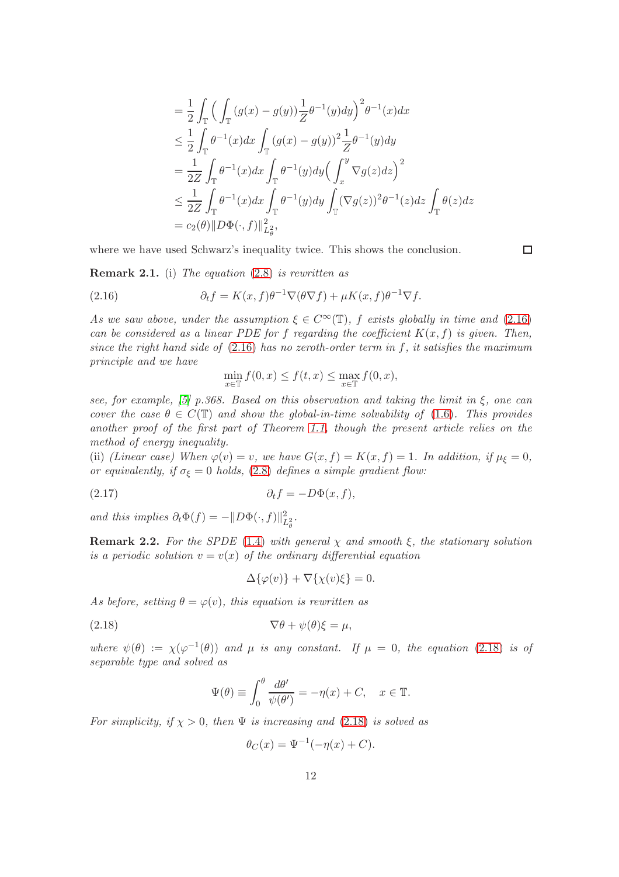$$
\begin{split}\n&= \frac{1}{2}\int_{\mathbb{T}}\Big(\int_{\mathbb{T}}\big(g(x)-g(y)\big)\frac{1}{Z}\theta^{-1}(y)dy\Big)^2\theta^{-1}(x)dx \\
&\leq \frac{1}{2}\int_{\mathbb{T}}\theta^{-1}(x)dx\int_{\mathbb{T}}\big(g(x)-g(y)\big)^2\frac{1}{Z}\theta^{-1}(y)dy \\
&= \frac{1}{2Z}\int_{\mathbb{T}}\theta^{-1}(x)dx\int_{\mathbb{T}}\theta^{-1}(y)dy\Big(\int_x^y\nabla g(z)dz\Big)^2 \\
&\leq \frac{1}{2Z}\int_{\mathbb{T}}\theta^{-1}(x)dx\int_{\mathbb{T}}\theta^{-1}(y)dy\int_{\mathbb{T}}(\nabla g(z))^2\theta^{-1}(z)dz\int_{\mathbb{T}}\theta(z)dz \\
&= c_2(\theta)\|D\Phi(\cdot,f)\|_{L^2_{\theta}}^2,\n\end{split}
$$

where we have used Schwarz's inequality twice. This shows the conclusion.

 $\Box$ 

<span id="page-11-1"></span>**Remark 2.1.** (i) The equation  $(2.8)$  is rewritten as

(2.16) 
$$
\partial_t f = K(x, f) \theta^{-1} \nabla (\theta \nabla f) + \mu K(x, f) \theta^{-1} \nabla f.
$$

As we saw above, under the assumption  $\xi \in C^{\infty}(\mathbb{T})$ , f exists globally in time and [\(2.16\)](#page-11-2) can be considered as a linear PDE for f regarding the coefficient  $K(x, f)$  is given. Then, since the right hand side of  $(2.16)$  has no zeroth-order term in f, it satisfies the maximum principle and we have

<span id="page-11-2"></span>
$$
\min_{x \in \mathbb{T}} f(0, x) \le f(t, x) \le \max_{x \in \mathbb{T}} f(0, x),
$$

see, for example, [\[5\]](#page-32-11) p.368. Based on this observation and taking the limit in  $\xi$ , one can cover the case  $\theta \in C(\mathbb{T})$  and show the global-in-time solvability of [\(1.6\)](#page-1-1). This provides another proof of the first part of Theorem [1.1,](#page-3-0) though the present article relies on the method of energy inequality.

(ii) (Linear case) When  $\varphi(v) = v$ , we have  $G(x, f) = K(x, f) = 1$ . In addition, if  $\mu_{\xi} = 0$ , or equivalently, if  $\sigma_{\xi} = 0$  holds, [\(2.8\)](#page-9-1) defines a simple gradient flow:

$$
(2.17) \t\t \t\t \partial_t f = -D\Phi(x, f),
$$

and this implies  $\partial_t \Phi(f) = -\|D\Phi(\cdot, f)\|_{L^2_{\theta}}^2$ .

<span id="page-11-0"></span>**Remark 2.2.** For the SPDE [\(1.4\)](#page-1-0) with general  $\chi$  and smooth  $\xi$ , the stationary solution is a periodic solution  $v = v(x)$  of the ordinary differential equation

<span id="page-11-3"></span>
$$
\Delta\{\varphi(v)\} + \nabla\{\chi(v)\xi\} = 0.
$$

As before, setting  $\theta = \varphi(v)$ , this equation is rewritten as

(2.18) 
$$
\nabla \theta + \psi(\theta)\xi = \mu,
$$

where  $\psi(\theta) := \chi(\varphi^{-1}(\theta))$  and  $\mu$  is any constant. If  $\mu = 0$ , the equation [\(2.18\)](#page-11-3) is of separable type and solved as

$$
\Psi(\theta) \equiv \int_0^{\theta} \frac{d\theta'}{\psi(\theta')} = -\eta(x) + C, \quad x \in \mathbb{T}.
$$

For simplicity, if  $\chi > 0$ , then  $\Psi$  is increasing and [\(2.18\)](#page-11-3) is solved as

$$
\theta_C(x) = \Psi^{-1}(-\eta(x) + C).
$$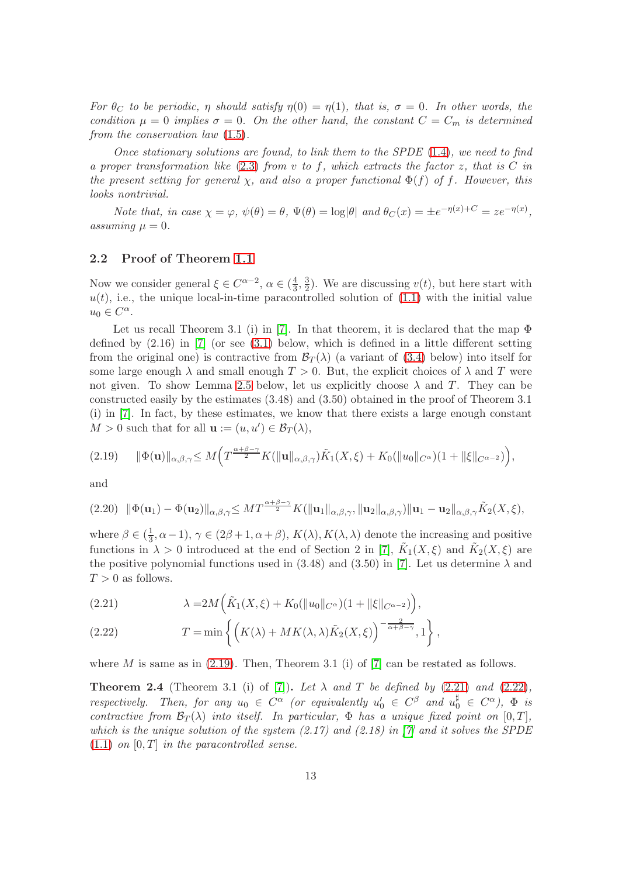For  $\theta_C$  to be periodic,  $\eta$  should satisfy  $\eta(0) = \eta(1)$ , that is,  $\sigma = 0$ . In other words, the condition  $\mu = 0$  implies  $\sigma = 0$ . On the other hand, the constant  $C = C_m$  is determined from the conservation law [\(1.5\)](#page-1-2).

Once stationary solutions are found, to link them to the SPDE  $(1.4)$ , we need to find a proper transformation like  $(2.3)$  from v to f, which extracts the factor z, that is C in the present setting for general  $\chi$ , and also a proper functional  $\Phi(f)$  of f. However, this looks nontrivial.

Note that, in case  $\chi = \varphi$ ,  $\psi(\theta) = \theta$ ,  $\Psi(\theta) = \log |\theta|$  and  $\theta_C(x) = \pm e^{-\eta(x)+C} = ze^{-\eta(x)}$ , assuming  $\mu = 0$ .

#### <span id="page-12-0"></span>2.2 Proof of Theorem [1.1](#page-3-0)

Now we consider general  $\xi \in C^{\alpha-2}$ ,  $\alpha \in (\frac{4}{3})$  $\frac{4}{3}, \frac{3}{2}$  $\frac{3}{2}$ ). We are discussing  $v(t)$ , but here start with  $u(t)$ , i.e., the unique local-in-time paracontrolled solution of  $(1.1)$  with the initial value  $u_0 \in C^{\alpha}$ .

Let us recall Theorem 3.1 (i) in [\[7\]](#page-32-0). In that theorem, it is declared that the map  $\Phi$ defined by  $(2.16)$  in [\[7\]](#page-32-0) (or see  $(3.1)$  below, which is defined in a little different setting from the original one) is contractive from  $\mathcal{B}_T(\lambda)$  (a variant of [\(3.4\)](#page-23-2) below) into itself for some large enough  $\lambda$  and small enough  $T > 0$ . But, the explicit choices of  $\lambda$  and T were not given. To show Lemma [2.5](#page-13-3) below, let us explicitly choose  $\lambda$  and T. They can be constructed easily by the estimates (3.48) and (3.50) obtained in the proof of Theorem 3.1 (i) in [\[7\]](#page-32-0). In fact, by these estimates, we know that there exists a large enough constant  $M > 0$  such that for all  $\mathbf{u} := (u, u') \in \mathcal{B}_T(\lambda)$ ,

<span id="page-12-1"></span>
$$
(2.19) \qquad \|\Phi(\mathbf{u})\|_{\alpha,\beta,\gamma} \leq M \Big( T^{\frac{\alpha+\beta-\gamma}{2}} K(\|\mathbf{u}\|_{\alpha,\beta,\gamma}) \tilde{K}_1(X,\xi) + K_0(\|u_0\|_{C^\alpha})(1+\|\xi\|_{C^{\alpha-2}}) \Big),
$$

and

<span id="page-12-4"></span>
$$
(2.20) \|\Phi(\mathbf{u}_1)-\Phi(\mathbf{u}_2)\|_{\alpha,\beta,\gamma} \leq MT^{\frac{\alpha+\beta-\gamma}{2}}K(\|\mathbf{u}_1\|_{\alpha,\beta,\gamma},\|\mathbf{u}_2\|_{\alpha,\beta,\gamma})\|\mathbf{u}_1-\mathbf{u}_2\|_{\alpha,\beta,\gamma}\tilde{K}_2(X,\xi),
$$

where  $\beta \in (\frac{1}{3})$  $(\frac{1}{3}, \alpha - 1), \gamma \in (2\beta + 1, \alpha + \beta), K(\lambda), K(\lambda, \lambda)$  denote the increasing and positive functions in  $\lambda > 0$  introduced at the end of Section 2 in [\[7\]](#page-32-0),  $\tilde{K}_1(X,\xi)$  and  $\tilde{K}_2(X,\xi)$  are the positive polynomial functions used in (3.48) and (3.50) in [\[7\]](#page-32-0). Let us determine  $\lambda$  and  $T > 0$  as follows.

<span id="page-12-2"></span>(2.21) 
$$
\lambda = 2M(\tilde{K}_1(X,\xi) + K_0(\|u_0\|_{C^{\alpha}})(1 + \|\xi\|_{C^{\alpha-2}})),
$$

<span id="page-12-3"></span>(2.22) 
$$
T = \min \left\{ \left( K(\lambda) + MK(\lambda, \lambda) \tilde{K}_2(X, \xi) \right)^{-\frac{2}{\alpha + \beta - \gamma}}, 1 \right\},\,
$$

where M is same as in  $(2.19)$ . Then, Theorem 3.1 (i) of [\[7\]](#page-32-0) can be restated as follows.

<span id="page-12-5"></span>**Theorem 2.4** (Theorem 3.1 (i) of [\[7\]](#page-32-0)). Let  $\lambda$  and T be defined by [\(2.21\)](#page-12-2) and [\(2.22\)](#page-12-3), respectively. Then, for any  $u_0 \in C^{\alpha}$  (or equivalently  $u'_0 \in C^{\beta}$  and  $u_0^{\sharp} \in C^{\alpha}$ ),  $\Phi$  is contractive from  $\mathcal{B}_T(\lambda)$  into itself. In particular,  $\Phi$  has a unique fixed point on  $[0, T]$ , which is the unique solution of the system  $(2.17)$  and  $(2.18)$  in [\[7\]](#page-32-0) and it solves the SPDE  $(1.1)$  on  $[0, T]$  in the paracontrolled sense.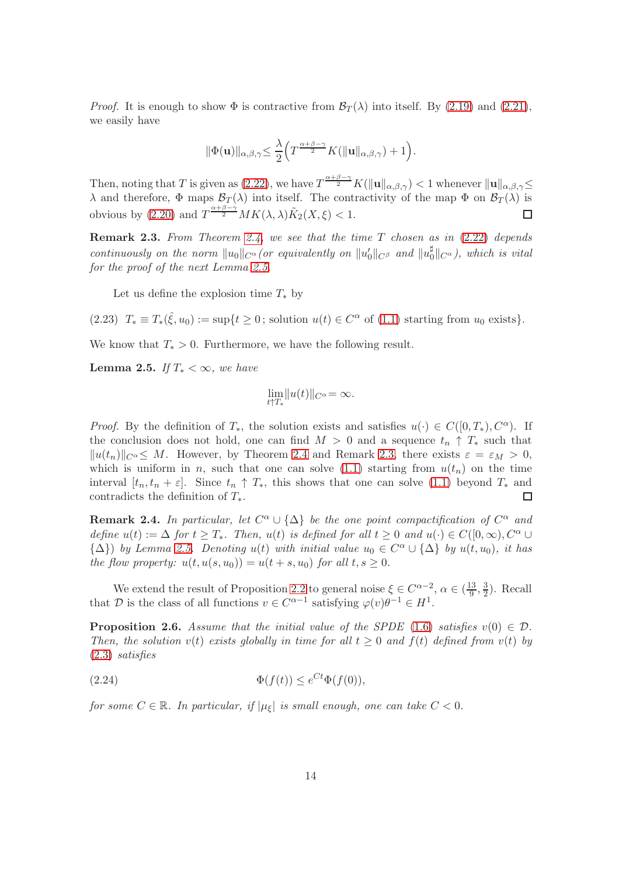*Proof.* It is enough to show  $\Phi$  is contractive from  $\mathcal{B}_T(\lambda)$  into itself. By [\(2.19\)](#page-12-1) and [\(2.21\)](#page-12-2), we easily have

$$
\|\Phi(\mathbf{u})\|_{\alpha,\beta,\gamma} \leq \frac{\lambda}{2}\Big(T^{\frac{\alpha+\beta-\gamma}{2}}K(\|\mathbf{u}\|_{\alpha,\beta,\gamma})+1\Big).
$$

Then, noting that T is given as [\(2.22\)](#page-12-3), we have  $T^{\frac{\alpha+\beta-\gamma}{2}}K(\|\mathbf{u}\|_{\alpha,\beta,\gamma}) < 1$  whenever  $\|\mathbf{u}\|_{\alpha,\beta,\gamma} \leq$ λ and therefore,  $\Phi$  maps  $\mathcal{B}_T(\lambda)$  into itself. The contractivity of the map  $\Phi$  on  $\mathcal{B}_T(\lambda)$  is obvious by [\(2.20\)](#page-12-4) and  $T^{\frac{\alpha+\beta-\gamma}{2}}MK(\lambda,\lambda)\tilde{K}_2(X,\xi) < 1$ .  $\Box$ 

<span id="page-13-4"></span>**Remark 2.3.** From Theorem [2.4,](#page-12-5) we see that the time  $T$  chosen as in  $(2.22)$  depends continuously on the norm  $||u_0||_{C^{\alpha}}$  (or equivalently on  $||u'_0||_{C^{\beta}}$  and  $||u_0^{\sharp}||_{C^{\beta}}$  $\int_0^{\mu}$  $\|C^{\alpha}\right)$ , which is vital for the proof of the next Lemma [2.5.](#page-13-3)

<span id="page-13-0"></span>Let us define the explosion time  $T_*$  by

(2.23)  $T_* \equiv T_*(\hat{\xi}, u_0) := \sup\{t \geq 0\}$ ; solution  $u(t) \in C^{\alpha}$  of [\(1.1\)](#page-0-0) starting from  $u_0$  exists}.

We know that  $T_* > 0$ . Furthermore, we have the following result.

<span id="page-13-3"></span>Lemma 2.5. If  $T_* < \infty$ , we have

$$
\lim_{t\uparrow T_*}\|u(t)\|_{C^\alpha}=\infty.
$$

*Proof.* By the definition of  $T_*$ , the solution exists and satisfies  $u(\cdot) \in C([0,T_*), C^{\alpha})$ . If the conclusion does not hold, one can find  $M > 0$  and a sequence  $t_n \uparrow T_*$  such that  $||u(t_n)||_{C^{\alpha}} \leq M$ . However, by Theorem [2.4](#page-12-5) and Remark [2.3,](#page-13-4) there exists  $\varepsilon = \varepsilon_M > 0$ , which is uniform in n, such that one can solve  $(1.1)$  starting from  $u(t_n)$  on the time interval  $[t_n, t_n + \varepsilon]$ . Since  $t_n \uparrow T_*$ , this shows that one can solve [\(1.1\)](#page-0-0) beyond  $T_*$  and contradicts the definition of  $T_*$ .  $\Box$ 

<span id="page-13-1"></span>**Remark 2.4.** In particular, let  $C^{\alpha} \cup {\{\Delta\}}$  be the one point compactification of  $C^{\alpha}$  and define  $u(t) := \Delta$  for  $t \geq T_*$ . Then,  $u(t)$  is defined for all  $t \geq 0$  and  $u(\cdot) \in C([0,\infty), C^{\alpha} \cup$  ${\{\Delta\}}$  by Lemma [2.5.](#page-13-3) Denoting  $u(t)$  with initial value  $u_0 \in C^{\alpha} \cup {\{\Delta\}}$  by  $u(t, u_0)$ , it has the flow property:  $u(t, u(s, u_0)) = u(t + s, u_0)$  for all  $t, s \geq 0$ .

We extend the result of Proposition [2.2](#page-9-0) to general noise  $\xi \in C^{\alpha-2}$ ,  $\alpha \in (\frac{13}{9})$  $\frac{13}{9}, \frac{3}{2}$  $\frac{3}{2}$ ). Recall that D is the class of all functions  $v \in C^{\alpha-1}$  satisfying  $\varphi(v)\theta^{-1} \in H^1$ .

<span id="page-13-2"></span>**Proposition 2.6.** Assume that the initial value of the SPDE [\(1.6\)](#page-1-1) satisfies  $v(0) \in \mathcal{D}$ . Then, the solution  $v(t)$  exists globally in time for all  $t \geq 0$  and  $f(t)$  defined from  $v(t)$  by [\(2.3\)](#page-7-3) satisfies

<span id="page-13-5"></span>(2.24) 
$$
\Phi(f(t)) \leq e^{Ct} \Phi(f(0)),
$$

for some  $C \in \mathbb{R}$ . In particular, if  $|\mu_{\xi}|$  is small enough, one can take  $C < 0$ .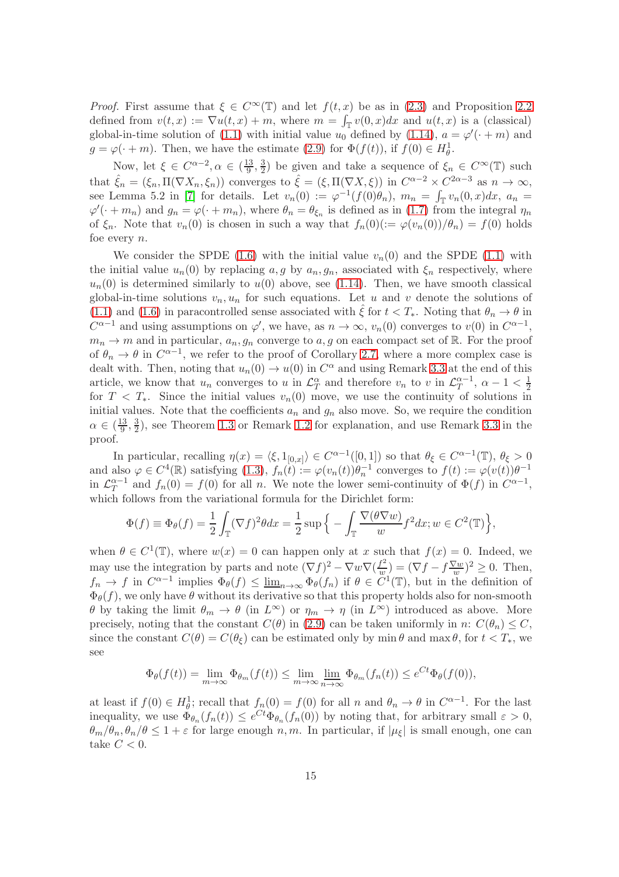*Proof.* First assume that  $\xi \in C^{\infty}(\mathbb{T})$  and let  $f(t, x)$  be as in [\(2.3\)](#page-7-3) and Proposition [2.2](#page-9-0) defined from  $v(t, x) := \nabla u(t, x) + m$ , where  $m = \int_{\mathbb{T}} v(0, x) dx$  and  $u(t, x)$  is a (classical) global-in-time solution of [\(1.1\)](#page-0-0) with initial value  $u_0$  defined by [\(1.14\)](#page-5-4),  $a = \varphi'(\cdot + m)$  and  $g = \varphi(\cdot + m)$ . Then, we have the estimate [\(2.9\)](#page-9-2) for  $\Phi(f(t))$ , if  $f(0) \in H^1_{\theta}$ .

Now, let  $\xi \in C^{\alpha-2}, \alpha \in (\frac{13}{9})$  $\frac{13}{9}, \frac{3}{2}$  $\frac{3}{2}$ ) be given and take a sequence of  $\xi_n \in C^{\infty}(\mathbb{T})$  such that  $\hat{\xi}_n = (\xi_n, \Pi(\nabla X_n, \xi_n))$  converges to  $\hat{\xi} = (\xi, \Pi(\nabla X, \xi))$  in  $C^{\alpha-2} \times C^{2\alpha-3}$  as  $n \to \infty$ , see Lemma 5.2 in [\[7\]](#page-32-0) for details. Let  $v_n(0) := \varphi^{-1}(f(0)\theta_n)$ ,  $m_n = \int_{\mathbb{T}} v_n(0,x)dx$ ,  $a_n =$  $\varphi'(\cdot+m_n)$  and  $g_n=\varphi(\cdot+m_n)$ , where  $\theta_n=\theta_{\xi_n}$  is defined as in [\(1.7\)](#page-2-0) from the integral  $\eta_n$ of  $\xi_n$ . Note that  $v_n(0)$  is chosen in such a way that  $f_n(0)(:=\varphi(v_n(0))/\theta_n)=f(0)$  holds foe every n.

We consider the SPDE [\(1.6\)](#page-1-1) with the initial value  $v_n(0)$  and the SPDE [\(1.1\)](#page-0-0) with the initial value  $u_n(0)$  by replacing  $a, g$  by  $a_n, g_n$ , associated with  $\xi_n$  respectively, where  $u_n(0)$  is determined similarly to  $u(0)$  above, see [\(1.14\)](#page-5-4). Then, we have smooth classical global-in-time solutions  $v_n, u_n$  for such equations. Let u and v denote the solutions of [\(1.1\)](#page-0-0) and [\(1.6\)](#page-1-1) in paracontrolled sense associated with  $\hat{\xi}$  for  $t < T_*$ . Noting that  $\theta_n \to \theta$  in  $C^{\alpha-1}$  and using assumptions on  $\varphi'$ , we have, as  $n \to \infty$ ,  $v_n(0)$  converges to  $v(0)$  in  $C^{\alpha-1}$ ,  $m_n \to m$  and in particular,  $a_n, g_n$  converge to a, g on each compact set of R. For the proof of  $\theta_n \to \theta$  in  $C^{\alpha-1}$ , we refer to the proof of Corollary [2.7,](#page-15-0) where a more complex case is dealt with. Then, noting that  $u_n(0) \to u(0)$  in  $C^{\alpha}$  and using Remark [3.3](#page-31-0) at the end of this article, we know that  $u_n$  converges to u in  $\mathcal{L}_T^{\alpha}$  and therefore  $v_n$  to v in  $\mathcal{L}_T^{\alpha-1}$  $\frac{\alpha - 1}{T}, \ \alpha - 1 < \frac{1}{2}$ for  $T < T_*$ . Since the initial values  $v_n(0)$  move, we use the continuity of solutions in initial values. Note that the coefficients  $a_n$  and  $g_n$  also move. So, we require the condition  $\alpha \in (\frac{13}{9})$  $\frac{13}{9}, \frac{3}{2}$  $\frac{3}{2}$ , see Theorem [1.3](#page-4-0) or Remark [1.2](#page-4-1) for explanation, and use Remark [3.3](#page-31-0) in the proof.

In particular, recalling  $\eta(x) = \langle \xi, 1_{[0,x]} \rangle \in C^{\alpha-1}([0,1])$  so that  $\theta_{\xi} \in C^{\alpha-1}(\mathbb{T}), \theta_{\xi} > 0$ and also  $\varphi \in C^4(\mathbb{R})$  satisfying  $(1.3)$ ,  $f_n(t) := \varphi(v_n(t))\theta_n^{-1}$  converges to  $f(t) := \varphi(v(t))\theta^{-1}$ in  $\mathcal{L}_T^{\alpha-1}$  $T^{a-1}$  and  $f_n(0) = f(0)$  for all n. We note the lower semi-continuity of  $\Phi(f)$  in  $C^{\alpha-1}$ , which follows from the variational formula for the Dirichlet form:

$$
\Phi(f) \equiv \Phi_{\theta}(f) = \frac{1}{2} \int_{\mathbb{T}} (\nabla f)^2 \theta dx = \frac{1}{2} \sup \Big\{ - \int_{\mathbb{T}} \frac{\nabla(\theta \nabla w)}{w} f^2 dx; w \in C^2(\mathbb{T}) \Big\},\,
$$

when  $\theta \in C^1(\mathbb{T})$ , where  $w(x) = 0$  can happen only at x such that  $f(x) = 0$ . Indeed, we may use the integration by parts and note  $(\nabla f)^2 - \nabla w \nabla (\frac{f^2}{w})$  $\left(\frac{f^2}{w}\right) = \left(\nabla f - f\frac{\nabla w}{w}\right)$  $(\frac{7w}{w})^2 \geq 0$ . Then,  $f_n \to f$  in  $C^{\alpha-1}$  implies  $\Phi_{\theta}(f) \leq \underline{\lim}_{n \to \infty} \Phi_{\theta}(f_n)$  if  $\theta \in C^1(\mathbb{T})$ , but in the definition of  $\Phi_{\theta}(f)$ , we only have  $\theta$  without its derivative so that this property holds also for non-smooth θ by taking the limit  $θ_m → θ$  (in  $L^\infty$ ) or  $η_m → η$  (in  $L^\infty$ ) introduced as above. More precisely, noting that the constant  $C(\theta)$  in [\(2.9\)](#page-9-2) can be taken uniformly in n:  $C(\theta_n) \leq C$ , since the constant  $C(\theta) = C(\theta_{\xi})$  can be estimated only by min  $\theta$  and max  $\theta$ , for  $t < T_*$ , we see

$$
\Phi_{\theta}(f(t)) = \lim_{m \to \infty} \Phi_{\theta_m}(f(t)) \le \lim_{m \to \infty} \lim_{n \to \infty} \Phi_{\theta_m}(f_n(t)) \le e^{Ct} \Phi_{\theta}(f(0)),
$$

at least if  $f(0) \in H^1_\theta$ ; recall that  $f_n(0) = f(0)$  for all n and  $\theta_n \to \theta$  in  $C^{\alpha-1}$ . For the last inequality, we use  $\Phi_{\theta_n}(f_n(t)) \leq e^{Ct} \Phi_{\theta_n}(f_n(0))$  by noting that, for arbitrary small  $\varepsilon > 0$ ,  $\theta_m/\theta_n$ ,  $\theta_n/\theta \leq 1+\varepsilon$  for large enough n, m. In particular, if  $|\mu_{\xi}|$  is small enough, one can take  $C < 0$ .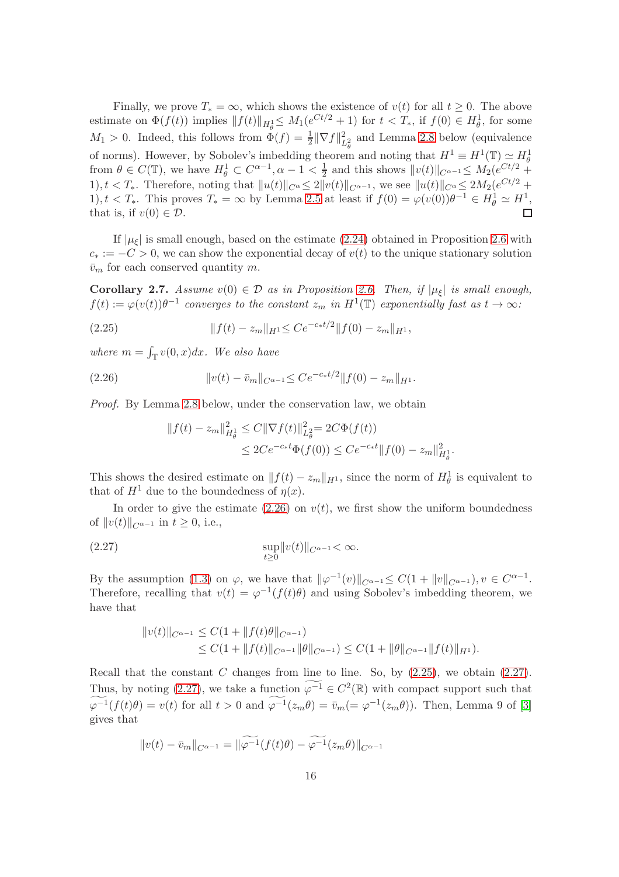Finally, we prove  $T_* = \infty$ , which shows the existence of  $v(t)$  for all  $t \geq 0$ . The above estimate on  $\Phi(f(t))$  implies  $|| f(t)||_{H^1_{\theta}} \leq M_1(e^{Ct/2} + 1)$  for  $t < T_*$ , if  $f(0) \in H^1_{\theta}$ , for some  $M_1 > 0$ . Indeed, this follows from  $\Phi(f) = \frac{1}{2} \|\nabla f\|_{L^2_{\theta}}^2$  and Lemma [2.8](#page-16-0) below (equivalence of norms). However, by Sobolev's imbedding theorem and noting that  $H^1 \equiv H^1(\mathbb{T}) \simeq H^1_{\theta}$ from  $\theta \in C(\mathbb{T})$ , we have  $H^1_\theta \subset C^{\alpha-1}, \alpha - 1 < \frac{1}{2}$  $\frac{1}{2}$  and this shows  $||v(t)||_{C^{\alpha-1}} \leq M_2(e^{Ct/2} +$ 1),  $t < T_*$ . Therefore, noting that  $||u(t)||_{C^{\alpha}} \leq 2||v(t)||_{C^{\alpha-1}}$ , we see  $||u(t)||_{C^{\alpha}} \leq 2M_2(e^{Ct/2} +$ 1),  $t < T_*$ . This proves  $T_* = \infty$  by Lemma [2.5](#page-13-3) at least if  $f(0) = \varphi(v(0))\theta^{-1} \in H^1_\theta \simeq H^1$ , that is, if  $v(0) \in \mathcal{D}$ . П

If  $|\mu_{\xi}|$  is small enough, based on the estimate [\(2.24\)](#page-13-5) obtained in Proposition [2.6](#page-13-2) with  $c_* := -C > 0$ , we can show the exponential decay of  $v(t)$  to the unique stationary solution  $\bar{v}_m$  for each conserved quantity m.

<span id="page-15-0"></span>Corollary 2.7. Assume  $v(0) \in \mathcal{D}$  as in Proposition [2.6.](#page-13-2) Then, if  $|\mu_{\xi}|$  is small enough,  $f(t) := \varphi(v(t))\theta^{-1}$  converges to the constant  $z_m$  in  $H^1(\mathbb{T})$  exponentially fast as  $t \to \infty$ :

<span id="page-15-2"></span>(2.25) 
$$
||f(t) - z_m||_{H^1} \leq Ce^{-c_*t/2}||f(0) - z_m||_{H^1},
$$

where  $m = \int_{\mathbb{T}} v(0, x) dx$ . We also have

<span id="page-15-1"></span>(2.26) 
$$
||v(t) - \bar{v}_m||_{C^{\alpha-1}} \leq Ce^{-c_*t/2}||f(0) - z_m||_{H^1}.
$$

Proof. By Lemma [2.8](#page-16-0) below, under the conservation law, we obtain

$$
||f(t) - z_m||_{H^1_\theta}^2 \le C||\nabla f(t)||_{L^2_\theta}^2 = 2C\Phi(f(t))
$$
  

$$
\le 2Ce^{-c_*t}\Phi(f(0)) \le Ce^{-c_*t}||f(0) - z_m||_{H^1_\theta}^2.
$$

This shows the desired estimate on  $|| f(t) - z_m ||_{H^1}$ , since the norm of  $H^1_\theta$  is equivalent to that of  $H^1$  due to the boundedness of  $\eta(x)$ .

In order to give the estimate [\(2.26\)](#page-15-1) on  $v(t)$ , we first show the uniform boundedness of  $||v(t)||_{C^{\alpha-1}}$  in  $t \geq 0$ , i.e.,

<span id="page-15-3"></span>
$$
\sup_{t\geq 0} \|v(t)\|_{C^{\alpha-1}} < \infty.
$$

By the assumption [\(1.3\)](#page-1-3) on  $\varphi$ , we have that  $\|\varphi^{-1}(v)\|_{C^{\alpha-1}} \leq C(1 + \|v\|_{C^{\alpha-1}})$ ,  $v \in C^{\alpha-1}$ . Therefore, recalling that  $v(t) = \varphi^{-1}(f(t)\theta)$  and using Sobolev's imbedding theorem, we have that

$$
||v(t)||_{C^{\alpha-1}} \leq C(1+||f(t)\theta||_{C^{\alpha-1}})\leq C(1+||f(t)||_{C^{\alpha-1}}||\theta||_{C^{\alpha-1}}) \leq C(1+||\theta||_{C^{\alpha-1}}||f(t)||_{H^{1}}).
$$

Recall that the constant C changes from line to line. So, by  $(2.25)$ , we obtain  $(2.27)$ . Thus, by noting [\(2.27\)](#page-15-3), we take a function  $\varphi^{-1} \in C^2(\mathbb{R})$  with compact support such that  $\varphi^{-1}(f(t)\theta) = v(t)$  for all  $t > 0$  and  $\varphi^{-1}(z_m\theta) = \bar{v}_m (= \varphi^{-1}(z_m\theta))$ . Then, Lemma 9 of [\[3\]](#page-32-12) gives that

$$
||v(t) - \bar{v}_m||_{C^{\alpha-1}} = ||\widetilde{\varphi^{-1}}(f(t)\theta) - \widetilde{\varphi^{-1}}(z_m\theta)||_{C^{\alpha-1}}
$$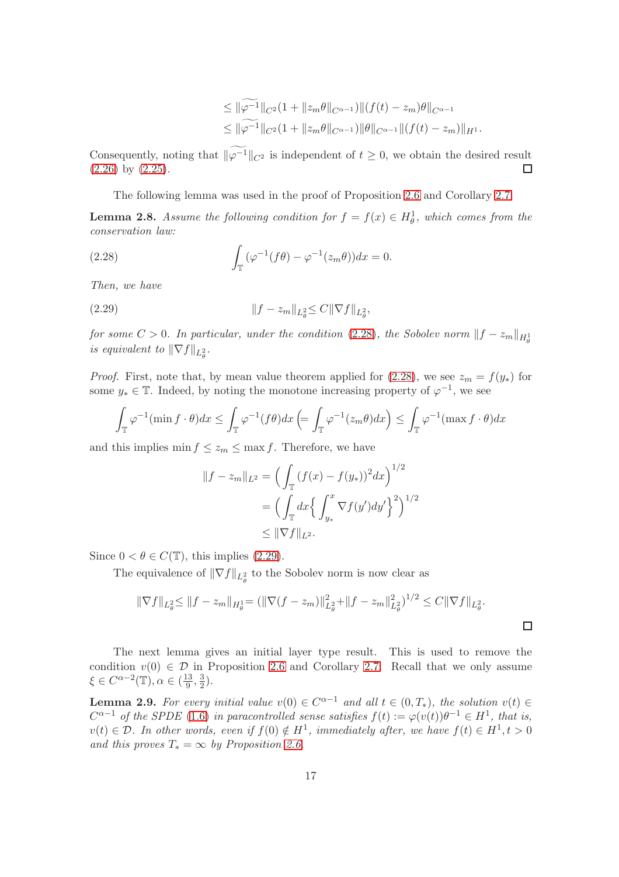$$
\leq \|\widetilde{\varphi^{-1}}\|_{C^2}(1+\|z_m\theta\|_{C^{\alpha-1}})\|(f(t)-z_m)\theta\|_{C^{\alpha-1}}\leq \|\widetilde{\varphi^{-1}}\|_{C^2}(1+\|z_m\theta\|_{C^{\alpha-1}})\|\theta\|_{C^{\alpha-1}}\|(f(t)-z_m)\|_{H^1}.
$$

Consequently, noting that  $\|\widetilde{\varphi^{-1}}\|_{C^2}$  is independent of  $t \geq 0$ , we obtain the desired result [\(2.26\)](#page-15-1) by [\(2.25\)](#page-15-2).  $\Box$ 

<span id="page-16-1"></span>The following lemma was used in the proof of Proposition [2.6](#page-13-2) and Corollary [2.7.](#page-15-0)

<span id="page-16-0"></span>**Lemma 2.8.** Assume the following condition for  $f = f(x) \in H^1_\theta$ , which comes from the conservation law:

(2.28) 
$$
\int_{\mathbb{T}} (\varphi^{-1}(f\theta) - \varphi^{-1}(z_m\theta))dx = 0.
$$

Then, we have

<span id="page-16-2"></span>(2.29) 
$$
||f - z_m||_{L^2_{\theta}} \leq C ||\nabla f||_{L^2_{\theta}},
$$

for some  $C > 0$ . In particular, under the condition [\(2.28\)](#page-16-1), the Sobolev norm  $\|f - z_m\|_{H^1_\theta}$ is equivalent to  $\|\nabla f\|_{L^2_{\theta}}$ .

*Proof.* First, note that, by mean value theorem applied for [\(2.28\)](#page-16-1), we see  $z_m = f(y_*)$  for some  $y_* \in \mathbb{T}$ . Indeed, by noting the monotone increasing property of  $\varphi^{-1}$ , we see

$$
\int_{\mathbb{T}} \varphi^{-1}(\min f \cdot \theta) dx \le \int_{\mathbb{T}} \varphi^{-1}(f\theta) dx \left( = \int_{\mathbb{T}} \varphi^{-1}(z_m \theta) dx \right) \le \int_{\mathbb{T}} \varphi^{-1}(\max f \cdot \theta) dx
$$

and this implies  $\min f \leq z_m \leq \max f$ . Therefore, we have

$$
||f - z_m||_{L^2} = \left(\int_{\mathbb{T}} (f(x) - f(y_*))^2 dx\right)^{1/2}
$$
  
=  $\left(\int_{\mathbb{T}} dx \left\{\int_{y_*}^x \nabla f(y') dy'\right\}^2\right)^{1/2}$   
 $\le ||\nabla f||_{L^2}.$ 

Since  $0 < \theta \in C(\mathbb{T})$ , this implies [\(2.29\)](#page-16-2).

The equivalence of  $\|\nabla f\|_{L^2_{\theta}}$  to the Sobolev norm is now clear as

$$
\|\nabla f\|_{L^2_{\theta}} \le \|f - z_m\|_{H^1_{\theta}} = \left(\|\nabla (f - z_m)\|_{L^2_{\theta}}^2 + \|f - z_m\|_{L^2_{\theta}}^2\right)^{1/2} \le C\|\nabla f\|_{L^2_{\theta}}.
$$

 $\Box$ 

The next lemma gives an initial layer type result. This is used to remove the condition  $v(0) \in \mathcal{D}$  in Proposition [2.6](#page-13-2) and Corollary [2.7.](#page-15-0) Recall that we only assume  $\xi \in C^{\alpha-2}(\mathbb{T}), \alpha \in (\frac{13}{9})$  $\frac{13}{9}, \frac{3}{2}$  $(\frac{3}{2})$ .

<span id="page-16-3"></span>**Lemma 2.9.** For every initial value  $v(0) \in C^{\alpha-1}$  and all  $t \in (0, T_*)$ , the solution  $v(t) \in$  $C^{\alpha-1}$  of the SPDE [\(1.6\)](#page-1-1) in paracontrolled sense satisfies  $f(t) := \varphi(v(t))\theta^{-1} \in H^1$ , that is,  $v(t) \in \mathcal{D}$ . In other words, even if  $f(0) \notin H^1$ , immediately after, we have  $f(t) \in H^1, t > 0$ and this proves  $T_* = \infty$  by Proposition [2.6.](#page-13-2)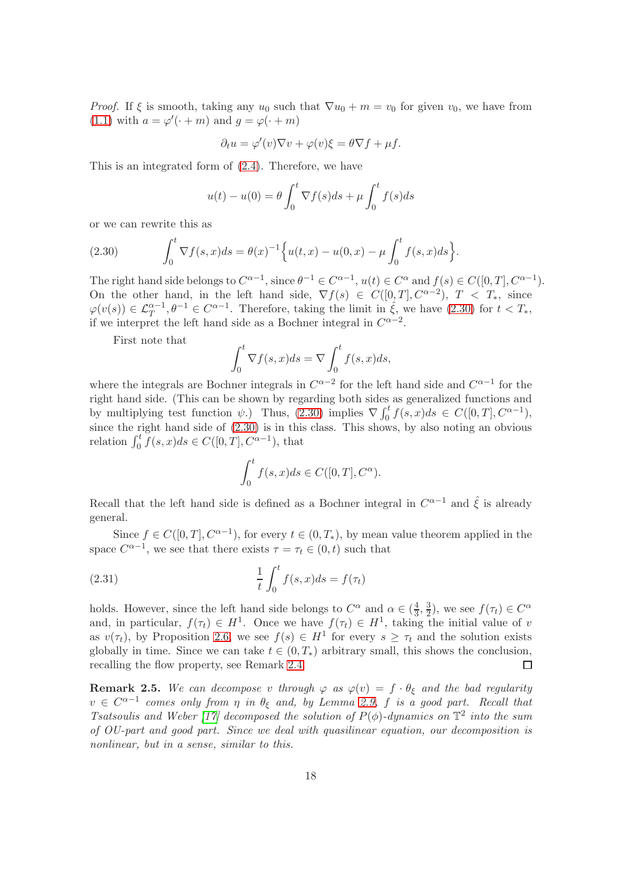*Proof.* If  $\xi$  is smooth, taking any  $u_0$  such that  $\nabla u_0 + m = v_0$  for given  $v_0$ , we have from [\(1.1\)](#page-0-0) with  $a = \varphi'(\cdot + m)$  and  $g = \varphi(\cdot + m)$ 

$$
\partial_t u = \varphi'(v)\nabla v + \varphi(v)\xi = \theta \nabla f + \mu f.
$$

This is an integrated form of [\(2.4\)](#page-8-2). Therefore, we have

$$
u(t) - u(0) = \theta \int_0^t \nabla f(s)ds + \mu \int_0^t f(s)ds
$$

or we can rewrite this as

<span id="page-17-0"></span>(2.30) 
$$
\int_0^t \nabla f(s,x)ds = \theta(x)^{-1} \Big\{ u(t,x) - u(0,x) - \mu \int_0^t f(s,x)ds \Big\}.
$$

The right hand side belongs to  $C^{\alpha-1}$ , since  $\theta^{-1} \in C^{\alpha-1}$ ,  $u(t) \in C^{\alpha}$  and  $f(s) \in C([0, T], C^{\alpha-1})$ . On the other hand, in the left hand side,  $\nabla f(s) \in C([0,T], C^{\alpha-2})$ ,  $T < T_*$ , since  $\varphi(v(s)) \in \mathcal{L}_T^{\alpha-1}, \theta^{-1} \in C^{\alpha-1}$ . Therefore, taking the limit in  $\hat{\xi}$ , we have  $(2.30)$  for  $t < T_*,$ if we interpret the left hand side as a Bochner integral in  $C^{\alpha-2}$ .

First note that

$$
\int_0^t \nabla f(s, x) ds = \nabla \int_0^t f(s, x) ds,
$$

where the integrals are Bochner integrals in  $C^{\alpha-2}$  for the left hand side and  $C^{\alpha-1}$  for the right hand side. (This can be shown by regarding both sides as generalized functions and by multiplying test function  $\psi$ .) Thus, [\(2.30\)](#page-17-0) implies  $\nabla \int_0^t f(s, x) ds \in C([0, T], C^{\alpha - 1}),$ since the right hand side of [\(2.30\)](#page-17-0) is in this class. This shows, by also noting an obvious relation  $\int_0^t \check{f}(s, x)ds \in C([0, T], C^{\alpha-1}),$  that

$$
\int_0^t f(s, x)ds \in C([0, T], C^{\alpha}).
$$

Recall that the left hand side is defined as a Bochner integral in  $C^{\alpha-1}$  and  $\hat{\xi}$  is already general.

Since  $f \in C([0,T], \mathbb{C}^{\alpha-1})$ , for every  $t \in (0,T_*)$ , by mean value theorem applied in the space  $C^{\alpha-1}$ , we see that there exists  $\tau = \tau_t \in (0, t)$  such that

(2.31) 
$$
\frac{1}{t} \int_0^t f(s, x) ds = f(\tau_t)
$$

holds. However, since the left hand side belongs to  $C^{\alpha}$  and  $\alpha \in (\frac{4}{3}, \frac{3}{2})$ , we see  $f(\tau_t) \in C^{\alpha}$ and, in particular,  $f(\tau_t) \in H^1$ . Once we have  $f(\tau_t) \in H^1$ , taking the initial value of v as  $v(\tau_t)$ , by Proposition [2.6,](#page-13-2) we see  $f(s) \in H^1$  for every  $s \geq \tau_t$  and the solution exists globally in time. Since we can take  $t \in (0, T_*)$  arbitrary small, this shows the conclusion, recalling the flow property, see Remark [2.4.](#page-13-1)  $\Box$ 

**Remark 2.5.** We can decompose v through  $\varphi$  as  $\varphi(v) = f \cdot \theta_{\xi}$  and the bad regularity  $v \in C^{\alpha-1}$  comes only from  $\eta$  in  $\theta_{\xi}$  and, by Lemma [2.9,](#page-16-3) f is a good part. Recall that Tsatsoulis and Weber [\[17\]](#page-33-2) decomposed the solution of  $P(\phi)$ -dynamics on  $\mathbb{T}^2$  into the sum of OU-part and good part. Since we deal with quasilinear equation, our decomposition is nonlinear, but in a sense, similar to this.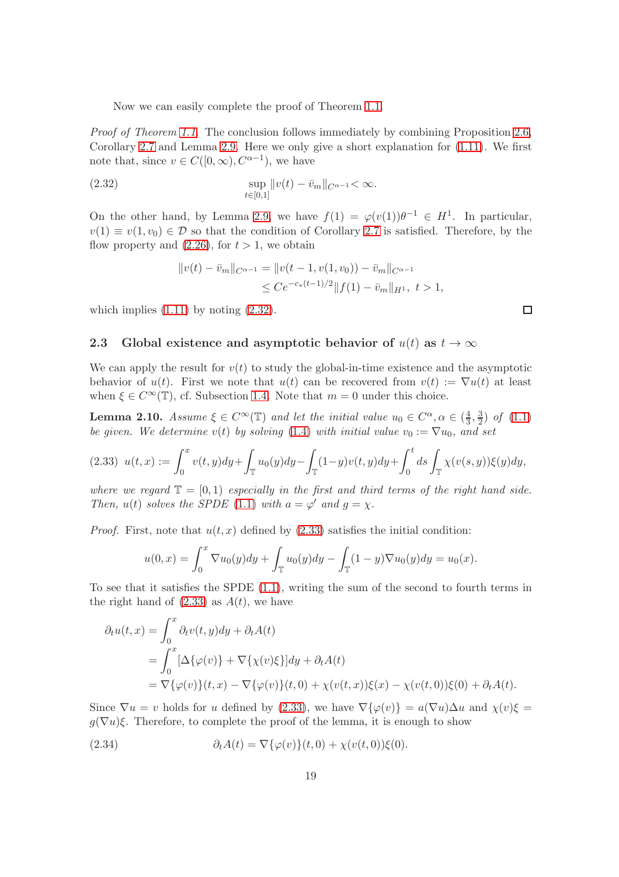Now we can easily complete the proof of Theorem [1.1.](#page-3-0)

Proof of Theorem [1.1.](#page-3-0) The conclusion follows immediately by combining Proposition [2.6,](#page-13-2) Corollary [2.7](#page-15-0) and Lemma [2.9.](#page-16-3) Here we only give a short explanation for [\(1.11\)](#page-3-2). We first note that, since  $v \in C([0,\infty), C^{\alpha-1})$ , we have

<span id="page-18-2"></span>(2.32) 
$$
\sup_{t \in [0,1]} ||v(t) - \bar{v}_m||_{C^{\alpha-1}} < \infty.
$$

On the other hand, by Lemma [2.9,](#page-16-3) we have  $f(1) = \varphi(v(1))\theta^{-1} \in H^1$ . In particular,  $v(1) \equiv v(1, v_0) \in \mathcal{D}$  so that the condition of Corollary [2.7](#page-15-0) is satisfied. Therefore, by the flow property and  $(2.26)$ , for  $t > 1$ , we obtain

$$
||v(t) - \bar{v}_m||_{C^{\alpha-1}} = ||v(t - 1, v(1, v_0)) - \bar{v}_m||_{C^{\alpha-1}}
$$
  
\n
$$
\leq Ce^{-c_*(t-1)/2}||f(1) - \bar{v}_m||_{H^1}, \ t > 1,
$$

<span id="page-18-1"></span>which implies  $(1.11)$  by noting  $(2.32)$ .

#### 2.3 Global existence and asymptotic behavior of  $u(t)$  as  $t \to \infty$

We can apply the result for  $v(t)$  to study the global-in-time existence and the asymptotic behavior of  $u(t)$ . First we note that  $u(t)$  can be recovered from  $v(t) := \nabla u(t)$  at least when  $\xi \in C^{\infty}(\mathbb{T})$ , cf. Subsection [1.4.](#page-5-2) Note that  $m = 0$  under this choice.

<span id="page-18-0"></span>**Lemma 2.10.** Assume  $\xi \in C^{\infty}(\mathbb{T})$  and let the initial value  $u_0 \in C^{\alpha}, \alpha \in (\frac{4}{3})$  $\frac{4}{3}, \frac{3}{2}$  $(\frac{3}{2})$  of  $(1.1)$ be given. We determine v(t) by solving [\(1.4\)](#page-1-0) with initial value  $v_0 := \nabla u_0$ , and set

<span id="page-18-3"></span>
$$
(2.33) \ \ u(t,x) := \int_0^x v(t,y)dy + \int_{\mathbb{T}} u_0(y)dy - \int_{\mathbb{T}} (1-y)v(t,y)dy + \int_0^t ds \int_{\mathbb{T}} \chi(v(s,y))\xi(y)dy,
$$

where we regard  $\mathbb{T} = [0, 1)$  especially in the first and third terms of the right hand side. Then,  $u(t)$  solves the SPDE [\(1.1\)](#page-0-0) with  $a = \varphi'$  and  $g = \chi$ .

*Proof.* First, note that  $u(t, x)$  defined by [\(2.33\)](#page-18-3) satisfies the initial condition:

$$
u(0,x) = \int_0^x \nabla u_0(y) dy + \int_{\mathbb{T}} u_0(y) dy - \int_{\mathbb{T}} (1-y) \nabla u_0(y) dy = u_0(x).
$$

To see that it satisfies the SPDE [\(1.1\)](#page-0-0), writing the sum of the second to fourth terms in the right hand of  $(2.33)$  as  $A(t)$ , we have

$$
\partial_t u(t, x) = \int_0^x \partial_t v(t, y) dy + \partial_t A(t)
$$
  
= 
$$
\int_0^x [\Delta{\{\varphi(v)\}} + \nabla{\{\chi(v)\xi\}}] dy + \partial_t A(t)
$$
  
= 
$$
\nabla{\{\varphi(v)\}}(t, x) - \nabla{\{\varphi(v)\}}(t, 0) + \chi(v(t, x))\xi(x) - \chi(v(t, 0))\xi(0) + \partial_t A(t).
$$

Since  $\nabla u = v$  holds for u defined by [\(2.33\)](#page-18-3), we have  $\nabla {\varphi(v)} = a(\nabla u) \Delta u$  and  $\chi(v) \xi =$  $g(\nabla u)\xi$ . Therefore, to complete the proof of the lemma, it is enough to show

<span id="page-18-4"></span>(2.34) 
$$
\partial_t A(t) = \nabla \{\varphi(v)\}(t,0) + \chi(v(t,0))\xi(0).
$$

 $\Box$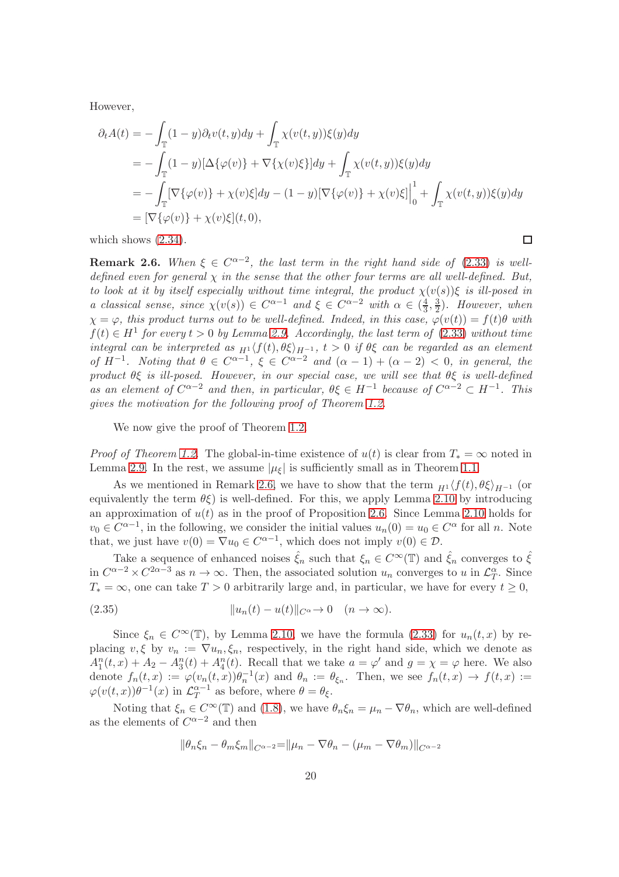However,

$$
\partial_t A(t) = -\int_{\mathbb{T}} (1 - y) \partial_t v(t, y) dy + \int_{\mathbb{T}} \chi(v(t, y)) \xi(y) dy
$$
  
\n
$$
= -\int_{\mathbb{T}} (1 - y) [\Delta \{\varphi(v)\} + \nabla \{\chi(v)\xi\}] dy + \int_{\mathbb{T}} \chi(v(t, y)) \xi(y) dy
$$
  
\n
$$
= -\int_{\mathbb{T}} [\nabla \{\varphi(v)\} + \chi(v)\xi] dy - (1 - y) [\nabla \{\varphi(v)\} + \chi(v)\xi] \Big|_0^1 + \int_{\mathbb{T}} \chi(v(t, y)) \xi(y) dy
$$
  
\n
$$
= [\nabla \{\varphi(v)\} + \chi(v)\xi](t, 0),
$$

 $\Box$ 

which shows  $(2.34)$ .

<span id="page-19-0"></span>**Remark 2.6.** When  $\xi \in C^{\alpha-2}$ , the last term in the right hand side of [\(2.33\)](#page-18-3) is welldefined even for general  $\chi$  in the sense that the other four terms are all well-defined. But, to look at it by itself especially without time integral, the product  $\chi(v(s))\xi$  is ill-posed in a classical sense, since  $\chi(v(s)) \in C^{\alpha-1}$  and  $\xi \in C^{\alpha-2}$  with  $\alpha \in (\frac{4}{3}, \frac{3}{2})$ . However, when  $\chi = \varphi$ , this product turns out to be well-defined. Indeed, in this case,  $\varphi(v(t)) = f(t)\theta$  with  $f(t) \in H<sup>1</sup>$  for every  $t > 0$  by Lemma [2.9.](#page-16-3) Accordingly, the last term of [\(2.33\)](#page-18-3) without time integral can be interpreted as  $H^1(f(t), \theta \xi)_{H^{-1}}$ ,  $t > 0$  if  $\theta \xi$  can be regarded as an element of  $H^{-1}$ . Noting that  $\theta \in C^{\alpha-1}$ ,  $\xi \in C^{\alpha-2}$  and  $(\alpha - 1) + (\alpha - 2) < 0$ , in general, the product  $\theta \xi$  is ill-posed. However, in our special case, we will see that  $\theta \xi$  is well-defined as an element of  $C^{\alpha-2}$  and then, in particular,  $\theta \xi \in H^{-1}$  because of  $C^{\alpha-2} \subset H^{-1}$ . This gives the motivation for the following proof of Theorem [1.2.](#page-3-1)

We now give the proof of Theorem [1.2.](#page-3-1)

*Proof of Theorem [1.2.](#page-3-1)* The global-in-time existence of  $u(t)$  is clear from  $T_* = \infty$  noted in Lemma [2.9.](#page-16-3) In the rest, we assume  $|\mu_{\xi}|$  is sufficiently small as in Theorem [1.1.](#page-3-0)

As we mentioned in Remark [2.6,](#page-19-0) we have to show that the term  $_{H^1} \langle f(t), \theta \xi \rangle_{H^{-1}}$  (or equivalently the term  $\theta \xi$ ) is well-defined. For this, we apply Lemma [2.10](#page-18-0) by introducing an approximation of  $u(t)$  as in the proof of Proposition [2.6.](#page-13-2) Since Lemma [2.10](#page-18-0) holds for  $v_0 \in C^{\alpha-1}$ , in the following, we consider the initial values  $u_n(0) = u_0 \in C^{\alpha}$  for all n. Note that, we just have  $v(0) = \nabla u_0 \in C^{\alpha-1}$ , which does not imply  $v(0) \in \mathcal{D}$ .

Take a sequence of enhanced noises  $\hat{\xi}_n$  such that  $\xi_n \in C^{\infty}(\mathbb{T})$  and  $\hat{\xi}_n$  converges to  $\hat{\xi}$ in  $C^{\alpha-2} \times C^{2\alpha-3}$  as  $n \to \infty$ . Then, the associated solution  $u_n$  converges to u in  $\mathcal{L}_T^{\alpha}$ . Since  $T_* = \infty$ , one can take  $T > 0$  arbitrarily large and, in particular, we have for every  $t \geq 0$ ,

<span id="page-19-1"></span>(2.35) kun(t) − u(t)kC<sup>α</sup>→ 0 (n → ∞).

Since  $\xi_n \in C^{\infty}(\mathbb{T})$ , by Lemma [2.10,](#page-18-0) we have the formula [\(2.33\)](#page-18-3) for  $u_n(t,x)$  by replacing  $v, \xi$  by  $v_n := \nabla u_n, \xi_n$ , respectively, in the right hand side, which we denote as  $A_1^n(t,x) + A_2 - A_3^n(t) + A_4^n(t)$ . Recall that we take  $a = \varphi'$  and  $g = \chi = \varphi$  here. We also denote  $f_n(t,x) := \varphi(v_n(t,x))\theta_n^{-1}(x)$  and  $\theta_n := \theta_{\xi_n}$ . Then, we see  $f_n(t,x) \to f(t,x) :=$  $\varphi(v(t,x))\theta^{-1}(x)$  in  $\mathcal{L}_T^{\alpha-1}$  $T$ <sup> $\alpha$ -1</sup> as before, where  $\theta = \theta_{\xi}$ .

Noting that  $\xi_n \in C^{\infty}(\mathbb{T})$  and [\(1.8\)](#page-2-2), we have  $\theta_n \xi_n = \mu_n - \nabla \theta_n$ , which are well-defined as the elements of  $C^{\alpha-2}$  and then

$$
\|\theta_n \xi_n - \theta_m \xi_m\|_{C^{\alpha-2}} = \|\mu_n - \nabla \theta_n - (\mu_m - \nabla \theta_m)\|_{C^{\alpha-2}}
$$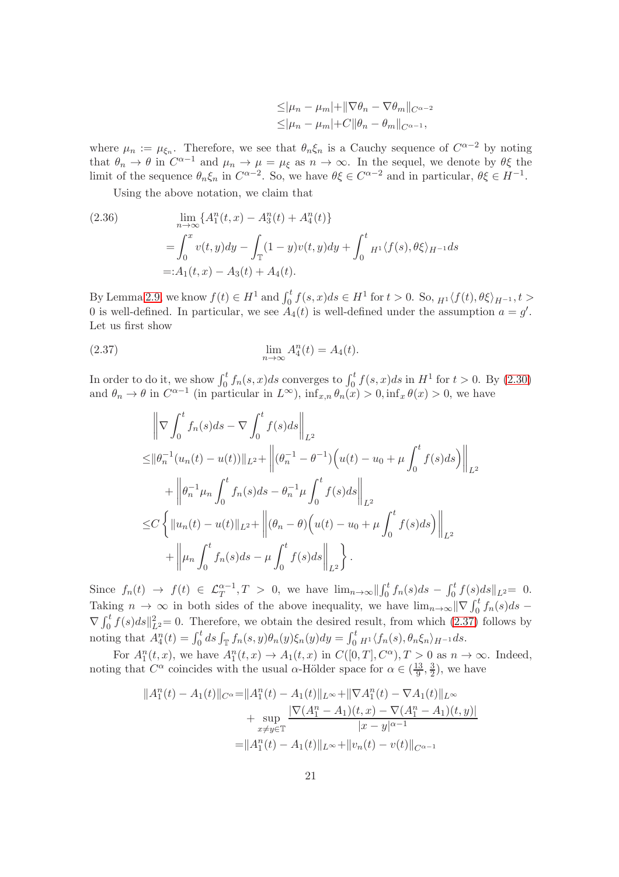$$
\leq |\mu_n - \mu_m| + ||\nabla \theta_n - \nabla \theta_m||_{C^{\alpha-2}}\leq |\mu_n - \mu_m| + C ||\theta_n - \theta_m||_{C^{\alpha-1}},
$$

where  $\mu_n := \mu_{\xi_n}$ . Therefore, we see that  $\theta_n \xi_n$  is a Cauchy sequence of  $C^{\alpha-2}$  by noting that  $\theta_n \to \theta$  in  $C^{\alpha-1}$  and  $\mu_n \to \mu = \mu_{\xi}$  as  $n \to \infty$ . In the sequel, we denote by  $\theta \xi$  the limit of the sequence  $\theta_n \xi_n$  in  $C^{\alpha-2}$ . So, we have  $\theta \xi \in C^{\alpha-2}$  and in particular,  $\theta \xi \in H^{-1}$ .

Using the above notation, we claim that

<span id="page-20-1"></span>(2.36)  
\n
$$
\lim_{n \to \infty} \{A_1^n(t, x) - A_3^n(t) + A_4^n(t)\}
$$
\n
$$
= \int_0^x v(t, y) dy - \int_\mathbb{T} (1 - y)v(t, y) dy + \int_0^t H_1 \langle f(s), \theta \xi \rangle_{H^{-1}} ds
$$
\n
$$
=: A_1(t, x) - A_3(t) + A_4(t).
$$

By Lemma [2.9,](#page-16-3) we know  $f(t) \in H^1$  and  $\int_0^t f(s, x) ds \in H^1$  for  $t > 0$ . So,  $_{H^1}\langle f(t), \theta \xi \rangle_{H^{-1}}$ ,  $t >$ 0 is well-defined. In particular, we see  $A_4(t)$  is well-defined under the assumption  $a = g'$ . Let us first show

<span id="page-20-0"></span>(2.37) 
$$
\lim_{n \to \infty} A_4^n(t) = A_4(t).
$$

In order to do it, we show  $\int_0^t f_n(s, x)ds$  converges to  $\int_0^t f(s, x)ds$  in  $H^1$  for  $t > 0$ . By [\(2.30\)](#page-17-0) and  $\theta_n \to \theta$  in  $C^{\alpha-1}$  (in particular in  $L^{\infty}$ ),  $\inf_{x,n} \theta_n(x) > 0$ ,  $\inf_x \theta(x) > 0$ , we have

$$
\left\| \nabla \int_{0}^{t} f_{n}(s) ds - \nabla \int_{0}^{t} f(s) ds \right\|_{L^{2}}
$$
  
\n
$$
\leq \left\| \theta_{n}^{-1}(u_{n}(t) - u(t)) \right\|_{L^{2}} + \left\| (\theta_{n}^{-1} - \theta^{-1}) \Big( u(t) - u_{0} + \mu \int_{0}^{t} f(s) ds \Big) \right\|_{L^{2}}
$$
  
\n
$$
+ \left\| \theta_{n}^{-1} \mu_{n} \int_{0}^{t} f_{n}(s) ds - \theta_{n}^{-1} \mu \int_{0}^{t} f(s) ds \right\|_{L^{2}}
$$
  
\n
$$
\leq C \left\{ \left\| u_{n}(t) - u(t) \right\|_{L^{2}} + \left\| (\theta_{n} - \theta) \Big( u(t) - u_{0} + \mu \int_{0}^{t} f(s) ds \Big) \right\|_{L^{2}}
$$
  
\n
$$
+ \left\| \mu_{n} \int_{0}^{t} f_{n}(s) ds - \mu \int_{0}^{t} f(s) ds \right\|_{L^{2}} \right\}.
$$

Since  $f_n(t) \to f(t) \in \mathcal{L}_T^{\alpha-1}, T > 0$ , we have  $\lim_{n\to\infty} ||\int_0^t f_n(s)ds - \int_0^t f(s)ds||_{L^2} = 0$ . Taking  $n \to \infty$  in both sides of the above inequality, we have  $\lim_{n\to\infty} ||\nabla \int_0^t f_n(s) ds \nabla \int_0^t f(s)ds \|^2_{L^2} = 0.$  Therefore, we obtain the desired result, from which [\(2.37\)](#page-20-0) follows by noting that  $A_4^n(t) = \int_0^t ds \int_{\mathbb{T}} f_n(s, y) \theta_n(y) \xi_n(y) dy = \int_0^t H^1 \langle f_n(s), \theta_n \xi_n \rangle_{H^{-1}} ds.$ 

For  $A_1^n(t, x)$ , we have  $A_1^n(t, x) \to A_1(t, x)$  in  $C([0, T], C^{\alpha})$ ,  $T > 0$  as  $n \to \infty$ . Indeed, noting that  $C^{\alpha}$  coincides with the usual  $\alpha$ -Hölder space for  $\alpha \in (\frac{13}{9})$  $\frac{13}{9}, \frac{3}{2}$  $(\frac{3}{2})$ , we have

$$
||A_1^n(t) - A_1(t)||_{C^{\alpha}} = ||A_1^n(t) - A_1(t)||_{L^{\infty}} + ||\nabla A_1^n(t) - \nabla A_1(t)||_{L^{\infty}} + \sup_{x \neq y \in \mathbb{T}} \frac{|\nabla (A_1^n - A_1)(t, x) - \nabla (A_1^n - A_1)(t, y)|}{|x - y|^{\alpha - 1}} = ||A_1^n(t) - A_1(t)||_{L^{\infty}} + ||v_n(t) - v(t)||_{C^{\alpha - 1}}
$$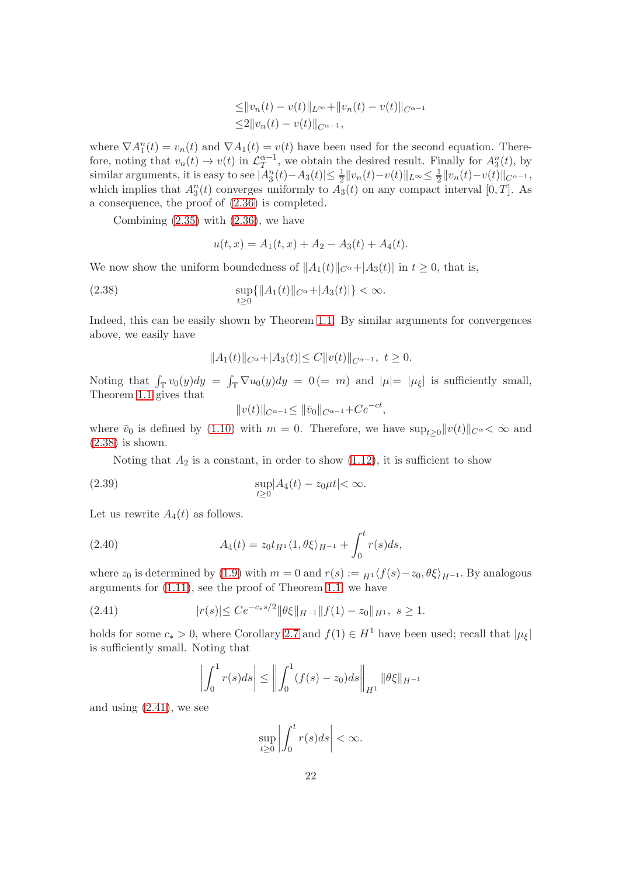$$
\leq ||v_n(t) - v(t)||_{L^{\infty}} + ||v_n(t) - v(t)||_{C^{\alpha-1}}
$$
  

$$
\leq 2||v_n(t) - v(t)||_{C^{\alpha-1}},
$$

where  $\nabla A_1^n(t) = v_n(t)$  and  $\nabla A_1(t) = v(t)$  have been used for the second equation. Therefore, noting that  $v_n(t) \to v(t)$  in  $\mathcal{L}_T^{\alpha-1}$ , we obtain the desired result. Finally for  $A_3^n(t)$ , by similar arguments, it is easy to see  $|\overline{A_3^n}(t) - A_3(t)| \leq \frac{1}{2} ||v_n(t) - v(t)||_{L^{\infty}} \leq \frac{1}{2}$  $\frac{1}{2}||v_n(t)-v(t)||_{C^{\alpha-1}},$ which implies that  $A_3^n(t)$  converges uniformly to  $A_3(t)$  on any compact interval [0, T]. As a consequence, the proof of [\(2.36\)](#page-20-1) is completed.

Combining  $(2.35)$  with  $(2.36)$ , we have

$$
u(t,x) = A_1(t,x) + A_2 - A_3(t) + A_4(t).
$$

We now show the uniform boundedness of  $||A_1(t)||_{C^{\alpha}}+|A_3(t)|$  in  $t \geq 0$ , that is,

<span id="page-21-0"></span>(2.38) 
$$
\sup_{t\geq 0} \{ \|A_1(t)\|_{C^{\alpha}} + |A_3(t)| \} < \infty.
$$

Indeed, this can be easily shown by Theorem [1.1.](#page-3-0) By similar arguments for convergences above, we easily have

$$
||A_1(t)||_{C^{\alpha}} + |A_3(t)| \le C||v(t)||_{C^{\alpha-1}}, \ t \ge 0.
$$

Noting that  $\int_{\mathbb{T}} v_0(y) dy = \int_{\mathbb{T}} \nabla u_0(y) dy = 0$  (= m) and  $|\mu| = |\mu_{\xi}|$  is sufficiently small, Theorem [1.1](#page-3-0) gives that

 $||v(t)||_{C^{\alpha-1}} \leq ||\bar{v}_0||_{C^{\alpha-1}} + Ce^{-ct},$ 

where  $\bar{v}_0$  is defined by [\(1.10\)](#page-2-3) with  $m = 0$ . Therefore, we have  $\sup_{t>0}||v(t)||_{C^{\alpha}} < \infty$  and  $(2.38)$  is shown.

Noting that  $A_2$  is a constant, in order to show  $(1.12)$ , it is sufficient to show

<span id="page-21-3"></span>
$$
\sup_{t\geq 0} |A_4(t) - z_0\mu t| < \infty.
$$

Let us rewrite  $A_4(t)$  as follows.

<span id="page-21-2"></span>(2.40) 
$$
A_4(t) = z_0 t_{H^1} \langle 1, \theta \xi \rangle_{H^{-1}} + \int_0^t r(s) ds,
$$

where  $z_0$  is determined by [\(1.9\)](#page-2-1) with  $m = 0$  and  $r(s) := H^1(f(s)-z_0, \theta\xi)_{H^{-1}}$ . By analogous arguments for [\(1.11\)](#page-3-2), see the proof of Theorem [1.1,](#page-3-0) we have

<span id="page-21-1"></span>
$$
(2.41) \t\t|r(s)| \le Ce^{-c_*s/2} \|\theta\xi\|_{H^{-1}} \|f(1) - z_0\|_{H^1}, \ s \ge 1.
$$

holds for some  $c_* > 0$ , where Corollary [2.7](#page-15-0) and  $f(1) \in H^1$  have been used; recall that  $|\mu_{\xi}|$ is sufficiently small. Noting that

$$
\left| \int_0^1 r(s)ds \right| \le \left\| \int_0^1 (f(s) - z_0)ds \right\|_{H^1} \|\theta \xi\|_{H^{-1}}
$$

and using  $(2.41)$ , we see

$$
\sup_{t\geq 0} \left| \int_0^t r(s)ds \right| < \infty.
$$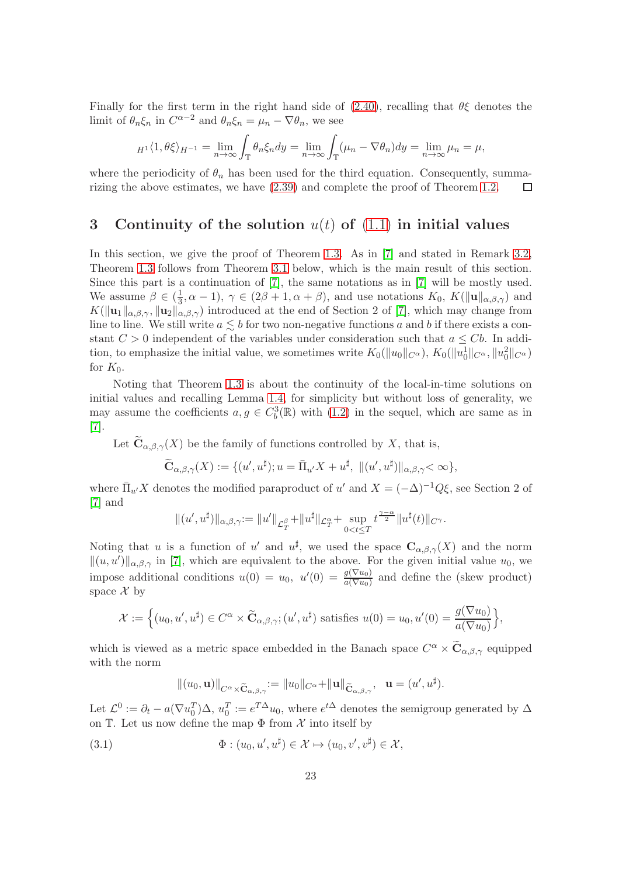Finally for the first term in the right hand side of  $(2.40)$ , recalling that  $\theta \xi$  denotes the limit of  $\theta_n \xi_n$  in  $C^{\alpha-2}$  and  $\theta_n \xi_n = \mu_n - \nabla \theta_n$ , we see

$$
{}_{H^1}\langle 1,\theta\xi\rangle_{H^{-1}}=\lim_{n\to\infty}\int_{\mathbb{T}}\theta_n\xi_n dy=\lim_{n\to\infty}\int_{\mathbb{T}}(\mu_n-\nabla\theta_n)dy=\lim_{n\to\infty}\mu_n=\mu,
$$

where the periodicity of  $\theta_n$  has been used for the third equation. Consequently, summarizing the above estimates, we have [\(2.39\)](#page-21-3) and complete the proof of Theorem [1.2.](#page-3-1)  $\Box$ 

# <span id="page-22-0"></span>3 Continuity of the solution  $u(t)$  of  $(1.1)$  in initial values

In this section, we give the proof of Theorem [1.3.](#page-4-0) As in [\[7\]](#page-32-0) and stated in Remark [3.2,](#page-23-0) Theorem [1.3](#page-4-0) follows from Theorem [3.1](#page-23-1) below, which is the main result of this section. Since this part is a continuation of [\[7\]](#page-32-0), the same notations as in [\[7\]](#page-32-0) will be mostly used. We assume  $\beta \in (\frac{1}{3})$  $\frac{1}{3}, \alpha - 1$ ,  $\gamma \in (2\beta + 1, \alpha + \beta)$ , and use notations  $K_0$ ,  $K(\|\mathbf{u}\|_{\alpha,\beta,\gamma})$  and  $K(\|\mathbf{u}_1\|_{\alpha,\beta,\gamma},\|\mathbf{u}_2\|_{\alpha,\beta,\gamma})$  introduced at the end of Section 2 of [\[7\]](#page-32-0), which may change from line to line. We still write  $a \leq b$  for two non-negative functions a and b if there exists a constant  $C > 0$  independent of the variables under consideration such that  $a \leq Cb$ . In addition, to emphasize the initial value, we sometimes write  $K_0(\|u_0\|_{C^\alpha})$ ,  $K_0(\|u_0\|_{C^\alpha}, \|u_0^2\|_{C^\alpha})$ for  $K_0$ .

Noting that Theorem [1.3](#page-4-0) is about the continuity of the local-in-time solutions on initial values and recalling Lemma [1.4,](#page-5-0) for simplicity but without loss of generality, we may assume the coefficients  $a, g \in C_b^3(\mathbb{R})$  with  $(1.2)$  in the sequel, which are same as in [\[7\]](#page-32-0).

Let  $\mathbf{C}_{\alpha,\beta,\gamma}(X)$  be the family of functions controlled by X, that is,

$$
\widetilde{\mathbf{C}}_{\alpha,\beta,\gamma}(X) := \{ (u',u^\sharp); u = \overline{\Pi}_{u'}X + u^\sharp, \ \| (u',u^\sharp) \|_{\alpha,\beta,\gamma} < \infty \},
$$

where  $\bar{\Pi}_{u'}X$  denotes the modified paraproduct of u' and  $X = (-\Delta)^{-1}Q\xi$ , see Section 2 of [\[7\]](#page-32-0) and

$$
\|(u',u^\sharp)\|_{\alpha,\beta,\gamma}:=\|u'\|_{\mathcal{L}^\beta_T}+\|u^\sharp\|_{\mathcal{L}^\alpha_T}+\sup_{0
$$

Noting that u is a function of u' and  $u^{\sharp}$ , we used the space  $\mathbf{C}_{\alpha,\beta,\gamma}(X)$  and the norm  $||(u, u')||_{\alpha, \beta, \gamma}$  in [\[7\]](#page-32-0), which are equivalent to the above. For the given initial value  $u_0$ , we impose additional conditions  $u(0) = u_0$ ,  $u'(0) = \frac{g(\nabla u_0)}{a(\nabla u_0)}$  and define the (skew product) space  $\mathcal X$  by

$$
\mathcal{X} := \Big\{ (u_0, u', u^{\sharp}) \in C^{\alpha} \times \widetilde{\mathbf{C}}_{\alpha, \beta, \gamma}; (u', u^{\sharp}) \text{ satisfies } u(0) = u_0, u'(0) = \frac{g(\nabla u_0)}{a(\nabla u_0)} \Big\},
$$

which is viewed as a metric space embedded in the Banach space  $C^{\alpha} \times \tilde{\mathbf{C}}_{\alpha,\beta,\gamma}$  equipped with the norm

$$
||(u_0, \mathbf{u})||_{C^{\alpha}\times \widetilde{\mathbf{C}}_{\alpha,\beta,\gamma}} := ||u_0||_{C^{\alpha}} + ||\mathbf{u}||_{\widetilde{\mathbf{C}}_{\alpha,\beta,\gamma}}, \quad \mathbf{u} = (u',u^{\sharp}).
$$

Let  $\mathcal{L}^0 := \partial_t - a(\nabla u_0^T) \Delta, u_0^T := e^{T\Delta} u_0$ , where  $e^{t\Delta}$  denotes the semigroup generated by  $\Delta$ on T. Let us now define the map  $\Phi$  from  $\mathcal X$  into itself by

<span id="page-22-1"></span>(3.1) 
$$
\Phi: (u_0, u', u^{\sharp}) \in \mathcal{X} \mapsto (u_0, v', v^{\sharp}) \in \mathcal{X},
$$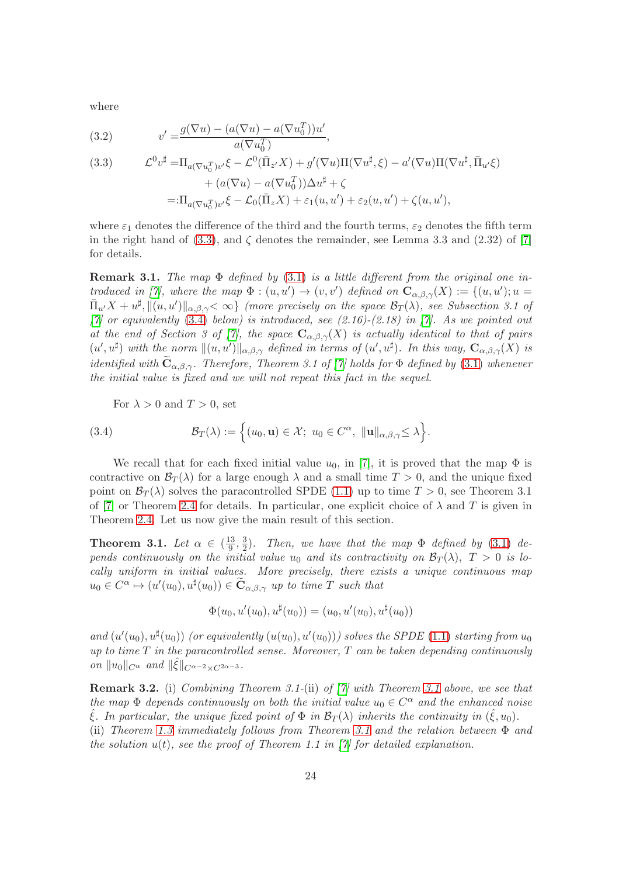where

<span id="page-23-4"></span>(3.2) 
$$
v' = \frac{g(\nabla u) - (a(\nabla u) - a(\nabla u_0^T))u'}{a(\nabla u_0^T)},
$$

<span id="page-23-3"></span>(3.3) 
$$
\mathcal{L}^0 v^{\sharp} = \Pi_{a(\nabla u_0^T)v'} \xi - \mathcal{L}^0(\bar{\Pi}_{z'} X) + g'(\nabla u) \Pi(\nabla u^{\sharp}, \xi) - a'(\nabla u) \Pi(\nabla u^{\sharp}, \bar{\Pi}_{u'} \xi) + (a(\nabla u) - a(\nabla u_0^T)) \Delta u^{\sharp} + \zeta =: \Pi_{a(\nabla u_0^T)v'} \xi - \mathcal{L}_0(\bar{\Pi}_z X) + \varepsilon_1(u, u') + \varepsilon_2(u, u') + \zeta(u, u'),
$$

where  $\varepsilon_1$  denotes the difference of the third and the fourth terms,  $\varepsilon_2$  denotes the fifth term in the right hand of [\(3.3\)](#page-23-3), and  $\zeta$  denotes the remainder, see Lemma 3.3 and (2.32) of [\[7\]](#page-32-0) for details.

**Remark 3.1.** The map  $\Phi$  defined by [\(3.1\)](#page-22-1) is a little different from the original one in-troduced in [\[7\]](#page-32-0), where the map  $\Phi : (u, u') \to (v, v')$  defined on  $\mathbf{C}_{\alpha, \beta, \gamma}(X) := \{(u, u') : u =$  $\bar{\Pi}_{u'}X+u^{\sharp},\|(u,u')\|_{\alpha,\beta,\gamma}\lt\infty\}$  (more precisely on the space  $\mathcal{B}_T(\lambda)$ , see Subsection 3.1 of  $[7]$  or equivalently [\(3.4\)](#page-23-2) below) is introduced, see (2.16)-(2.18) in [\[7\]](#page-32-0). As we pointed out at the end of Section 3 of [\[7\]](#page-32-0), the space  $\mathbf{C}_{\alpha,\beta,\gamma}(X)$  is actually identical to that of pairs  $(u',u^{\sharp})$  with the norm  $||(u,u')||_{\alpha,\beta,\gamma}$  defined in terms of  $(u',u^{\sharp})$ . In this way,  $\mathbf{C}_{\alpha,\beta,\gamma}(X)$  is identified with  $\mathbf{C}_{\alpha,\beta,\gamma}$ . Therefore, Theorem 3.1 of [\[7\]](#page-32-0) holds for  $\Phi$  defined by [\(3.1\)](#page-22-1) whenever the initial value is fixed and we will not repeat this fact in the sequel.

For  $\lambda > 0$  and  $T > 0$ , set

<span id="page-23-2"></span>(3.4) 
$$
\mathcal{B}_T(\lambda) := \left\{ (u_0, \mathbf{u}) \in \mathcal{X}; \ u_0 \in C^{\alpha}, \ \|\mathbf{u}\|_{\alpha, \beta, \gamma} \leq \lambda \right\}.
$$

We recall that for each fixed initial value  $u_0$ , in [\[7\]](#page-32-0), it is proved that the map  $\Phi$  is contractive on  $\mathcal{B}_T(\lambda)$  for a large enough  $\lambda$  and a small time  $T > 0$ , and the unique fixed point on  $\mathcal{B}_{T}(\lambda)$  solves the paracontrolled SPDE [\(1.1\)](#page-0-0) up to time  $T > 0$ , see Theorem 3.1 of [\[7\]](#page-32-0) or Theorem [2.4](#page-12-5) for details. In particular, one explicit choice of  $\lambda$  and T is given in Theorem [2.4.](#page-12-5) Let us now give the main result of this section.

<span id="page-23-1"></span>Theorem 3.1. Let  $\alpha \in (\frac{13}{9})$  $\frac{13}{9}, \frac{3}{2}$  $\frac{3}{2}$ ). Then, we have that the map  $\Phi$  defined by [\(3.1\)](#page-22-1) depends continuously on the initial value  $u_0$  and its contractivity on  $\mathcal{B}_T(\lambda)$ ,  $T > 0$  is locally uniform in initial values. More precisely, there exists a unique continuous map  $u_0 \in C^{\alpha} \mapsto (u'(u_0), u^{\sharp}(u_0)) \in \widetilde{\mathbf{C}}_{\alpha,\beta,\gamma}$  up to time T such that

$$
\Phi(u_0, u'(u_0), u^{\sharp}(u_0)) = (u_0, u'(u_0), u^{\sharp}(u_0))
$$

and  $(u'(u_0), u^{\sharp}(u_0))$  (or equivalently  $(u(u_0), u'(u_0)))$  solves the SPDE [\(1.1\)](#page-0-0) starting from  $u_0$ up to time  $T$  in the paracontrolled sense. Moreover,  $T$  can be taken depending continuously on  $||u_0||_{C^{\alpha}}$  and  $||\hat{\xi}||_{C^{\alpha-2}\times C^{2\alpha-3}}$ .

<span id="page-23-0"></span>Remark 3.2. (i) Combining Theorem 3.1-(ii) of [\[7\]](#page-32-0) with Theorem [3.1](#page-23-1) above, we see that the map  $\Phi$  depends continuously on both the initial value  $u_0 \in C^{\alpha}$  and the enhanced noise  $\hat{\xi}$ . In particular, the unique fixed point of  $\Phi$  in  $\mathcal{B}_T(\lambda)$  inherits the continuity in  $(\hat{\xi}, u_0)$ .

(ii) Theorem [1.3](#page-4-0) immediately follows from Theorem [3.1](#page-23-1) and the relation between Φ and the solution  $u(t)$ , see the proof of Theorem 1.1 in [\[7\]](#page-32-0) for detailed explanation.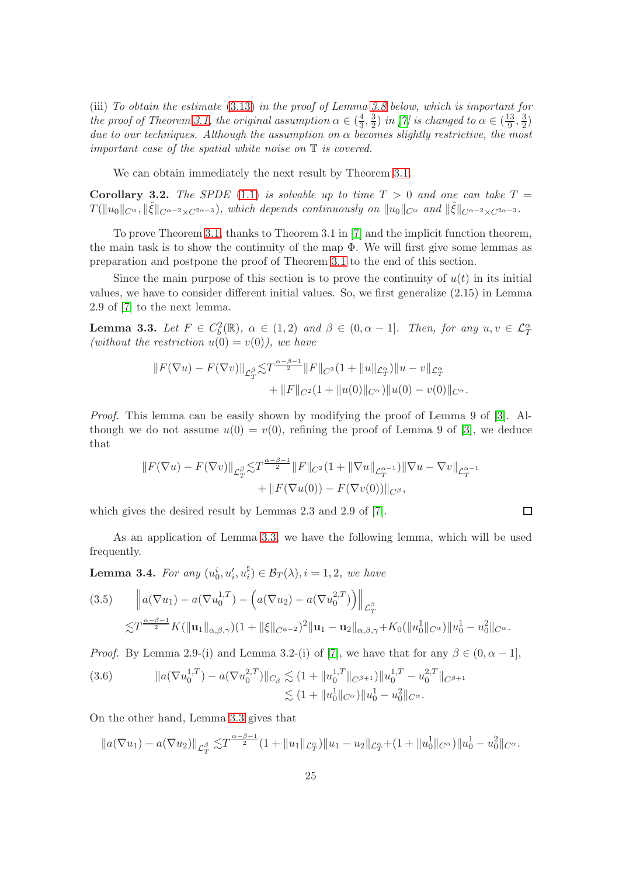(iii) To obtain the estimate [\(3.13\)](#page-27-0) in the proof of Lemma [3.8](#page-27-1) below, which is important for the proof of Theorem [3.1,](#page-23-1) the original assumption  $\alpha \in (\frac{4}{3})$  $\frac{4}{3}, \frac{3}{2}$  $\frac{3}{2}$ ) in [\[7\]](#page-32-0) is changed to  $\alpha \in (\frac{13}{9})$  $\frac{13}{9}, \frac{3}{2}$  $\frac{3}{2})$ due to our techniques. Although the assumption on  $\alpha$  becomes slightly restrictive, the most important case of the spatial white noise on T is covered.

We can obtain immediately the next result by Theorem [3.1.](#page-23-1)

Corollary 3.2. The SPDE [\(1.1\)](#page-0-0) is solvable up to time  $T > 0$  and one can take  $T =$  $T(\|u_0\|_{C^\alpha},\|\hat{\xi}\|_{C^{\alpha-2}\times C^{2\alpha-3}})$ , which depends continuously on  $\|u_0\|_{C^\alpha}$  and  $\|\hat{\xi}\|_{C^{\alpha-2}\times C^{2\alpha-3}}$ .

To prove Theorem [3.1,](#page-23-1) thanks to Theorem 3.1 in [\[7\]](#page-32-0) and the implicit function theorem, the main task is to show the continuity of the map  $\Phi$ . We will first give some lemmas as preparation and postpone the proof of Theorem [3.1](#page-23-1) to the end of this section.

Since the main purpose of this section is to prove the continuity of  $u(t)$  in its initial values, we have to consider different initial values. So, we first generalize (2.15) in Lemma 2.9 of [\[7\]](#page-32-0) to the next lemma.

<span id="page-24-0"></span>**Lemma 3.3.** Let  $F \in C_b^2(\mathbb{R})$ ,  $\alpha \in (1,2)$  and  $\beta \in (0, \alpha - 1]$ . Then, for any  $u, v \in \mathcal{L}_T^{\alpha}$ (without the restriction  $u(0) = v(0)$ ), we have

$$
||F(\nabla u) - F(\nabla v)||_{\mathcal{L}_T^{\beta}} \lesssim T^{\frac{\alpha-\beta-1}{2}} ||F||_{C^2} (1 + ||u||_{\mathcal{L}_T^{\alpha}}) ||u - v||_{\mathcal{L}_T^{\alpha}} + ||F||_{C^2} (1 + ||u(0)||_{C^{\alpha}}) ||u(0) - v(0)||_{C^{\alpha}}.
$$

Proof. This lemma can be easily shown by modifying the proof of Lemma 9 of [\[3\]](#page-32-12). Although we do not assume  $u(0) = v(0)$ , refining the proof of Lemma 9 of [\[3\]](#page-32-12), we deduce that

$$
||F(\nabla u) - F(\nabla v)||_{\mathcal{L}_T^{\beta}} \lesssim T^{\frac{\alpha-\beta-1}{2}} ||F||_{C^2} (1 + ||\nabla u||_{\mathcal{L}_T^{\alpha-1}}) ||\nabla u - \nabla v||_{\mathcal{L}_T^{\alpha-1}} + ||F(\nabla u(0)) - F(\nabla v(0))||_{C^{\beta}},
$$

 $\Box$ 

which gives the desired result by Lemmas 2.3 and 2.9 of [\[7\]](#page-32-0).

As an application of Lemma [3.3,](#page-24-0) we have the following lemma, which will be used frequently.

<span id="page-24-3"></span>Lemma 3.4. For any  $(u_0^i,u_i',u_i^\sharp)$  $\mathcal{B}_T^{\mu}(\lambda), i = 1, 2, we have$ 

<span id="page-24-1"></span>
$$
(3.5) \qquad \left\| a(\nabla u_1) - a(\nabla u_0^{1,T}) - \left( a(\nabla u_2) - a(\nabla u_0^{2,T}) \right) \right\|_{\mathcal{L}_T^{\beta}} \n\lesssim T^{\frac{\alpha-\beta-1}{2}} K(\|\mathbf{u}_1\|_{\alpha,\beta,\gamma})(1 + \|\xi\|_{C^{\alpha-2}})^2 \|\mathbf{u}_1 - \mathbf{u}_2\|_{\alpha,\beta,\gamma} + K_0(\|u_0^1\|_{C^{\alpha}}) \|u_0^1 - u_0^2\|_{C^{\alpha}}.
$$

*Proof.* By Lemma 2.9-(i) and Lemma 3.2-(i) of [\[7\]](#page-32-0), we have that for any  $\beta \in (0, \alpha - 1]$ ,

<span id="page-24-2"></span>(3.6) 
$$
||a(\nabla u_0^{1,T}) - a(\nabla u_0^{2,T})||_{C_\beta} \lesssim (1 + ||u_0^{1,T}||_{C^{\beta+1}}) ||u_0^{1,T} - u_0^{2,T}||_{C^{\beta+1}} \lesssim (1 + ||u_0^1||_{C^\alpha}) ||u_0^1 - u_0^2||_{C^\alpha}.
$$

On the other hand, Lemma [3.3](#page-24-0) gives that

$$
||a(\nabla u_1) - a(\nabla u_2)||_{\mathcal{L}_T^{\beta}} \lesssim T^{\frac{\alpha-\beta-1}{2}} (1 + ||u_1||_{\mathcal{L}_T^{\alpha}}) ||u_1 - u_2||_{\mathcal{L}_T^{\alpha}} + (1 + ||u_0||_{C^{\alpha}}) ||u_0^1 - u_0^2||_{C^{\alpha}}.
$$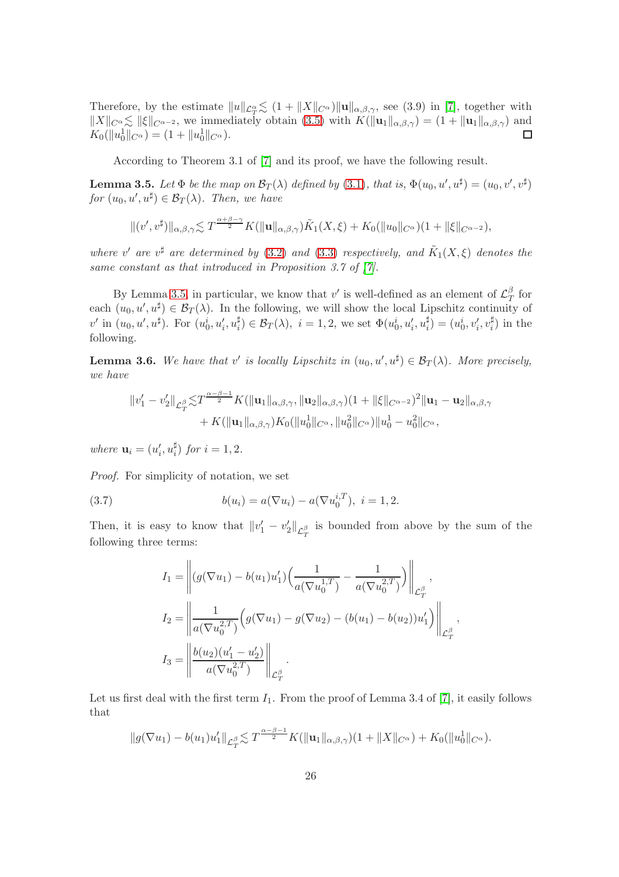Therefore, by the estimate  $||u||_{\mathcal{L}_T^{\alpha}} \lesssim (1 + ||X||_{C^{\alpha}}) ||u||_{\alpha,\beta,\gamma}$ , see (3.9) in [\[7\]](#page-32-0), together with  $\|X\|_{C^\alpha} \lesssim \|\xi\|_{C^{\alpha-2}}$ , we immediately obtain [\(3.5\)](#page-24-1) with  $K(\|\mathbf{u}_1\|_{\alpha,\beta,\gamma}) = (1 + \|\mathbf{u}_1\|_{\alpha,\beta,\gamma})$  and  $K_0(||u_0||_{C^{\alpha}}) = (1 + ||u_0||_{C^{\alpha}}).$  $\Box$ 

According to Theorem 3.1 of [\[7\]](#page-32-0) and its proof, we have the following result.

<span id="page-25-0"></span>**Lemma 3.5.** Let  $\Phi$  be the map on  $\mathcal{B}_T(\lambda)$  defined by [\(3.1\)](#page-22-1), that is,  $\Phi(u_0, u', u^{\sharp}) = (u_0, v', v^{\sharp})$ for  $(u_0, u', u^{\sharp}) \in \mathcal{B}_T(\lambda)$ . Then, we have

$$
\|(v',v^{\sharp})\|_{\alpha,\beta,\gamma} \lesssim T^{\frac{\alpha+\beta-\gamma}{2}} K(\|\mathbf{u}\|_{\alpha,\beta,\gamma})\tilde{K}_1(X,\xi) + K_0(\|u_0\|_{C^{\alpha}})(1+\|\xi\|_{C^{\alpha-2}}),
$$

where v' are  $v^{\sharp}$  are determined by [\(3.2\)](#page-23-4) and [\(3.3\)](#page-23-3) respectively, and  $\tilde{K}_1(X,\xi)$  denotes the same constant as that introduced in Proposition 3.7 of [\[7\]](#page-32-0).

By Lemma [3.5,](#page-25-0) in particular, we know that  $v'$  is well-defined as an element of  $\mathcal{L}_{\mathcal{T}}^{\beta}$  $T$  for each  $(u_0, u', u^{\sharp}) \in \mathcal{B}_T(\lambda)$ . In the following, we will show the local Lipschitz continuity of  $v'$  in  $(u_0, u', u^{\sharp})$ . For  $(u_0^i, u_i', u_i^{\sharp})$  $\sharp_i^{\sharp}) \in \mathcal{B}_T(\lambda), i = 1, 2$ , we set  $\Phi(u_0^i, u_i', u_i^{\sharp})$  $\binom{\sharp}{i} = (u_0^i, v_i', v_i^{\sharp})$  $\binom{4}{i}$  in the following.

<span id="page-25-1"></span>**Lemma 3.6.** We have that v' is locally Lipschitz in  $(u_0, u', u^{\sharp}) \in \mathcal{B}_T(\lambda)$ . More precisely, we have

$$
\begin{aligned}\n||v_1' - v_2'||_{\mathcal{L}_T^{\beta}} \lesssim & T^{\frac{\alpha-\beta-1}{2}} K(||\mathbf{u}_1||_{\alpha,\beta,\gamma}, ||\mathbf{u}_2||_{\alpha,\beta,\gamma}) (1 + ||\xi||_{C^{\alpha-2}})^2 ||\mathbf{u}_1 - \mathbf{u}_2||_{\alpha,\beta,\gamma} \\
&+ K(||\mathbf{u}_1||_{\alpha,\beta,\gamma}) K_0(||u_0^1||_{C^{\alpha}}, ||u_0^2||_{C^{\alpha}}) ||u_0^1 - u_0^2||_{C^{\alpha}},\n\end{aligned}
$$

where  $\mathbf{u}_i = (u'_i, u_i^{\sharp})$  $\binom{n}{i}$  for  $i=1,2$ .

Proof. For simplicity of notation, we set

<span id="page-25-2"></span>(3.7) 
$$
b(u_i) = a(\nabla u_i) - a(\nabla u_0^{i,T}), \ i = 1, 2.
$$

Then, it is easy to know that  $||v_1' - v_2'||_{\mathcal{L}_T^{\beta}}$  is bounded from above by the sum of the following three terms:

$$
I_1 = \left\| (g(\nabla u_1) - b(u_1)u'_1) \left( \frac{1}{a(\nabla u_0^{1,T})} - \frac{1}{a(\nabla u_0^{2,T})} \right) \right\|_{\mathcal{L}_T^{\beta}},
$$
  
\n
$$
I_2 = \left\| \frac{1}{a(\nabla u_0^{2,T})} \left( g(\nabla u_1) - g(\nabla u_2) - (b(u_1) - b(u_2))u'_1 \right) \right\|_{\mathcal{L}_T^{\beta}},
$$
  
\n
$$
I_3 = \left\| \frac{b(u_2)(u'_1 - u'_2)}{a(\nabla u_0^{2,T})} \right\|_{\mathcal{L}_T^{\beta}}.
$$

Let us first deal with the first term  $I_1$ . From the proof of Lemma 3.4 of [\[7\]](#page-32-0), it easily follows that

$$
||g(\nabla u_1) - b(u_1)u'_1||_{\mathcal{L}_T^{\beta}} \lesssim T^{\frac{\alpha-\beta-1}{2}}K(||\mathbf{u}_1||_{\alpha,\beta,\gamma})(1+||X||_{C^{\alpha}}) + K_0(||u_0||_{C^{\alpha}}).
$$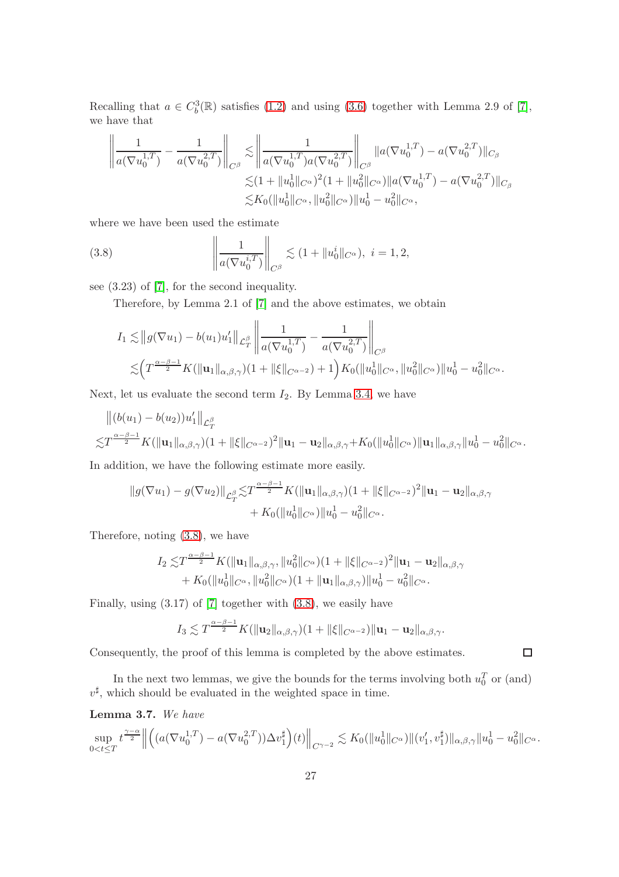Recalling that  $a \in C_b^3(\mathbb{R})$  satisfies [\(1.2\)](#page-0-1) and using [\(3.6\)](#page-24-2) together with Lemma 2.9 of [\[7\]](#page-32-0), we have that

$$
\left\| \frac{1}{a(\nabla u_0^{1,T})} - \frac{1}{a(\nabla u_0^{2,T})} \right\|_{C^\beta} \lesssim \left\| \frac{1}{a(\nabla u_0^{1,T})a(\nabla u_0^{2,T})} \right\|_{C^\beta} \|a(\nabla u_0^{1,T}) - a(\nabla u_0^{2,T})\|_{C_\beta}
$$
  

$$
\lesssim (1 + \|u_0^1\|_{C^\alpha})^2 (1 + \|u_0^2\|_{C^\alpha}) \|a(\nabla u_0^{1,T}) - a(\nabla u_0^{2,T})\|_{C_\beta}
$$
  

$$
\lesssim K_0 (\|u_0^1\|_{C^\alpha}, \|u_0^2\|_{C^\alpha}) \|u_0^1 - u_0^2\|_{C^\alpha},
$$

where we have been used the estimate

<span id="page-26-0"></span>(3.8) 
$$
\left\| \frac{1}{a(\nabla u_0^{i,T})} \right\|_{C^{\beta}} \lesssim (1 + \|u_0^i\|_{C^{\alpha}}), \ i = 1, 2,
$$

see (3.23) of [\[7\]](#page-32-0), for the second inequality.

Therefore, by Lemma 2.1 of [\[7\]](#page-32-0) and the above estimates, we obtain

$$
I_1 \lesssim ||g(\nabla u_1) - b(u_1)u'_1||_{\mathcal{L}_T^{\beta}} \left\| \frac{1}{a(\nabla u_0^{1,T})} - \frac{1}{a(\nabla u_0^{2,T})} \right\|_{C^{\beta}} \lesssim \left( T^{\frac{\alpha-\beta-1}{2}} K(||\mathbf{u}_1||_{\alpha,\beta,\gamma})(1+||\xi||_{C^{\alpha-2}}) + 1 \right) K_0(||u_0^1||_{C^{\alpha}}, ||u_0^2||_{C^{\alpha}}) ||u_0^1 - u_0^2||_{C^{\alpha}}.
$$

Next, let us evaluate the second term  $I_2$ . By Lemma [3.4,](#page-24-3) we have

$$
||(b(u_1) - b(u_2))u'_1||_{\mathcal{L}_T^{\beta}}\n\lesssim T^{\frac{\alpha-\beta-1}{2}}K(||\mathbf{u}_1||_{\alpha,\beta,\gamma})(1+||\xi||_{C^{\alpha-2}})^2||\mathbf{u}_1 - \mathbf{u}_2||_{\alpha,\beta,\gamma}+K_0(||u_0||_{C^{\alpha}})||\mathbf{u}_1||_{\alpha,\beta,\gamma}||u_0^1 - u_0^2||_{C^{\alpha}}.
$$

In addition, we have the following estimate more easily.

$$
||g(\nabla u_1) - g(\nabla u_2)||_{\mathcal{L}_T^{\beta}} \lesssim T^{\frac{\alpha-\beta-1}{2}} K(||\mathbf{u}_1||_{\alpha,\beta,\gamma})(1+||\xi||_{C^{\alpha-2}})^2 ||\mathbf{u}_1 - \mathbf{u}_2||_{\alpha,\beta,\gamma} + K_0(||u_0||_{C^{\alpha}})||u_0^1 - u_0^2 ||_{C^{\alpha}}.
$$

Therefore, noting [\(3.8\)](#page-26-0), we have

$$
I_2 \lesssim T^{\frac{\alpha-\beta-1}{2}} K(||\mathbf{u}_1||_{\alpha,\beta,\gamma}, ||u_0^2||_{C^{\alpha}})(1+||\xi||_{C^{\alpha-2}})^2 ||\mathbf{u}_1 - \mathbf{u}_2||_{\alpha,\beta,\gamma} + K_0(||u_0^1||_{C^{\alpha}}, ||u_0^2||_{C^{\alpha}})(1+||\mathbf{u}_1||_{\alpha,\beta,\gamma}) ||u_0^1 - u_0^2||_{C^{\alpha}}.
$$

Finally, using (3.17) of [\[7\]](#page-32-0) together with [\(3.8\)](#page-26-0), we easily have

$$
I_3 \lesssim T^{\frac{\alpha-\beta-1}{2}} K(\|\mathbf{u}_2\|_{\alpha,\beta,\gamma})(1+\|\xi\|_{C^{\alpha-2}})\|\mathbf{u}_1-\mathbf{u}_2\|_{\alpha,\beta,\gamma}.
$$

 $\square$ 

Consequently, the proof of this lemma is completed by the above estimates.

In the next two lemmas, we give the bounds for the terms involving both  $u_0^T$  or (and)  $v^{\sharp}$ , which should be evaluated in the weighted space in time.

Lemma 3.7. We have

$$
\sup_{0
$$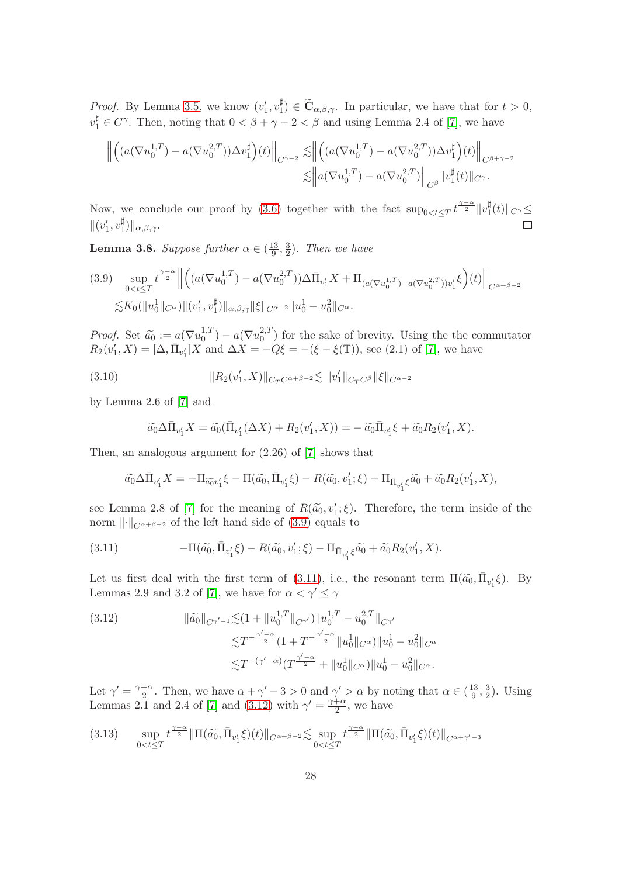*Proof.* By Lemma [3.5,](#page-25-0) we know  $(v'_1, v_1^{\sharp})$  $\binom{\mu}{1} \in \mathbf{C}_{\alpha,\beta,\gamma}$ . In particular, we have that for  $t > 0$ ,  $v_1^{\sharp} \in C^{\gamma}$ . Then, noting that  $0 < \beta + \gamma - 2 < \beta$  and using Lemma 2.4 of [\[7\]](#page-32-0), we have

$$
\left\| \left( \left( a(\nabla u_0^{1,T}) - a(\nabla u_0^{2,T}) \right) \Delta v_1^{\sharp} \right) (t) \right\|_{C^{\gamma-2}} \lesssim \left\| \left( \left( a(\nabla u_0^{1,T}) - a(\nabla u_0^{2,T}) \right) \Delta v_1^{\sharp} \right) (t) \right\|_{C^{\beta+\gamma-2}} \leq \left\| a(\nabla u_0^{1,T}) - a(\nabla u_0^{2,T}) \right\|_{C^{\beta}} \|v_1^{\sharp}(t)\|_{C^{\gamma}}.
$$

Now, we conclude our proof by [\(3.6\)](#page-24-2) together with the fact  $\sup_{0 < t \leq T} t^{\frac{\gamma-\alpha}{2}} \|v\|$  $\frac{4}{1}(t)\Vert_{C^{\gamma}}\leq$  $\|(v'_1, v_1^{\sharp}$  $_{1}^{\sharp})\Vert_{\alpha,\beta,\gamma}$ .

<span id="page-27-1"></span>**Lemma 3.8.** Suppose further  $\alpha \in (\frac{13}{9})$  $\frac{13}{9}, \frac{3}{2}$  $\frac{3}{2}$ ). Then we have

<span id="page-27-2"></span>
$$
(3.9) \sup_{0 < t \le T} t^{\frac{\gamma - \alpha}{2}} \left\| \left( (a(\nabla u_0^{1,T}) - a(\nabla u_0^{2,T})) \Delta \bar{\Pi}_{v'_1} X + \Pi_{(a(\nabla u_0^{1,T}) - a(\nabla u_0^{2,T})) v'_1} \xi \right) (t) \right\|_{C^{\alpha + \beta - 2}}
$$
  

$$
\lesssim K_0(\|u_0^1\|_{C^\alpha}) \| (v'_1, v_1^{\sharp}) \|_{\alpha, \beta, \gamma} \|\xi\|_{C^{\alpha - 2}} \|u_0^1 - u_0^2\|_{C^\alpha}.
$$

Proof. Set  $\tilde{a}_0 := a(\nabla u_0^{1,T})$  $_0^{1,T}$ ) –  $a(\nabla u_0^{2,T})$  $\binom{2}{0}$  for the sake of brevity. Using the the commutator  $R_2(v'_1, X) = [\Delta, \bar{\Pi}_{v'_1}] X$  and  $\Delta X = -Q\xi = -(\xi - \xi(\mathbb{T}))$ , see (2.1) of [\[7\]](#page-32-0), we have

<span id="page-27-5"></span>(3.10) 
$$
||R_2(v'_1, X)||_{C_T C^{\alpha+\beta-2}} \lesssim ||v'_1||_{C_T C^{\beta}} ||\xi||_{C^{\alpha-2}}
$$

by Lemma 2.6 of [\[7\]](#page-32-0) and

$$
\widetilde{a_0}\Delta \bar{\Pi}_{v'_1} X = \widetilde{a_0}(\bar{\Pi}_{v'_1}(\Delta X) + R_2(v'_1, X)) = -\widetilde{a_0}\bar{\Pi}_{v'_1}\xi + \widetilde{a_0}R_2(v'_1, X).
$$

Then, an analogous argument for (2.26) of [\[7\]](#page-32-0) shows that

$$
\widetilde{a_0}\Delta \bar{\Pi}_{v'_1}X=-\Pi_{\widetilde{a_0}v'_1}\xi-\Pi(\widetilde{a_0},\bar{\Pi}_{v'_1}\xi)-R(\widetilde{a_0},v'_1;\xi)-\Pi_{\bar{\Pi}_{v'_1}\xi}\widetilde{a_0}+\widetilde{a_0}R_2(v'_1,X),
$$

see Lemma 2.8 of [\[7\]](#page-32-0) for the meaning of  $R(\tilde{a}_0, v'_1; \xi)$ . Therefore, the term inside of the norm  $\lVert \cdot \rVert_{C^{\alpha+\beta-2}}$  of the left hand side of [\(3.9\)](#page-27-2) equals to

<span id="page-27-3"></span>(3.11) 
$$
-\Pi(\tilde{a_0}, \bar{\Pi}_{v'_1}\xi) - R(\tilde{a_0}, v'_1;\xi) - \Pi_{\bar{\Pi}_{v'_1}\xi}\tilde{a_0} + \tilde{a_0}R_2(v'_1, X).
$$

Let us first deal with the first term of [\(3.11\)](#page-27-3), i.e., the resonant term  $\Pi(\tilde{a_0}, \bar{\Pi}_{v'_1} \xi)$ . By Lemmas 2.9 and 3.2 of [\[7\]](#page-32-0), we have for  $\alpha < \gamma' \leq \gamma$ 

<span id="page-27-4"></span>(3.12) 
$$
\|\tilde{a_0}\|_{C^{\gamma'-1}} \lesssim (1 + \|u_0^{1,T}\|_{C^{\gamma'}}) \|u_0^{1,T} - u_0^{2,T}\|_{C^{\gamma'}}\leq T^{-\frac{\gamma'-\alpha}{2}} (1 + T^{-\frac{\gamma'-\alpha}{2}} \|u_0^1\|_{C^{\alpha}}) \|u_0^1 - u_0^2\|_{C^{\alpha}}\leq T^{-(\gamma'-\alpha)} (T^{\frac{\gamma'-\alpha}{2}} + \|u_0^1\|_{C^{\alpha}}) \|u_0^1 - u_0^2\|_{C^{\alpha}}.
$$

Let  $\gamma' = \frac{\gamma + \alpha}{2}$  $\frac{+\alpha}{2}$ . Then, we have  $\alpha + \gamma' - 3 > 0$  and  $\gamma' > \alpha$  by noting that  $\alpha \in (\frac{13}{9})$  $\frac{13}{9}, \frac{3}{2}$  $\frac{3}{2}$ ). Using Lemmas 2.1 and 2.4 of [\[7\]](#page-32-0) and [\(3.12\)](#page-27-4) with  $\gamma' = \frac{\gamma + \alpha}{2}$  $\frac{+\alpha}{2}$ , we have

<span id="page-27-0"></span>
$$
(3.13) \quad \sup_{0 < t \leq T} t^{\frac{\gamma - \alpha}{2}} \|\Pi(\tilde{a_0}, \bar{\Pi}_{v'_1} \xi)(t)\|_{C^{\alpha + \beta - 2}} \lesssim \sup_{0 < t \leq T} t^{\frac{\gamma - \alpha}{2}} \|\Pi(\tilde{a_0}, \bar{\Pi}_{v'_1} \xi)(t)\|_{C^{\alpha + \gamma'} - 3}
$$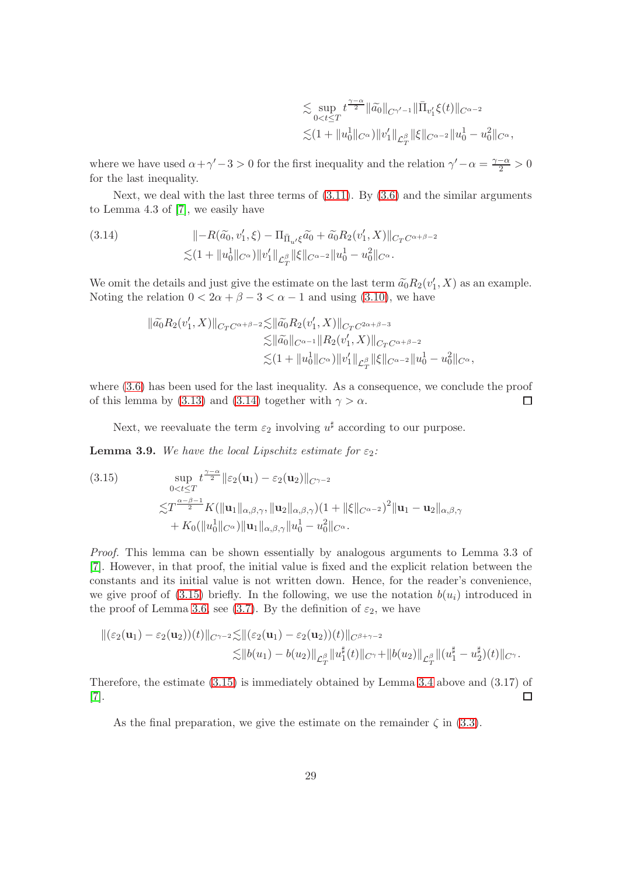$$
\begin{split} &\lesssim \sup_{0
$$

where we have used  $\alpha + \gamma' - 3 > 0$  for the first inequality and the relation  $\gamma' - \alpha = \frac{\gamma - \alpha}{2} > 0$ for the last inequality.

Next, we deal with the last three terms of  $(3.11)$ . By  $(3.6)$  and the similar arguments to Lemma 4.3 of [\[7\]](#page-32-0), we easily have

<span id="page-28-0"></span>(3.14) 
$$
\| -R(\tilde{a_0}, v'_1, \xi) - \Pi_{\bar{\Pi}_{u'}\xi}\tilde{a_0} + \tilde{a_0}R_2(v'_1, X)\|_{C_T C^{\alpha+\beta-2}} \n\lesssim (1 + \|u_0^1\|_{C^{\alpha}}) \|v'_1\|_{\mathcal{L}_T^{\beta}} \|\xi\|_{C^{\alpha-2}} \|u_0^1 - u_0^2\|_{C^{\alpha}}.
$$

We omit the details and just give the estimate on the last term  $\tilde{a}_0 R_2(v'_1, X)$  as an example. Noting the relation  $0 < 2\alpha + \beta - 3 < \alpha - 1$  and using [\(3.10\)](#page-27-5), we have

$$
\begin{split} \|\widetilde{a_0}R_2(v_1',X)\|_{C_TC^{\alpha+\beta-2}} \lesssim & \|\widetilde{a_0}R_2(v_1',X)\|_{C_TC^{2\alpha+\beta-3}}\\ \lesssim & \|\widetilde{a_0}\|_{C^{\alpha-1}} \|R_2(v_1',X)\|_{C_TC^{\alpha+\beta-2}}\\ \lesssim & (1+\|u_0^1\|_{C^\alpha}) \|v_1'\|_{\mathcal{L}_T^\beta}\|\xi\|_{C^{\alpha-2}} \|u_0^1-u_0^2\|_{C^\alpha}, \end{split}
$$

where [\(3.6\)](#page-24-2) has been used for the last inequality. As a consequence, we conclude the proof of this lemma by [\(3.13\)](#page-27-0) and [\(3.14\)](#page-28-0) together with  $\gamma > \alpha$ .  $\Box$ 

Next, we reevaluate the term  $\varepsilon_2$  involving  $u^{\sharp}$  according to our purpose.

**Lemma 3.9.** We have the local Lipschitz estimate for  $\varepsilon_2$ :

<span id="page-28-1"></span>(3.15) 
$$
\sup_{0 < t \leq T} t^{\frac{\gamma - \alpha}{2}} \| \varepsilon_2(\mathbf{u}_1) - \varepsilon_2(\mathbf{u}_2) \|_{C^{\gamma - 2}} \n\lesssim T^{\frac{\alpha - \beta - 1}{2}} K(||\mathbf{u}_1||_{\alpha, \beta, \gamma}, ||\mathbf{u}_2||_{\alpha, \beta, \gamma})(1 + ||\xi||_{C^{\alpha - 2}})^2 ||\mathbf{u}_1 - \mathbf{u}_2||_{\alpha, \beta, \gamma} \n+ K_0(||u_0||_{C^{\alpha}}) ||\mathbf{u}_1||_{\alpha, \beta, \gamma} ||u_0^1 - u_0^2||_{C^{\alpha}}.
$$

Proof. This lemma can be shown essentially by analogous arguments to Lemma 3.3 of [\[7\]](#page-32-0). However, in that proof, the initial value is fixed and the explicit relation between the constants and its initial value is not written down. Hence, for the reader's convenience, we give proof of  $(3.15)$  briefly. In the following, we use the notation  $b(u_i)$  introduced in the proof of Lemma [3.6,](#page-25-1) see [\(3.7\)](#page-25-2). By the definition of  $\varepsilon_2$ , we have

$$
\begin{aligned} \|(\varepsilon_2(\mathbf{u}_1)-\varepsilon_2(\mathbf{u}_2))(t)\|_{C^{\gamma-2}} \lesssim & \|\tarepsilon_2(\mathbf{u}_1)-\varepsilon_2(\mathbf{u}_2))(t)\|_{C^{\beta+\gamma-2}}\\ \lesssim & \|b(u_1)-b(u_2)\|_{\mathcal{L}^{\beta}_T} \|u_1^{\sharp}(t)\|_{C^{\gamma}}+\|b(u_2)\|_{\mathcal{L}^{\beta}_T} \| (u_1^{\sharp}-u_2^{\sharp})(t)\|_{C^{\gamma}}. \end{aligned}
$$

Therefore, the estimate [\(3.15\)](#page-28-1) is immediately obtained by Lemma [3.4](#page-24-3) above and (3.17) of [\[7\]](#page-32-0).  $\Box$ 

As the final preparation, we give the estimate on the remainder  $\zeta$  in [\(3.3\)](#page-23-3).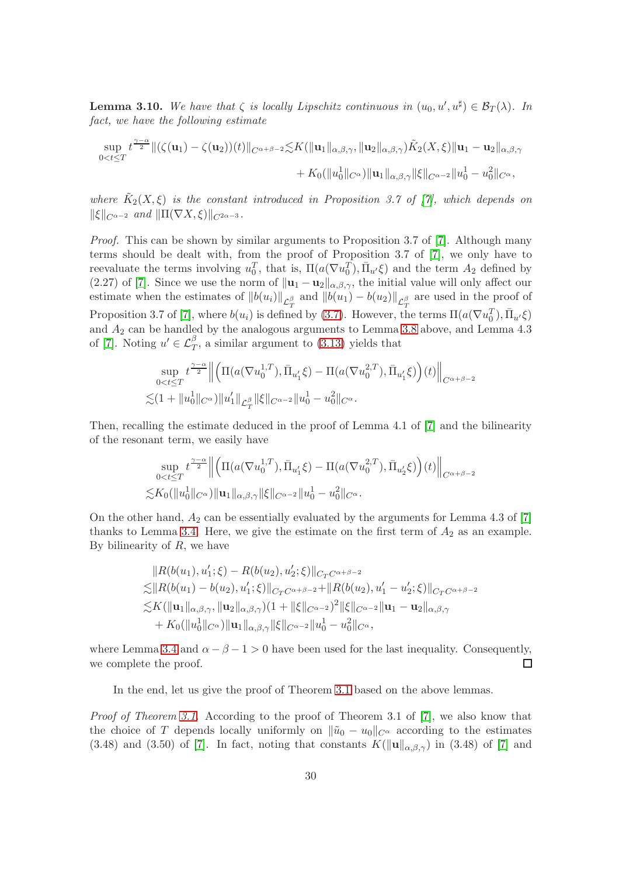<span id="page-29-0"></span>**Lemma 3.10.** We have that  $\zeta$  is locally Lipschitz continuous in  $(u_0, u', u^{\sharp}) \in \mathcal{B}_T(\lambda)$ . In fact, we have the following estimate

$$
\sup_{0
$$

where  $\tilde{K}_2(X,\xi)$  is the constant introduced in Proposition 3.7 of [\[7\]](#page-32-0), which depends on  $\|\xi\|_{C^{\alpha-2}}$  and  $\|\Pi(\nabla X,\xi)\|_{C^{2\alpha-3}}$ .

Proof. This can be shown by similar arguments to Proposition 3.7 of [\[7\]](#page-32-0). Although many terms should be dealt with, from the proof of Proposition 3.7 of [\[7\]](#page-32-0), we only have to reevaluate the terms involving  $u_0^T$ , that is,  $\Pi(a(\nabla u_0^T), \overline{\Pi}_{u'}\xi)$  and the term  $A_2$  defined by (2.27) of [\[7\]](#page-32-0). Since we use the norm of  $\|\mathbf{u}_1 - \mathbf{u}_2\|_{\alpha,\beta,\gamma}$ , the initial value will only affect our estimate when the estimates of  $||b(u_i)||_{\mathcal{L}_T^{\beta}}$  and  $||b(u_1) - b(u_2)||_{\mathcal{L}_T^{\beta}}$  are used in the proof of Proposition 3.7 of [\[7\]](#page-32-0), where  $b(u_i)$  is defined by [\(3.7\)](#page-25-2). However, the terms  $\Pi(a(\nabla u_0^T), \bar{\Pi}_{u'}\xi)$ and  $A_2$  can be handled by the analogous arguments to Lemma [3.8](#page-27-1) above, and Lemma 4.3 of [\[7\]](#page-32-0). Noting  $u' \in \mathcal{L}_T^{\beta}$ , a similar argument to [\(3.13\)](#page-27-0) yields that

$$
\sup_{0  

$$
\lesssim (1 + \|u_0^1\|_{C^{\alpha}}) \|u'_1\|_{\mathcal{L}_T^{\beta}} \|\xi\|_{C^{\alpha-2}} \|u_0^1 - u_0^2\|_{C^{\alpha}}.
$$
$$

Then, recalling the estimate deduced in the proof of Lemma 4.1 of [\[7\]](#page-32-0) and the bilinearity of the resonant term, we easily have

$$
\sup_{0 < t \le T} t^{\frac{\gamma - \alpha}{2}} \left\| \left( \Pi(a(\nabla u_0^{1,T}), \bar{\Pi}_{u'_1} \xi) - \Pi(a(\nabla u_0^{2,T}), \bar{\Pi}_{u'_2} \xi) \right) (t) \right\|_{C^{\alpha + \beta - 2}}
$$
  

$$
\lesssim K_0(\|u_0^1\|_{C^\alpha}) \|u_1\|_{\alpha, \beta, \gamma} \|\xi\|_{C^{\alpha - 2}} \|u_0^1 - u_0^2\|_{C^\alpha}.
$$

On the other hand,  $A_2$  can be essentially evaluated by the arguments for Lemma 4.3 of [\[7\]](#page-32-0) thanks to Lemma [3.4.](#page-24-3) Here, we give the estimate on the first term of  $A_2$  as an example. By bilinearity of  $R$ , we have

$$
||R(b(u_1), u'_1; \xi) - R(b(u_2), u'_2; \xi)||_{C_T C^{\alpha+\beta-2}}
$$
  
\n
$$
\leq ||R(b(u_1) - b(u_2), u'_1; \xi)||_{C_T C^{\alpha+\beta-2}} + ||R(b(u_2), u'_1 - u'_2; \xi)||_{C_T C^{\alpha+\beta-2}}
$$
  
\n
$$
\leq K(||\mathbf{u}_1||_{\alpha,\beta,\gamma}, ||\mathbf{u}_2||_{\alpha,\beta,\gamma})(1 + ||\xi||_{C^{\alpha-2}})^2 ||\xi||_{C^{\alpha-2}} ||\mathbf{u}_1 - \mathbf{u}_2||_{\alpha,\beta,\gamma}
$$
  
\n
$$
+ K_0(||u_0||_{C^{\alpha}})||\mathbf{u}_1||_{\alpha,\beta,\gamma} ||\xi||_{C^{\alpha-2}} ||u_0 - u_0||_{C^{\alpha}},
$$

where Lemma [3.4](#page-24-3) and  $\alpha - \beta - 1 > 0$  have been used for the last inequality. Consequently, we complete the proof.  $\Box$ 

In the end, let us give the proof of Theorem [3.1](#page-23-1) based on the above lemmas.

Proof of Theorem [3.1.](#page-23-1) According to the proof of Theorem 3.1 of [\[7\]](#page-32-0), we also know that the choice of T depends locally uniformly on  $\|\tilde{u}_0 - u_0\|_{C^\alpha}$  according to the estimates (3.48) and (3.50) of [\[7\]](#page-32-0). In fact, noting that constants  $K(\|\mathbf{u}\|_{\alpha,\beta,\gamma})$  in (3.48) of [7] and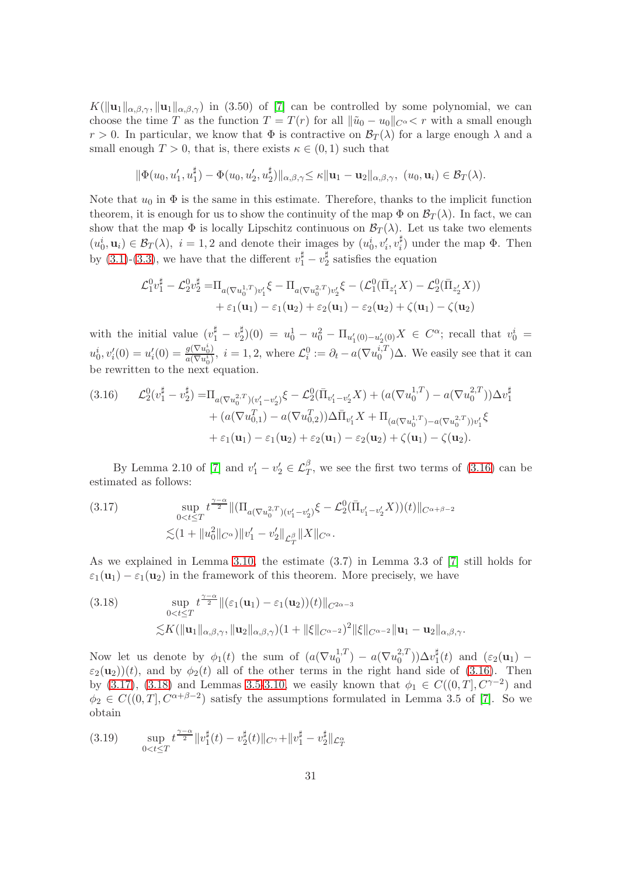$K(\|\mathbf{u}_1\|_{\alpha,\beta,\gamma}, \|\mathbf{u}_1\|_{\alpha,\beta,\gamma})$  in (3.50) of [\[7\]](#page-32-0) can be controlled by some polynomial, we can choose the time T as the function  $T = T(r)$  for all  $\|\tilde{u}_0 - u_0\|_{C^{\alpha}} < r$  with a small enough  $r > 0$ . In particular, we know that  $\Phi$  is contractive on  $\mathcal{B}_{T}(\lambda)$  for a large enough  $\lambda$  and a small enough  $T > 0$ , that is, there exists  $\kappa \in (0, 1)$  such that

$$
\|\Phi(u_0, u'_1, u_1^{\sharp}) - \Phi(u_0, u'_2, u_2^{\sharp})\|_{\alpha, \beta, \gamma} \leq \kappa \|\mathbf{u}_1 - \mathbf{u}_2\|_{\alpha, \beta, \gamma}, \ (u_0, \mathbf{u}_i) \in \mathcal{B}_T(\lambda).
$$

Note that  $u_0$  in  $\Phi$  is the same in this estimate. Therefore, thanks to the implicit function theorem, it is enough for us to show the continuity of the map  $\Phi$  on  $\mathcal{B}_T(\lambda)$ . In fact, we can show that the map  $\Phi$  is locally Lipschitz continuous on  $\mathcal{B}_T(\lambda)$ . Let us take two elements  $(u_0^i, \mathbf{u}_i) \in \mathcal{B}_T(\lambda), i = 1, 2$  and denote their images by  $(u_0^i, v_i^i, v_i^{\sharp})$  $i^{\mu}$ ) under the map  $\Phi$ . Then by [\(3.1\)](#page-22-1)-[\(3.3\)](#page-23-3), we have that the different  $v_1^{\sharp} - v_2^{\sharp}$  $2^{\frac{\mu}{2}}$  satisfies the equation

$$
\mathcal{L}_{1}^{0}v_{1}^{\sharp} - \mathcal{L}_{2}^{0}v_{2}^{\sharp} = \Pi_{a(\nabla u_{0}^{1,T})v_{1}'}\xi - \Pi_{a(\nabla u_{0}^{2,T})v_{2}'}\xi - (\mathcal{L}_{1}^{0}(\bar{\Pi}_{z_{1}'}X) - \mathcal{L}_{2}^{0}(\bar{\Pi}_{z_{2}'}X)) + \varepsilon_{1}(\mathbf{u}_{1}) - \varepsilon_{1}(\mathbf{u}_{2}) + \varepsilon_{2}(\mathbf{u}_{1}) - \varepsilon_{2}(\mathbf{u}_{2}) + \zeta(\mathbf{u}_{1}) - \zeta(\mathbf{u}_{2})
$$

with the initial value  $(v_1^{\sharp} - v_2^{\sharp})$  $\frac{1}{2}(0) = u_0^1 - u_0^2 - \Pi_{u_1'(0) - u_2'(0)}X \in C^{\alpha}$ ; recall that  $v_0^i =$  $u_0^i, v_i'(0) = u_i'(0) = \frac{g(\nabla u_0^i)}{a(\nabla u_0^i)}$  $\frac{g(\nabla u_0^i)}{a(\nabla u_0^i)}, i = 1, 2$ , where  $\mathcal{L}_i^0 := \partial_t - a(\nabla u_0^{i,T})$  $_{0}^{i,I}$   $)\Delta$ . We easily see that it can be rewritten to the next equation.

<span id="page-30-0"></span>
$$
(3.16) \qquad \mathcal{L}_2^0(v_1^{\sharp} - v_2^{\sharp}) = \Pi_{a(\nabla u_0^{2,T})(v_1' - v_2')} \xi - \mathcal{L}_2^0(\bar{\Pi}_{v_1' - v_2'} X) + (a(\nabla u_0^{1,T}) - a(\nabla u_0^{2,T})) \Delta v_1^{\sharp} + (a(\nabla u_{0,1}^T) - a(\nabla u_{0,2}^T)) \Delta \bar{\Pi}_{v_1'} X + \Pi_{(a(\nabla u_0^{1,T}) - a(\nabla u_0^{2,T})) v_1'} \xi + \varepsilon_1(\mathbf{u}_1) - \varepsilon_1(\mathbf{u}_2) + \varepsilon_2(\mathbf{u}_1) - \varepsilon_2(\mathbf{u}_2) + \zeta(\mathbf{u}_1) - \zeta(\mathbf{u}_2).
$$

By Lemma 2.10 of [\[7\]](#page-32-0) and  $v'_1 - v'_2 \in \mathcal{L}_T^{\beta}$ , we see the first two terms of [\(3.16\)](#page-30-0) can be estimated as follows:

<span id="page-30-1"></span>(3.17) 
$$
\sup_{0 < t \leq T} t^{\frac{\gamma - \alpha}{2}} \|(\Pi_{a(\nabla u_0^{2,T})(v_1' - v_2')} \xi - \mathcal{L}_2^0(\bar{\Pi}_{v_1' - v_2'} X))(t)\|_{C^{\alpha + \beta - 2}}
$$

$$
\lesssim (1 + \|u_0^2\|_{C^{\alpha}}) \|v_1' - v_2'\|_{\mathcal{L}_T^{\beta}} \|X\|_{C^{\alpha}}.
$$

As we explained in Lemma [3.10,](#page-29-0) the estimate (3.7) in Lemma 3.3 of [\[7\]](#page-32-0) still holds for  $\varepsilon_1(\mathbf{u}_1) - \varepsilon_1(\mathbf{u}_2)$  in the framework of this theorem. More precisely, we have

<span id="page-30-2"></span>(3.18) 
$$
\sup_{0 < t \leq T} t^{\frac{\gamma - \alpha}{2}} \|(\varepsilon_1(\mathbf{u}_1) - \varepsilon_1(\mathbf{u}_2))(t)\|_{C^{2\alpha - 3}} \n\lesssim K(\|\mathbf{u}_1\|_{\alpha, \beta, \gamma}, \|\mathbf{u}_2\|_{\alpha, \beta, \gamma})(1 + \|\xi\|_{C^{\alpha - 2}})^2 \|\xi\|_{C^{\alpha - 2}} \|\mathbf{u}_1 - \mathbf{u}_2\|_{\alpha, \beta, \gamma}.
$$

Now let us denote by  $\phi_1(t)$  the sum of  $(a(\nabla u_0^{1,T}))$  $_0^{1,T}$ ) –  $a(\nabla u_0^{2,T})$  $\binom{2,T}{0}$ ) $\Delta v_1^{\sharp}$  $\frac{1}{1}(t)$  and  $(\varepsilon_2(\mathbf{u}_1)$  –  $\varepsilon_2(\mathbf{u}_2)(t)$ , and by  $\phi_2(t)$  all of the other terms in the right hand side of [\(3.16\)](#page-30-0). Then by [\(3.17\)](#page-30-1), [\(3.18\)](#page-30-2) and Lemmas [3.5-](#page-25-0)[3.10,](#page-29-0) we easily known that  $\phi_1 \in C((0,T], C^{\gamma-2})$  and  $\phi_2 \in C((0,T], C^{\alpha+\beta-2})$  satisfy the assumptions formulated in Lemma 3.5 of [\[7\]](#page-32-0). So we obtain

<span id="page-30-3"></span>
$$
(3.19) \quad \sup_{0 < t \le T} t^{\frac{\gamma - \alpha}{2}} \|v_1^{\sharp}(t) - v_2^{\sharp}(t)\|_{C^{\gamma}} + \|v_1^{\sharp} - v_2^{\sharp}\|_{\mathcal{L}_T^{\alpha}}
$$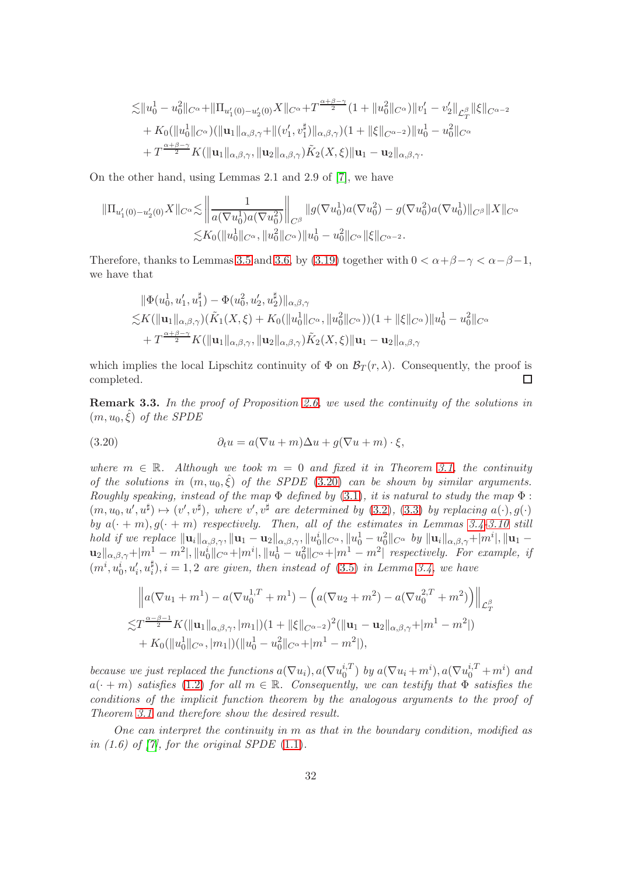$$
\begin{split} \lesssim & \|u_0^1 - u_0^2\|_{C^\alpha} + \|\Pi_{u_1'(0) - u_2'(0)}X\|_{C^\alpha} + T^{\frac{\alpha + \beta - \gamma}{2}}(1 + \|u_0^2\|_{C^\alpha}) \|v_1' - v_2'\|_{\mathcal{L}_T^{\beta}} \|\xi\|_{C^{\alpha - 2}} \\ & + K_0 (\|u_0^1\|_{C^\alpha})(\|{\bf u}_1\|_{\alpha, \beta, \gamma} + \|(v_1', v_1^\sharp)\|_{\alpha, \beta, \gamma})(1 + \|\xi\|_{C^{\alpha - 2}}) \|u_0^1 - u_0^2\|_{C^\alpha} \\ & + T^{\frac{\alpha + \beta - \gamma}{2}} K (\|{\bf u}_1\|_{\alpha, \beta, \gamma}, \|{\bf u}_2\|_{\alpha, \beta, \gamma}) \tilde{K}_2(X, \xi) \|{\bf u}_1 - {\bf u}_2\|_{\alpha, \beta, \gamma}. \end{split}
$$

On the other hand, using Lemmas 2.1 and 2.9 of [\[7\]](#page-32-0), we have

$$
\|\Pi_{u'_1(0)-u'_2(0)}X\|_{C^{\alpha}} \lesssim \left\|\frac{1}{a(\nabla u_0^1)a(\nabla u_0^2)}\right\|_{C^{\beta}} \|g(\nabla u_0^1)a(\nabla u_0^2) - g(\nabla u_0^2)a(\nabla u_0^1)\|_{C^{\beta}} \|X\|_{C^{\alpha}}
$$
  

$$
\lesssim K_0(\|u_0^1\|_{C^{\alpha}}, \|u_0^2\|_{C^{\alpha}})\|u_0^1 - u_0^2\|_{C^{\alpha}} \|\xi\|_{C^{\alpha-2}}.
$$

Therefore, thanks to Lemmas [3.5](#page-25-0) and [3.6,](#page-25-1) by [\(3.19\)](#page-30-3) together with  $0 < \alpha + \beta - \gamma < \alpha - \beta - 1$ , we have that

$$
\|\Phi(u_0^1, u_1', u_1^{\sharp}) - \Phi(u_0^2, u_2', u_2^{\sharp})\|_{\alpha, \beta, \gamma} \n\le K(\|\mathbf{u}_1\|_{\alpha, \beta, \gamma})(\tilde{K}_1(X, \xi) + K_0(\|u_0^1\|_{C^{\alpha}}, \|u_0^2\|_{C^{\alpha}}))(1 + \|\xi\|_{C^{\alpha}})\|u_0^1 - u_0^2\|_{C^{\alpha}} \n+ T^{\frac{\alpha+\beta-\gamma}{2}}K(\|\mathbf{u}_1\|_{\alpha, \beta, \gamma}, \|\mathbf{u}_2\|_{\alpha, \beta, \gamma})\tilde{K}_2(X, \xi)\|\mathbf{u}_1 - \mathbf{u}_2\|_{\alpha, \beta, \gamma}
$$

which implies the local Lipschitz continuity of  $\Phi$  on  $\mathcal{B}_T(r,\lambda)$ . Consequently, the proof is completed.  $\Box$ 

<span id="page-31-0"></span>Remark 3.3. In the proof of Proposition [2.6,](#page-13-2) we used the continuity of the solutions in  $(m, u_0, \hat{\xi})$  of the SPDE

<span id="page-31-1"></span>(3.20) 
$$
\partial_t u = a(\nabla u + m)\Delta u + g(\nabla u + m) \cdot \xi,
$$

where  $m \in \mathbb{R}$ . Although we took  $m = 0$  and fixed it in Theorem [3.1,](#page-23-1) the continuity of the solutions in  $(m, u_0, \hat{\xi})$  of the SPDE [\(3.20\)](#page-31-1) can be shown by similar arguments. Roughly speaking, instead of the map  $\Phi$  defined by [\(3.1\)](#page-22-1), it is natural to study the map  $\Phi$ :  $(m, u_0, u', u^{\sharp}) \mapsto (v', v^{\sharp}),$  where  $v', v^{\sharp}$  are determined by [\(3.2\)](#page-23-4), [\(3.3\)](#page-23-3) by replacing  $a(\cdot), g(\cdot)$ by  $a(\cdot + m)$ ,  $g(\cdot + m)$  respectively. Then, all of the estimates in Lemmas [3.4-](#page-24-3)[3.10](#page-29-0) still hold if we replace  $\|\mathbf{u}_i\|_{\alpha,\beta,\gamma}$ ,  $\|\mathbf{u}_1 - \mathbf{u}_2\|_{\alpha,\beta,\gamma}$ ,  $\|u_0^i\|_{C^\alpha}$ ,  $\|u_0^1 - u_0^2\|_{C^\alpha}$  by  $\|\mathbf{u}_i\|_{\alpha,\beta,\gamma} + |m^i|$ ,  $\|\mathbf{u}_1 - \mathbf{u}_2\|_{\alpha,\beta,\gamma}$  $\mathbf{u}_2||_{\alpha,\beta,\gamma}+|m^1-m^2|,||u_0^i||_{C^\alpha}+|m^i|,||u_0^1-u_0^2||_{C^\alpha}+|m^1-m^2|$  respectively. For example, if  $(m^i,u^i_0,u'_i,u^\sharp_i)$  $\mathcal{L}_i^{\mu}$ ,  $i = 1, 2$  are given, then instead of  $(3.5)$  in Lemma [3.4,](#page-24-3) we have

$$
\|a(\nabla u_1 + m^1) - a(\nabla u_0^{1,T} + m^1) - \left(a(\nabla u_2 + m^2) - a(\nabla u_0^{2,T} + m^2)\right)\|_{\mathcal{L}_T^{\beta}}
$$
  

$$
\lesssim T^{\frac{\alpha-\beta-1}{2}} K(||\mathbf{u}_1||_{\alpha,\beta,\gamma},|m_1|)(1+||\xi||_{C^{\alpha-2}})^2 (||\mathbf{u}_1 - \mathbf{u}_2||_{\alpha,\beta,\gamma} + |m^1 - m^2|)
$$
  
+  $K_0(||u_0||_{C^{\alpha}},|m_1|)(||u_0^1 - u_0^2||_{C^{\alpha}} + |m^1 - m^2|),$ 

because we just replaced the functions  $a(\nabla u_i)$ ,  $a(\nabla u_0^{i,T})$  $\binom{i,T}{0}$  by  $a(\nabla u_i+m^i), a(\nabla u_0^{i,T}+m^i)$  and  $a(\cdot + m)$  satisfies [\(1.2\)](#page-0-1) for all  $m \in \mathbb{R}$ . Consequently, we can testify that  $\Phi$  satisfies the conditions of the implicit function theorem by the analogous arguments to the proof of Theorem [3.1](#page-23-1) and therefore show the desired result.

One can interpret the continuity in m as that in the boundary condition, modified as in  $(1.6)$  of  $[7]$ , for the original SPDE  $(1.1)$ .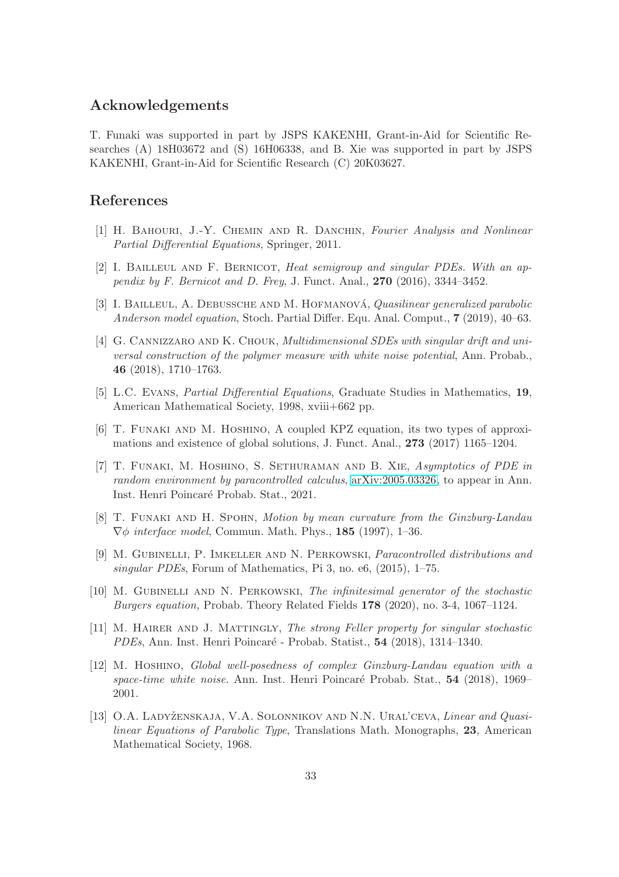# Acknowledgements

T. Funaki was supported in part by JSPS KAKENHI, Grant-in-Aid for Scientific Researches (A) 18H03672 and (S) 16H06338, and B. Xie was supported in part by JSPS KAKENHI, Grant-in-Aid for Scientific Research (C) 20K03627.

# <span id="page-32-10"></span>References

- <span id="page-32-5"></span>[1] H. BAHOURI, J.-Y. CHEMIN AND R. DANCHIN, Fourier Analysis and Nonlinear Partial Differential Equations, Springer, 2011.
- [2] I. BAILLEUL AND F. BERNICOT, Heat semigroup and singular PDEs. With an appendix by F. Bernicot and D. Frey, J. Funct. Anal., 270 (2016), 3344–3452.
- <span id="page-32-12"></span><span id="page-32-4"></span>[3] I. BAILLEUL, A. DEBUSSCHE AND M. HOFMANOVÁ, Quasilinear generalized parabolic Anderson model equation, Stoch. Partial Differ. Equ. Anal. Comput., 7 (2019), 40–63.
- [4] G. Cannizzaro and K. Chouk, Multidimensional SDEs with singular drift and universal construction of the polymer measure with white noise potential, Ann. Probab., 46 (2018), 1710–1763.
- <span id="page-32-11"></span><span id="page-32-7"></span>[5] L.C. Evans, Partial Differential Equations, Graduate Studies in Mathematics, 19, American Mathematical Society, 1998, xviii+662 pp.
- <span id="page-32-0"></span>[6] T. Funaki and M. Hoshino, A coupled KPZ equation, its two types of approximations and existence of global solutions, J. Funct. Anal., 273 (2017) 1165–1204.
- [7] T. Funaki, M. Hoshino, S. Sethuraman and B. Xie, Asymptotics of PDE in random environment by paracontrolled calculus, [arXiv:2005.03326,](http://arxiv.org/abs/2005.03326) to appear in Ann. Inst. Henri Poincar´e Probab. Stat., 2021.
- <span id="page-32-3"></span>[8] T. Funaki and H. Spohn, Motion by mean curvature from the Ginzburg-Landau  $\nabla \phi$  interface model, Commun. Math. Phys., **185** (1997), 1–36.
- <span id="page-32-2"></span>[9] M. Gubinelli, P. Imkeller and N. Perkowski, Paracontrolled distributions and singular PDEs, Forum of Mathematics, Pi 3, no. e6, (2015), 1–75.
- <span id="page-32-8"></span>[10] M. Gubinelli and N. Perkowski, The infinitesimal generator of the stochastic Burgers equation, Probab. Theory Related Fields 178 (2020), no. 3-4, 1067–1124.
- <span id="page-32-1"></span>[11] M. Hairer and J. Mattingly, The strong Feller property for singular stochastic PDEs, Ann. Inst. Henri Poincaré - Probab. Statist., 54 (2018), 1314–1340.
- <span id="page-32-6"></span>[12] M. Hoshino, Global well-posedness of complex Ginzburg-Landau equation with a space-time white noise. Ann. Inst. Henri Poincaré Probab. Stat.,  $54$  (2018), 1969– 2001.
- <span id="page-32-9"></span>[13] O.A. LADYŽENSKAJA, V.A. SOLONNIKOV AND N.N. URAL'CEVA, Linear and Quasilinear Equations of Parabolic Type, Translations Math. Monographs, 23, American Mathematical Society, 1968.